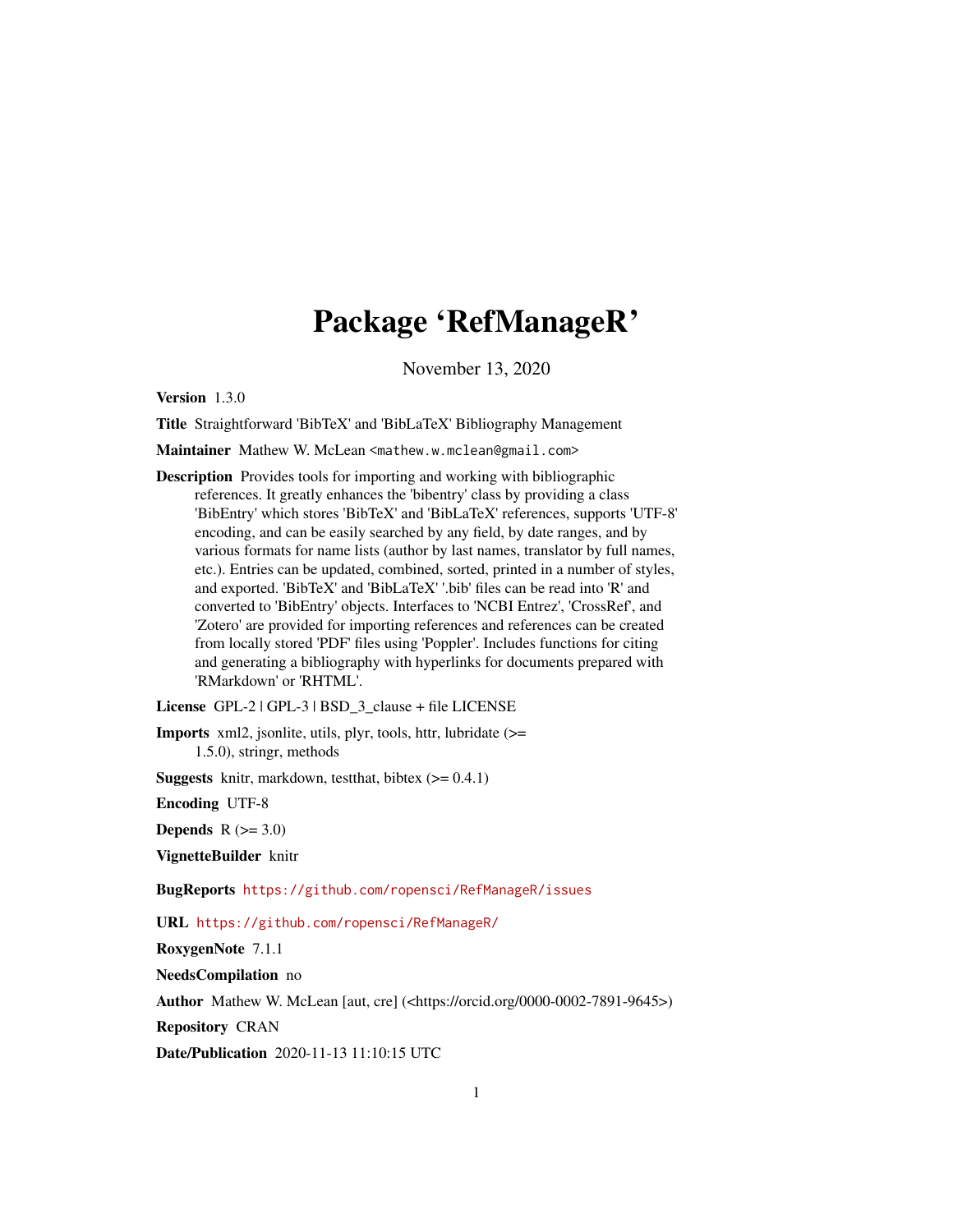# Package 'RefManageR'

November 13, 2020

<span id="page-0-0"></span>Version 1.3.0

Title Straightforward 'BibTeX' and 'BibLaTeX' Bibliography Management

Maintainer Mathew W. McLean <mathew.w.mclean@gmail.com>

Description Provides tools for importing and working with bibliographic references. It greatly enhances the 'bibentry' class by providing a class 'BibEntry' which stores 'BibTeX' and 'BibLaTeX' references, supports 'UTF-8' encoding, and can be easily searched by any field, by date ranges, and by various formats for name lists (author by last names, translator by full names, etc.). Entries can be updated, combined, sorted, printed in a number of styles, and exported. 'BibTeX' and 'BibLaTeX' '.bib' files can be read into 'R' and converted to 'BibEntry' objects. Interfaces to 'NCBI Entrez', 'CrossRef', and 'Zotero' are provided for importing references and references can be created from locally stored 'PDF' files using 'Poppler'. Includes functions for citing and generating a bibliography with hyperlinks for documents prepared with 'RMarkdown' or 'RHTML'.

License GPL-2 | GPL-3 | BSD 3 clause + file LICENSE

Imports xml2, jsonlite, utils, plyr, tools, httr, lubridate (>= 1.5.0), stringr, methods

**Suggests** knitr, markdown, test that, bibtex  $(>= 0.4.1)$ 

Encoding UTF-8

**Depends**  $R$  ( $>= 3.0$ )

VignetteBuilder knitr

BugReports <https://github.com/ropensci/RefManageR/issues>

URL <https://github.com/ropensci/RefManageR/>

RoxygenNote 7.1.1

NeedsCompilation no

Author Mathew W. McLean [aut, cre] (<https://orcid.org/0000-0002-7891-9645>)

Repository CRAN

Date/Publication 2020-11-13 11:10:15 UTC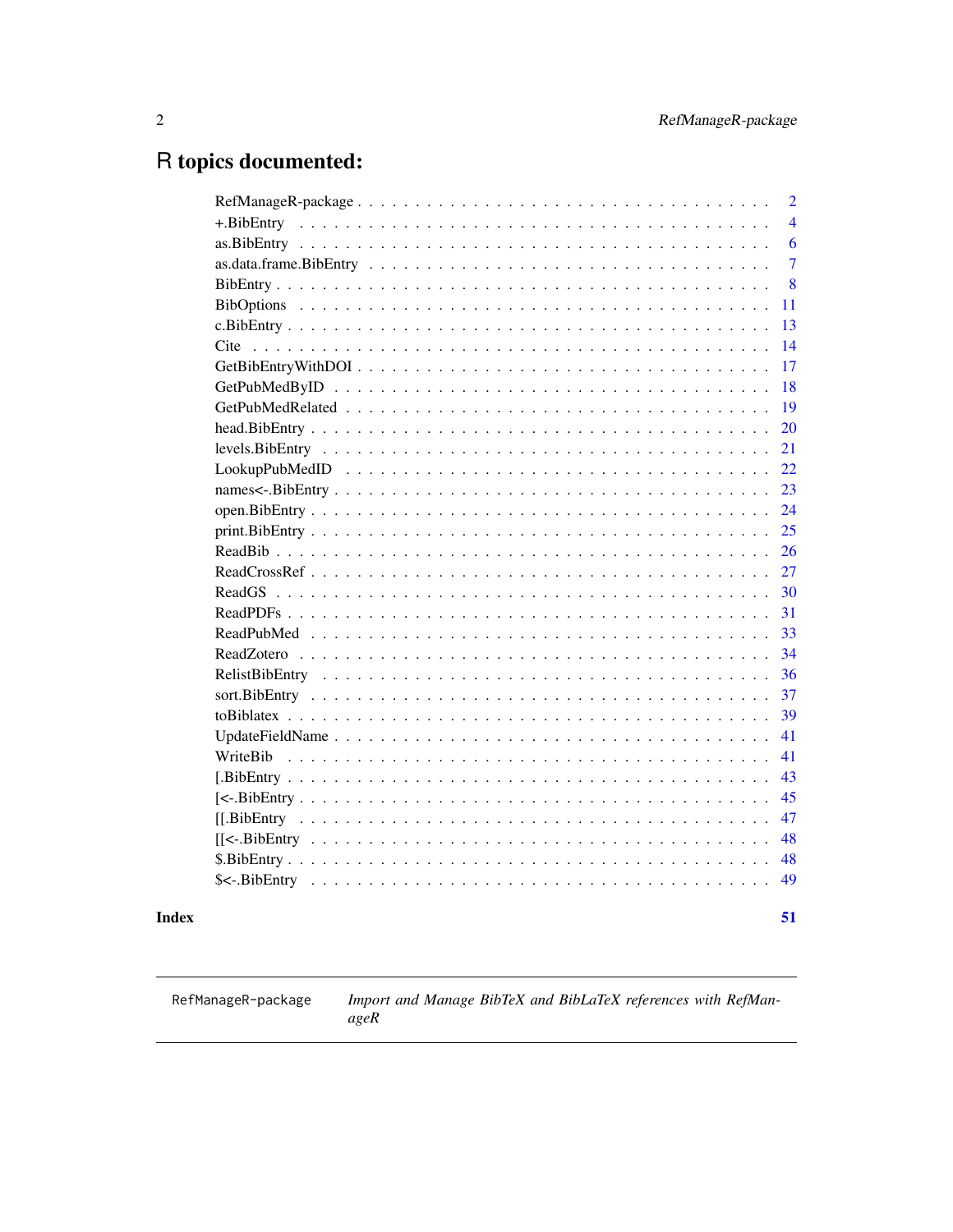# <span id="page-1-0"></span>R topics documented:

| $\overline{2}$ |
|----------------|
| $\overline{4}$ |
| 6              |
| $\overline{7}$ |
| 8              |
| 11             |
| 13             |
| 14             |
| 17             |
| 18             |
| 19             |
| 20             |
| 21             |
| 22             |
| 23             |
| 24             |
| 25             |
| 26             |
| 27             |
| 30             |
| 31             |
| 33             |
| 34             |
| 36             |
| 37             |
| 39             |
| 41             |
| 41             |
| 43             |
| 45             |
| 47             |
| 48             |
| 48             |
| 49             |
|                |
| 51             |

# **Index**

RefManageR-package

Import and Manage BibTeX and BibLaTeX references with RefMan $ageR$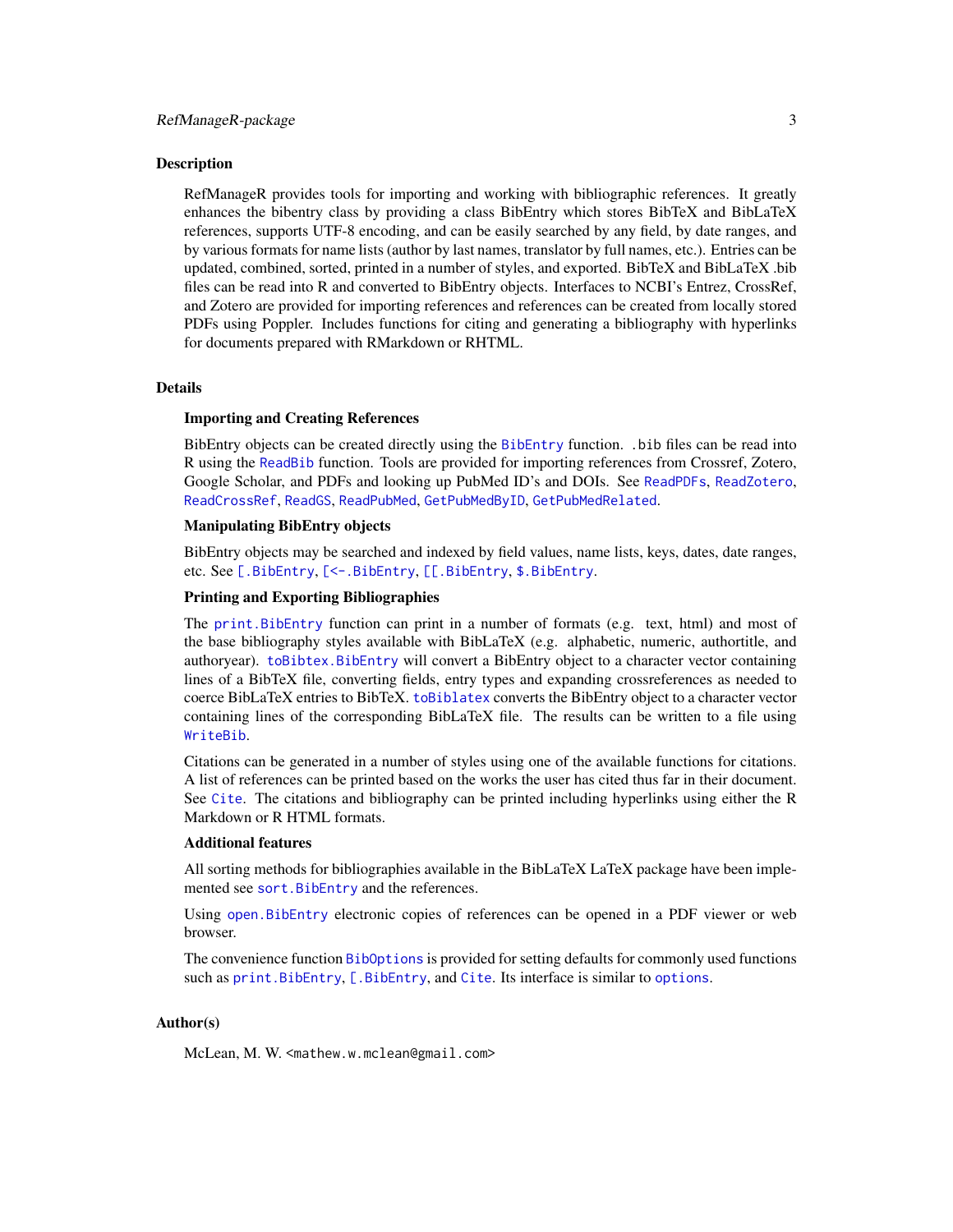<span id="page-2-0"></span>RefManageR provides tools for importing and working with bibliographic references. It greatly enhances the bibentry class by providing a class BibEntry which stores BibTeX and BibLaTeX references, supports UTF-8 encoding, and can be easily searched by any field, by date ranges, and by various formats for name lists (author by last names, translator by full names, etc.). Entries can be updated, combined, sorted, printed in a number of styles, and exported. BibTeX and BibLaTeX .bib files can be read into R and converted to BibEntry objects. Interfaces to NCBI's Entrez, CrossRef, and Zotero are provided for importing references and references can be created from locally stored PDFs using Poppler. Includes functions for citing and generating a bibliography with hyperlinks for documents prepared with RMarkdown or RHTML.

#### Details

#### Importing and Creating References

BibEntry objects can be created directly using the [BibEntry](#page-7-1) function. .bib files can be read into R using the [ReadBib](#page-25-1) function. Tools are provided for importing references from Crossref, Zotero, Google Scholar, and PDFs and looking up PubMed ID's and DOIs. See [ReadPDFs](#page-30-1), [ReadZotero](#page-33-1), [ReadCrossRef](#page-26-1), [ReadGS](#page-29-1), [ReadPubMed](#page-32-1), [GetPubMedByID](#page-17-1), [GetPubMedRelated](#page-18-1).

### Manipulating BibEntry objects

BibEntry objects may be searched and indexed by field values, name lists, keys, dates, date ranges, etc. See [\[.BibEntry](#page-42-1), [\[<-.BibEntry](#page-44-1), [\[\[.BibEntry](#page-46-1), [\\$.BibEntry](#page-47-1).

# Printing and Exporting Bibliographies

The [print.BibEntry](#page-24-1) function can print in a number of formats (e.g. text, html) and most of the base bibliography styles available with BibLaTeX (e.g. alphabetic, numeric, authortitle, and authoryear). [toBibtex.BibEntry](#page-38-1) will convert a BibEntry object to a character vector containing lines of a BibTeX file, converting fields, entry types and expanding crossreferences as needed to coerce BibLaTeX entries to BibTeX. [toBiblatex](#page-38-2) converts the BibEntry object to a character vector containing lines of the corresponding BibLaTeX file. The results can be written to a file using [WriteBib](#page-40-1).

Citations can be generated in a number of styles using one of the available functions for citations. A list of references can be printed based on the works the user has cited thus far in their document. See [Cite](#page-13-1). The citations and bibliography can be printed including hyperlinks using either the R Markdown or R HTML formats.

### Additional features

All sorting methods for bibliographies available in the BibLaTeX LaTeX package have been implemented see [sort.BibEntry](#page-36-1) and the references.

Using [open.BibEntry](#page-23-1) electronic copies of references can be opened in a PDF viewer or web browser.

The convenience function [BibOptions](#page-10-1) is provided for setting defaults for commonly used functions such as [print.BibEntry](#page-24-1), [\[.BibEntry](#page-42-1), and [Cite](#page-13-1). Its interface is similar to [options](#page-0-0).

### Author(s)

McLean, M. W. <mathew.w.mclean@gmail.com>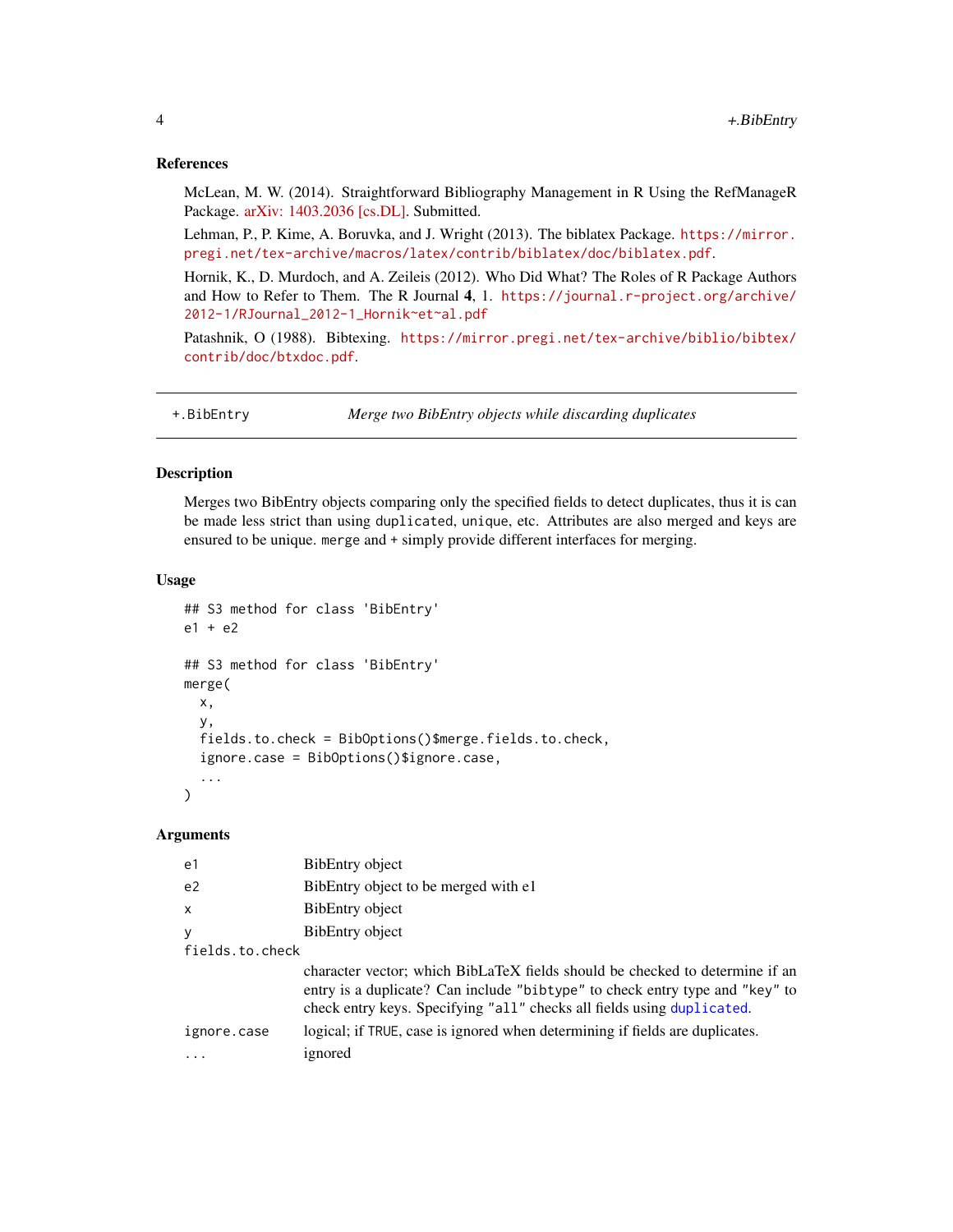### <span id="page-3-0"></span>References

McLean, M. W. (2014). Straightforward Bibliography Management in R Using the RefManageR Package. [arXiv: 1403.2036 \[cs.DL\].](https://arxiv.org/abs/1403.2036) Submitted.

Lehman, P., P. Kime, A. Boruvka, and J. Wright (2013). The biblatex Package. [https://mirror.](https://mirror.pregi.net/tex-archive/macros/latex/contrib/biblatex/doc/biblatex.pdf) [pregi.net/tex-archive/macros/latex/contrib/biblatex/doc/biblatex.pdf](https://mirror.pregi.net/tex-archive/macros/latex/contrib/biblatex/doc/biblatex.pdf).

Hornik, K., D. Murdoch, and A. Zeileis (2012). Who Did What? The Roles of R Package Authors and How to Refer to Them. The R Journal 4, 1. [https://journal.r-project.org/archive/](https://journal.r-project.org/archive/2012-1/RJournal_2012-1_Hornik~et~al.pdf) [2012-1/RJournal\\_2012-1\\_Hornik~et~al.pdf](https://journal.r-project.org/archive/2012-1/RJournal_2012-1_Hornik~et~al.pdf)

Patashnik, O (1988). Bibtexing. [https://mirror.pregi.net/tex-archive/biblio/bibtex/](https://mirror.pregi.net/tex-archive/biblio/bibtex/contrib/doc/btxdoc.pdf) [contrib/doc/btxdoc.pdf](https://mirror.pregi.net/tex-archive/biblio/bibtex/contrib/doc/btxdoc.pdf).

<span id="page-3-2"></span>+.BibEntry *Merge two BibEntry objects while discarding duplicates*

# <span id="page-3-1"></span>Description

Merges two BibEntry objects comparing only the specified fields to detect duplicates, thus it is can be made less strict than using duplicated, unique, etc. Attributes are also merged and keys are ensured to be unique. merge and + simply provide different interfaces for merging.

#### Usage

```
## S3 method for class 'BibEntry'
e1 + e2## S3 method for class 'BibEntry'
merge(
  x,
  y,
  fields.to.check = BibOptions()$merge.fields.to.check,
  ignore.case = BibOptions()$ignore.case,
  ...
)
```
### Arguments

| e1              | BibEntry object                                                                                                                                                                                                                        |
|-----------------|----------------------------------------------------------------------------------------------------------------------------------------------------------------------------------------------------------------------------------------|
| e <sub>2</sub>  | BibEntry object to be merged with e1                                                                                                                                                                                                   |
| $\mathsf{x}$    | BibEntry object                                                                                                                                                                                                                        |
| y               | BibEntry object                                                                                                                                                                                                                        |
| fields.to.check |                                                                                                                                                                                                                                        |
|                 | character vector; which BibLaTeX fields should be checked to determine if an<br>entry is a duplicate? Can include "bibtype" to check entry type and "key" to<br>check entry keys. Specifying "all" checks all fields using duplicated. |
| ignore.case     | logical; if TRUE, case is ignored when determining if fields are duplicates.                                                                                                                                                           |
|                 | ignored                                                                                                                                                                                                                                |
|                 |                                                                                                                                                                                                                                        |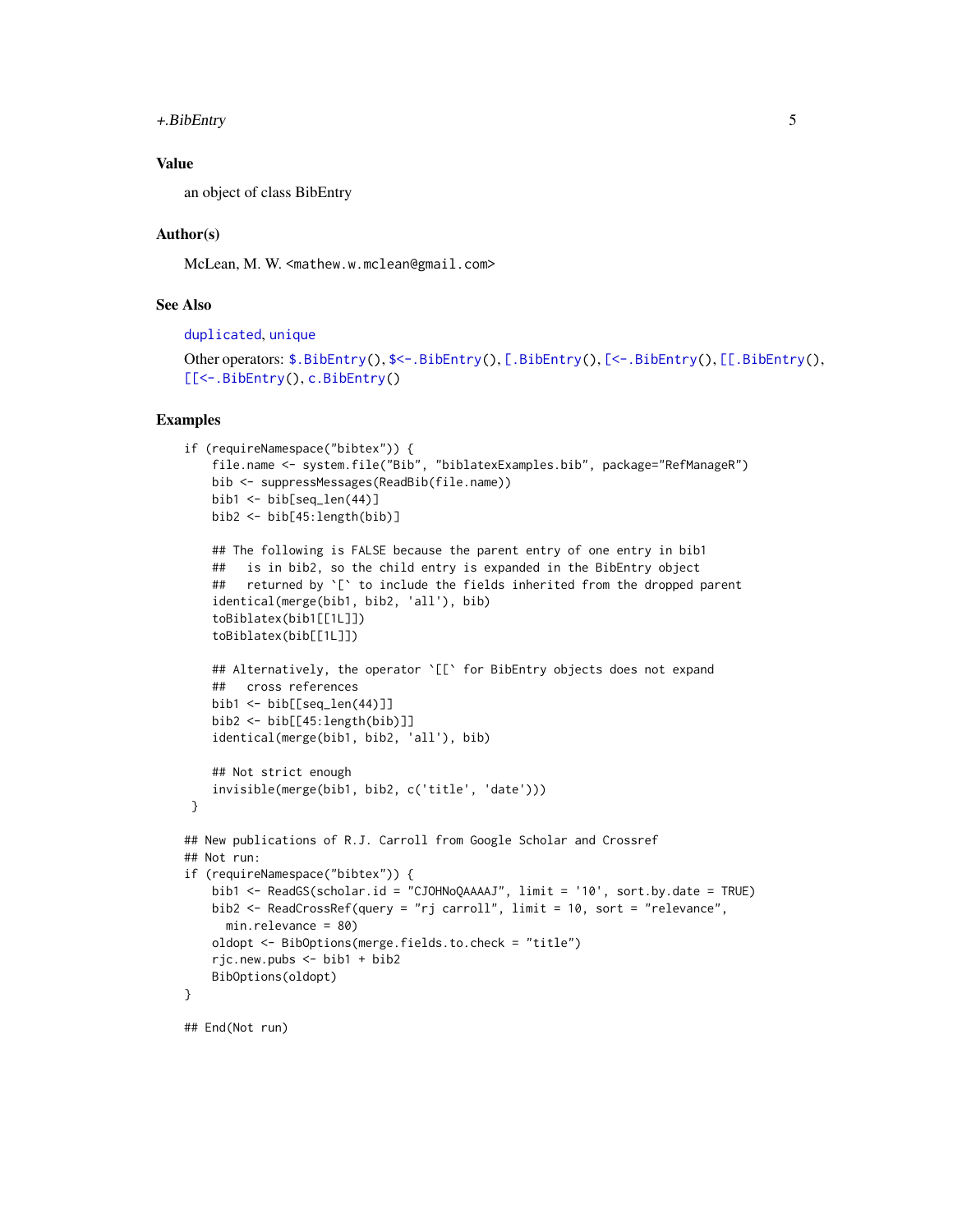## <span id="page-4-0"></span>+.BibEntry 5

# Value

an object of class BibEntry

## Author(s)

McLean, M. W. <mathew.w.mclean@gmail.com>

# See Also

[duplicated](#page-0-0), [unique](#page-0-0)

```
$.BibEntry($<-.BibEntry([.BibEntry([<-.BibEntry([[.BibEntry(),
[[<-.BibEntry(), c.BibEntry()
```

```
if (requireNamespace("bibtex")) {
   file.name <- system.file("Bib", "biblatexExamples.bib", package="RefManageR")
   bib <- suppressMessages(ReadBib(file.name))
   bib1 < - bib[seq\_len(44)]bib2 <- bib[45:length(bib)]
    ## The following is FALSE because the parent entry of one entry in bib1
   ## is in bib2, so the child entry is expanded in the BibEntry object
    ## returned by `[` to include the fields inherited from the dropped parent
    identical(merge(bib1, bib2, 'all'), bib)
    toBiblatex(bib1[[1L]])
    toBiblatex(bib[[1L]])
   ## Alternatively, the operator `[[` for BibEntry objects does not expand
   ## cross references
   bib1 < - bib[[seq\_len(44)]]bib2 \leftarrow bib[[45:length(bib)]]identical(merge(bib1, bib2, 'all'), bib)
    ## Not strict enough
    invisible(merge(bib1, bib2, c('title', 'date')))
}
## New publications of R.J. Carroll from Google Scholar and Crossref
## Not run:
if (requireNamespace("bibtex")) {
   bib1 <- ReadGS(scholar.id = "CJOHNoQAAAAJ", limit = '10', sort.by.date = TRUE)
   bib2 <- ReadCrossRef(query = "rj carroll", limit = 10, sort = "relevance",
     min.relevance = 80)
   oldopt <- BibOptions(merge.fields.to.check = "title")
    rjc.new.pubs <- bib1 + bib2
   BibOptions(oldopt)
}
## End(Not run)
```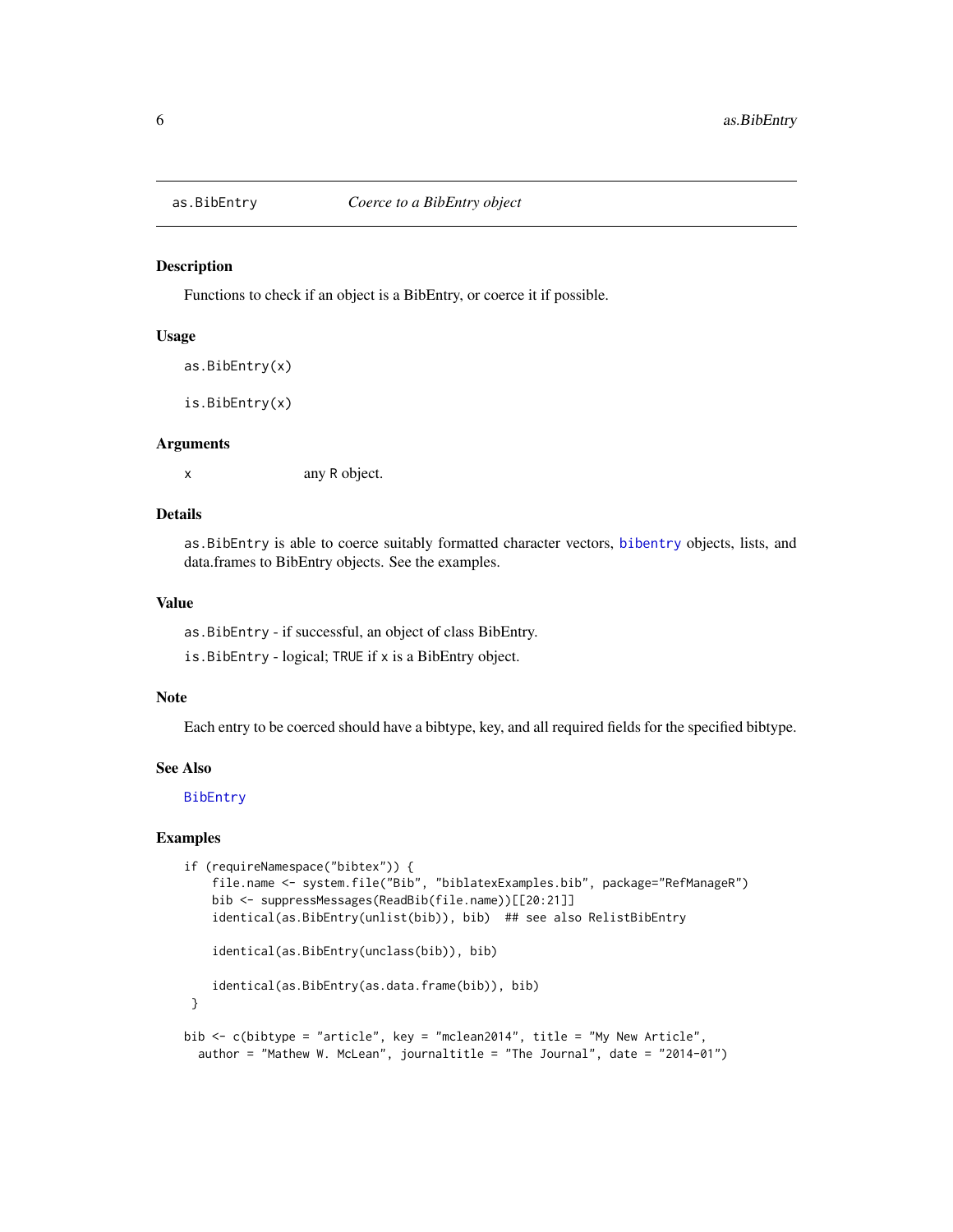<span id="page-5-1"></span><span id="page-5-0"></span>

Functions to check if an object is a BibEntry, or coerce it if possible.

#### Usage

```
as.BibEntry(x)
```
is.BibEntry(x)

### Arguments

x any R object.

# Details

as.BibEntry is able to coerce suitably formatted character vectors, [bibentry](#page-0-0) objects, lists, and data.frames to BibEntry objects. See the examples.

# Value

as.BibEntry - if successful, an object of class BibEntry.

is.BibEntry - logical; TRUE if x is a BibEntry object.

### **Note**

Each entry to be coerced should have a bibtype, key, and all required fields for the specified bibtype.

### See Also

[BibEntry](#page-7-1)

```
if (requireNamespace("bibtex")) {
    file.name <- system.file("Bib", "biblatexExamples.bib", package="RefManageR")
    bib <- suppressMessages(ReadBib(file.name))[[20:21]]
    identical(as.BibEntry(unlist(bib)), bib) ## see also RelistBibEntry
    identical(as.BibEntry(unclass(bib)), bib)
    identical(as.BibEntry(as.data.frame(bib)), bib)
 }
bib <- c(bibtype = "article", key = "mclean2014", title = "My New Article",
  author = "Mathew W. McLean", journaltitle = "The Journal", date = "2014-01")
```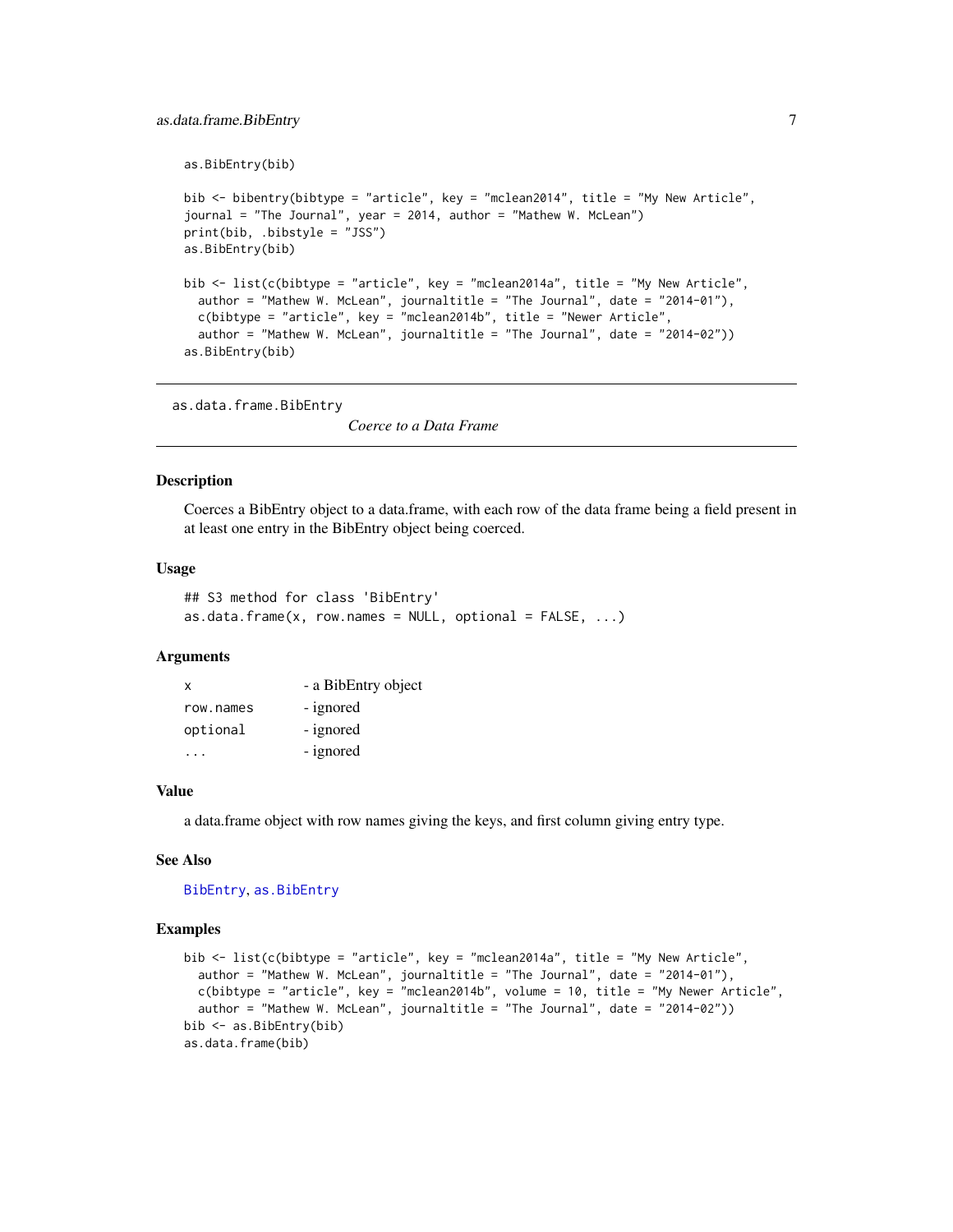```
as.BibEntry(bib)
bib <- bibentry(bibtype = "article", key = "mclean2014", title = "My New Article",
journal = "The Journal", year = 2014, author = "Mathew W. McLean")
print(bib, .bibstyle = "JSS")
as.BibEntry(bib)
bib <- list(c(bibtype = "article", key = "mclean2014a", title = "My New Article",
  author = "Mathew W. McLean", journaltitle = "The Journal", date = "2014-01"),
  c(bibtype = "article", key = "mclean2014b", title = "Newer Article",
  author = "Mathew W. McLean", journaltitle = "The Journal", date = "2014-02"))
as.BibEntry(bib)
```
as.data.frame.BibEntry

*Coerce to a Data Frame*

#### Description

Coerces a BibEntry object to a data.frame, with each row of the data frame being a field present in at least one entry in the BibEntry object being coerced.

### Usage

```
## S3 method for class 'BibEntry'
as.data.frame(x, row.names = NULL, optional = FALSE, ...)
```
### Arguments

| x         | - a BibEntry object |
|-----------|---------------------|
| row.names | - ignored           |
| optional  | - ignored           |
|           | - ignored           |

#### Value

a data.frame object with row names giving the keys, and first column giving entry type.

### See Also

```
BibEntry, as.BibEntry
```

```
bib <- list(c(bibtype = "article", key = "mclean2014a", title = "My New Article",
  author = "Mathew W. McLean", journaltitle = "The Journal", date = "2014-01"),
  c(bibtype = "article", key = "mclean2014b", volume = 10, title = "My Newer Article",
  author = "Mathew W. McLean", journaltitle = "The Journal", date = "2014-02"))
bib <- as.BibEntry(bib)
as.data.frame(bib)
```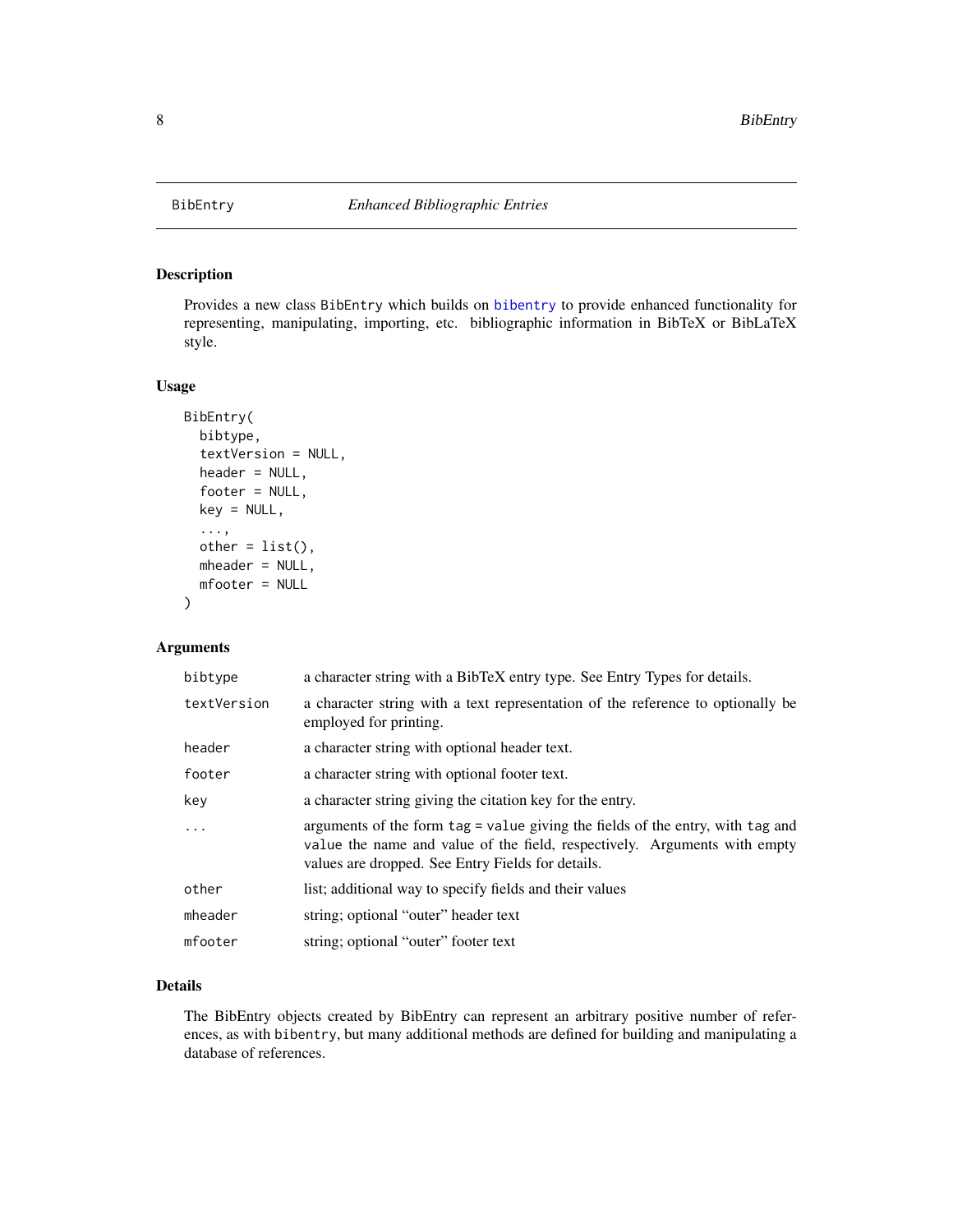<span id="page-7-1"></span><span id="page-7-0"></span>

Provides a new class BibEntry which builds on [bibentry](#page-0-0) to provide enhanced functionality for representing, manipulating, importing, etc. bibliographic information in BibTeX or BibLaTeX style.

### Usage

```
BibEntry(
  bibtype,
  textVersion = NULL,
  header = NULL,
  footer = NULL,
  key = NULL,
  ...,
 other = list(),mheader = NULL,
 mfooter = NULL
)
```
### Arguments

| bibtype     | a character string with a BibTeX entry type. See Entry Types for details.                                                                                                                                        |
|-------------|------------------------------------------------------------------------------------------------------------------------------------------------------------------------------------------------------------------|
| textVersion | a character string with a text representation of the reference to optionally be<br>employed for printing.                                                                                                        |
| header      | a character string with optional header text.                                                                                                                                                                    |
| footer      | a character string with optional footer text.                                                                                                                                                                    |
| key         | a character string giving the citation key for the entry.                                                                                                                                                        |
| .           | arguments of the form tag = value giving the fields of the entry, with tag and<br>value the name and value of the field, respectively. Arguments with empty<br>values are dropped. See Entry Fields for details. |
| other       | list; additional way to specify fields and their values                                                                                                                                                          |
| mheader     | string; optional "outer" header text                                                                                                                                                                             |
| mfooter     | string; optional "outer" footer text                                                                                                                                                                             |

# Details

The BibEntry objects created by BibEntry can represent an arbitrary positive number of references, as with bibentry, but many additional methods are defined for building and manipulating a database of references.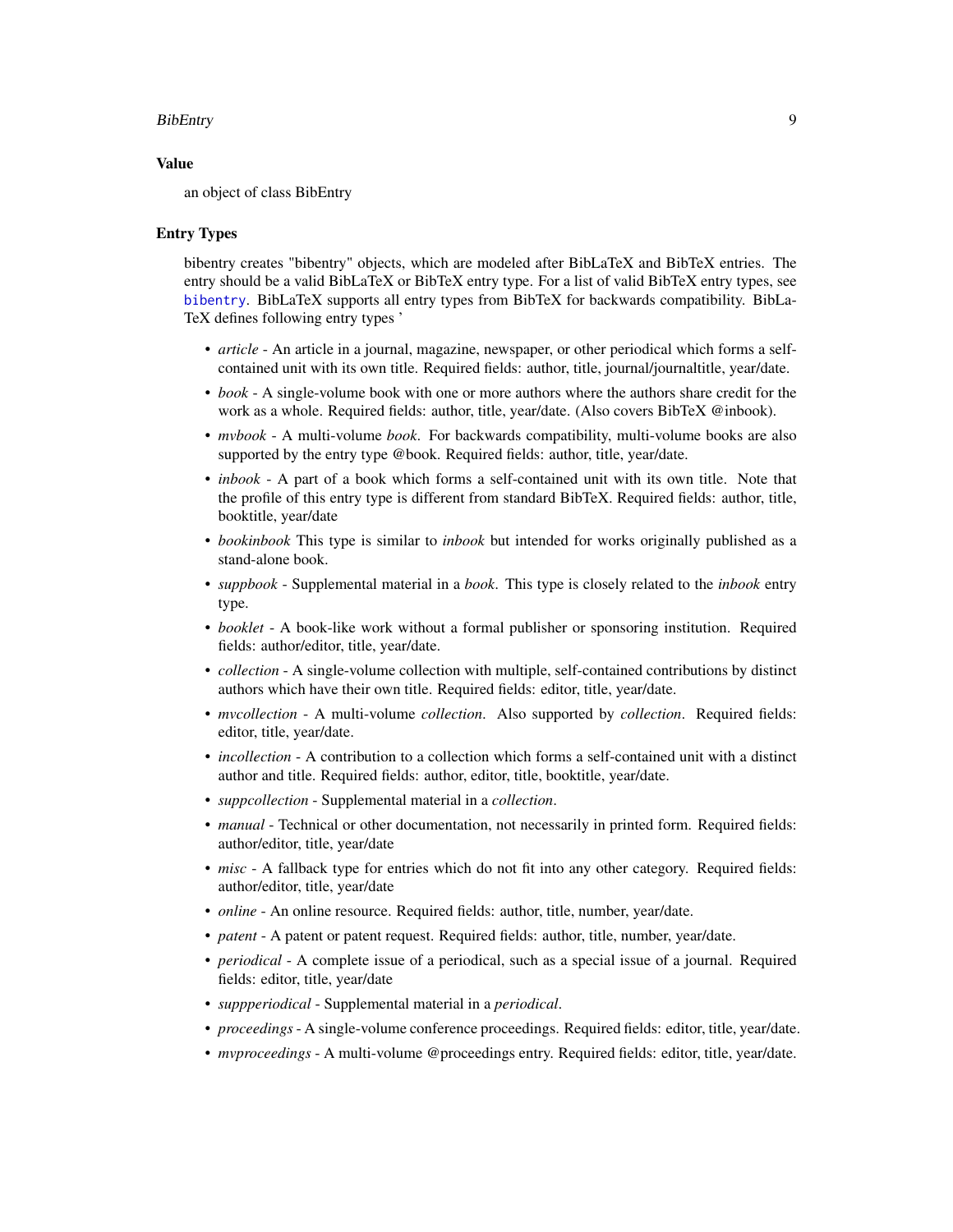### BibEntry 9

#### Value

an object of class BibEntry

### Entry Types

bibentry creates "bibentry" objects, which are modeled after BibLaTeX and BibTeX entries. The entry should be a valid BibLaTeX or BibTeX entry type. For a list of valid BibTeX entry types, see [bibentry](#page-0-0). BibLaTeX supports all entry types from BibTeX for backwards compatibility. BibLa-TeX defines following entry types '

- *article* An article in a journal, magazine, newspaper, or other periodical which forms a selfcontained unit with its own title. Required fields: author, title, journal/journaltitle, year/date.
- *book* A single-volume book with one or more authors where the authors share credit for the work as a whole. Required fields: author, title, year/date. (Also covers BibTeX @inbook).
- *mvbook* A multi-volume *book*. For backwards compatibility, multi-volume books are also supported by the entry type @book. Required fields: author, title, year/date.
- *inbook* A part of a book which forms a self-contained unit with its own title. Note that the profile of this entry type is different from standard BibTeX. Required fields: author, title, booktitle, year/date
- *bookinbook* This type is similar to *inbook* but intended for works originally published as a stand-alone book.
- *suppbook* Supplemental material in a *book*. This type is closely related to the *inbook* entry type.
- *booklet* A book-like work without a formal publisher or sponsoring institution. Required fields: author/editor, title, year/date.
- *collection* A single-volume collection with multiple, self-contained contributions by distinct authors which have their own title. Required fields: editor, title, year/date.
- *mvcollection* A multi-volume *collection*. Also supported by *collection*. Required fields: editor, title, year/date.
- *incollection* A contribution to a collection which forms a self-contained unit with a distinct author and title. Required fields: author, editor, title, booktitle, year/date.
- *suppcollection* Supplemental material in a *collection*.
- *manual* Technical or other documentation, not necessarily in printed form. Required fields: author/editor, title, year/date
- *misc* A fallback type for entries which do not fit into any other category. Required fields: author/editor, title, year/date
- *online* An online resource. Required fields: author, title, number, year/date.
- *patent* A patent or patent request. Required fields: author, title, number, year/date.
- *periodical* A complete issue of a periodical, such as a special issue of a journal. Required fields: editor, title, year/date
- *suppperiodical* Supplemental material in a *periodical*.
- *proceedings* A single-volume conference proceedings. Required fields: editor, title, year/date.
- *mvproceedings* A multi-volume @proceedings entry. Required fields: editor, title, year/date.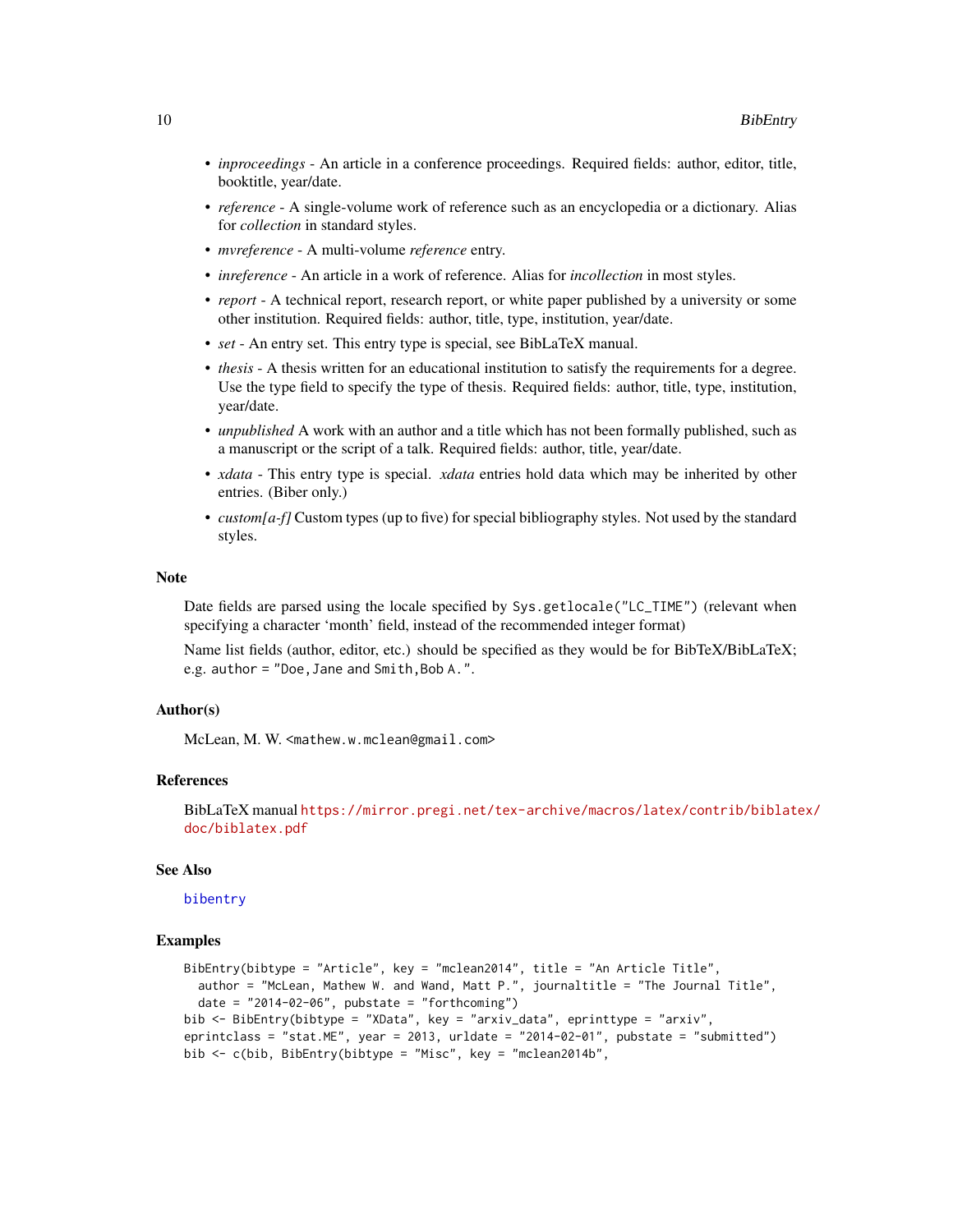- <span id="page-9-0"></span>• *inproceedings* - An article in a conference proceedings. Required fields: author, editor, title, booktitle, year/date.
- *reference* A single-volume work of reference such as an encyclopedia or a dictionary. Alias for *collection* in standard styles.
- *mvreference* A multi-volume *reference* entry.
- *inreference* An article in a work of reference. Alias for *incollection* in most styles.
- *report* A technical report, research report, or white paper published by a university or some other institution. Required fields: author, title, type, institution, year/date.
- *set* An entry set. This entry type is special, see BibLaTeX manual.
- *thesis* A thesis written for an educational institution to satisfy the requirements for a degree. Use the type field to specify the type of thesis. Required fields: author, title, type, institution, year/date.
- *unpublished* A work with an author and a title which has not been formally published, such as a manuscript or the script of a talk. Required fields: author, title, year/date.
- *xdata* This entry type is special. *xdata* entries hold data which may be inherited by other entries. (Biber only.)
- *custom[a-f]* Custom types (up to five) for special bibliography styles. Not used by the standard styles.

#### **Note**

Date fields are parsed using the locale specified by Sys.getlocale("LC\_TIME") (relevant when specifying a character 'month' field, instead of the recommended integer format)

Name list fields (author, editor, etc.) should be specified as they would be for BibTeX/BibLaTeX; e.g. author = "Doe,Jane and Smith,Bob A.".

### Author(s)

McLean, M. W. <mathew.w.mclean@gmail.com>

#### References

BibLaTeX manual [https://mirror.pregi.net/tex-archive/macros/latex/contrib/biblate](https://mirror.pregi.net/tex-archive/macros/latex/contrib/biblatex/doc/biblatex.pdf)x/ [doc/biblatex.pdf](https://mirror.pregi.net/tex-archive/macros/latex/contrib/biblatex/doc/biblatex.pdf)

### See Also

# [bibentry](#page-0-0)

```
BibEntry(bibtype = "Article", key = "mclean2014", title = "An Article Title",
  author = "McLean, Mathew W. and Wand, Matt P.", journaltitle = "The Journal Title",
  date = "2014-02-06", pubstate = "forthcoming")bib <- BibEntry(bibtype = "XData", key = "arxiv_data", eprinttype = "arxiv",
eprintclass = "stat.ME", year = 2013, urldate = "2014-02-01", pubstate = "submitted")
bib <- c(bib, BibEntry(bibtype = "Misc", key = "mclean2014b",
```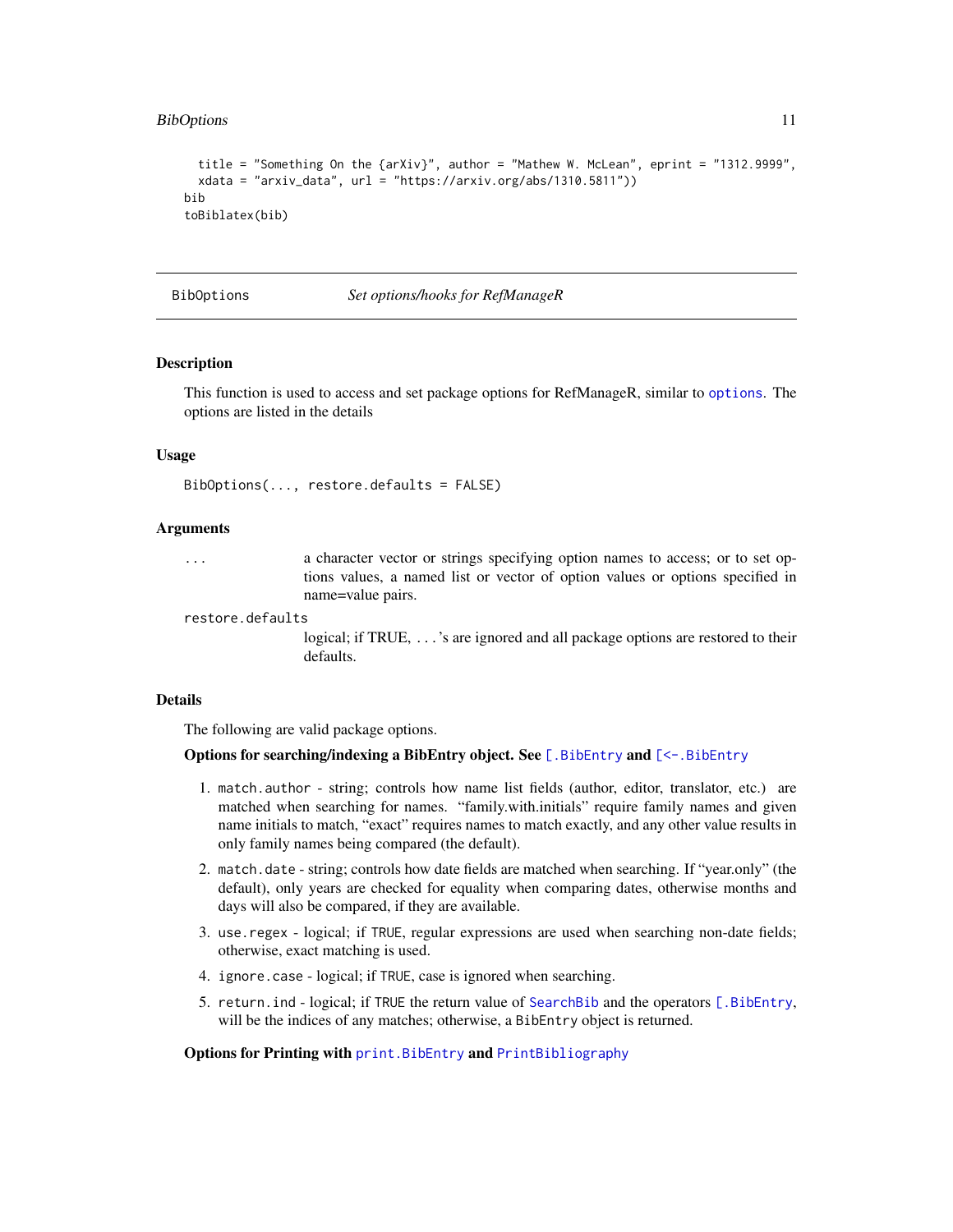#### <span id="page-10-0"></span>BibOptions 11

```
title = "Something On the {arXiv}", author = "Mathew W. McLean", eprint = "1312.9999",
 xdata = "arxiv_data", url = "https://arxiv.org/abs/1310.5811"))
bib
toBiblatex(bib)
```
<span id="page-10-1"></span>BibOptions *Set options/hooks for RefManageR*

### Description

This function is used to access and set package options for RefManageR, similar to [options](#page-0-0). The options are listed in the details

### Usage

BibOptions(..., restore.defaults = FALSE)

# Arguments

... a character vector or strings specifying option names to access; or to set options values, a named list or vector of option values or options specified in name=value pairs.

restore.defaults

logical; if TRUE, ...'s are ignored and all package options are restored to their defaults.

#### Details

The following are valid package options.

#### Options for searching/indexing a BibEntry object. See [\[.BibEntry](#page-42-1) and [\[<-.BibEntry](#page-44-1)

- 1. match.author string; controls how name list fields (author, editor, translator, etc.) are matched when searching for names. "family.with.initials" require family names and given name initials to match, "exact" requires names to match exactly, and any other value results in only family names being compared (the default).
- 2. match.date string; controls how date fields are matched when searching. If "year.only" (the default), only years are checked for equality when comparing dates, otherwise months and days will also be compared, if they are available.
- 3. use.regex logical; if TRUE, regular expressions are used when searching non-date fields; otherwise, exact matching is used.
- 4. ignore.case logical; if TRUE, case is ignored when searching.
- 5. return.ind logical; if TRUE the return value of [SearchBib](#page-42-2) and the operators [\[.BibEntry](#page-42-1), will be the indices of any matches; otherwise, a BibEntry object is returned.

### Options for Printing with print. BibEntry and [PrintBibliography](#page-13-2)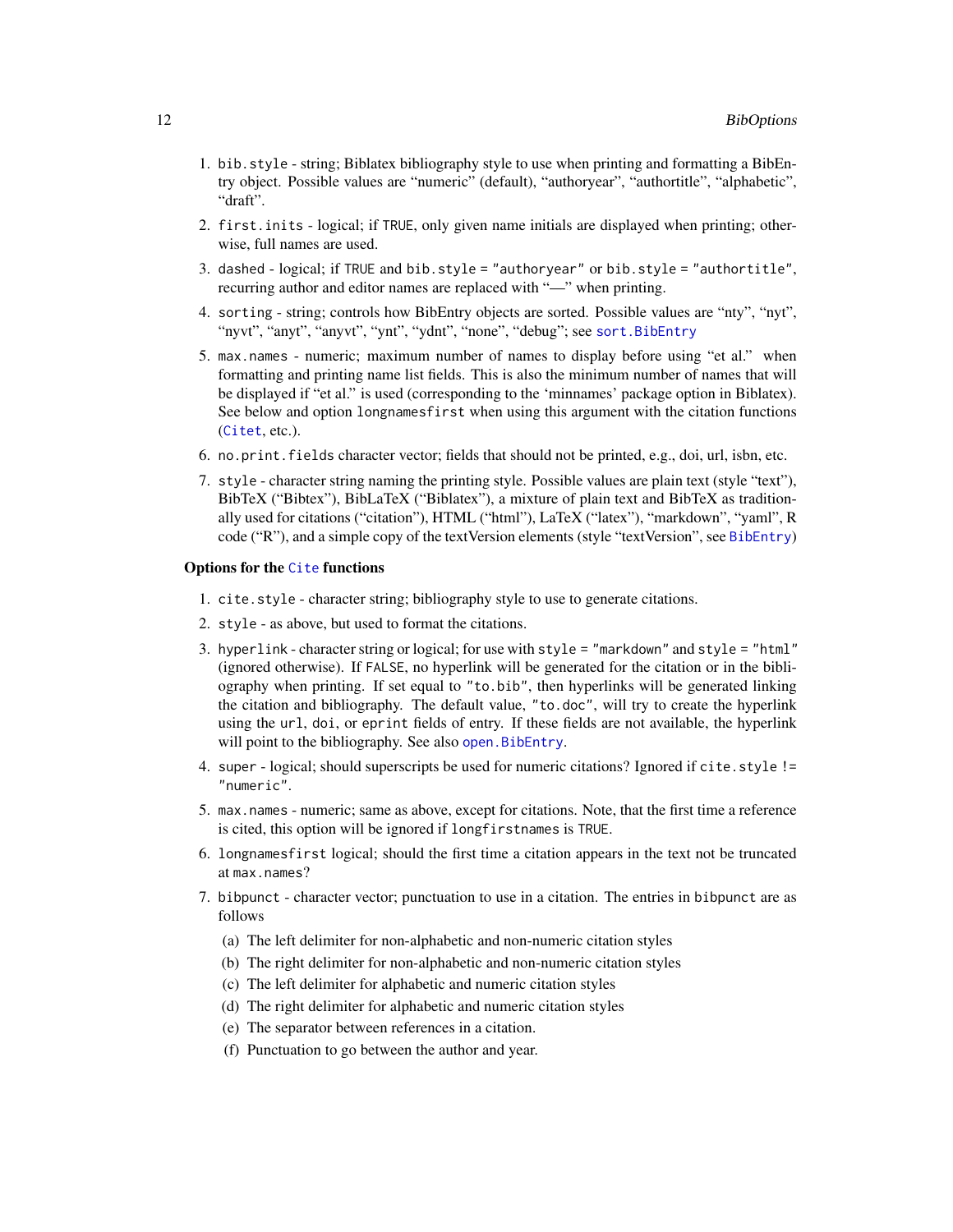- <span id="page-11-0"></span>1. bib.style - string; Biblatex bibliography style to use when printing and formatting a BibEntry object. Possible values are "numeric" (default), "authoryear", "authortitle", "alphabetic", "draft".
- 2. first.inits logical; if TRUE, only given name initials are displayed when printing; otherwise, full names are used.
- 3. dashed logical; if TRUE and bib.style = "authoryear" or bib.style = "authortitle", recurring author and editor names are replaced with "—" when printing.
- 4. sorting string; controls how BibEntry objects are sorted. Possible values are "nty", "nyt", "nyvt", "anyt", "anyvt", "ynt", "ydnt", "none", "debug"; see [sort.BibEntry](#page-36-1)
- 5. max.names numeric; maximum number of names to display before using "et al." when formatting and printing name list fields. This is also the minimum number of names that will be displayed if "et al." is used (corresponding to the 'minnames' package option in Biblatex). See below and option longnamesfirst when using this argument with the citation functions ([Citet](#page-13-2), etc.).
- 6. no.print.fields character vector; fields that should not be printed, e.g., doi, url, isbn, etc.
- 7. style character string naming the printing style. Possible values are plain text (style "text"), BibTeX ("Bibtex"), BibLaTeX ("Biblatex"), a mixture of plain text and BibTeX as traditionally used for citations ("citation"), HTML ("html"), LaTeX ("latex"), "markdown", "yaml", R code ("R"), and a simple copy of the textVersion elements (style "textVersion", see [BibEntry](#page-7-1))

# Options for the [Cite](#page-13-1) functions

- 1. cite.style character string; bibliography style to use to generate citations.
- 2. style as above, but used to format the citations.
- 3. hyperlink character string or logical; for use with  $style = "markdown"$  and  $style = "html"$ (ignored otherwise). If FALSE, no hyperlink will be generated for the citation or in the bibliography when printing. If set equal to "to.bib", then hyperlinks will be generated linking the citation and bibliography. The default value, "to.doc", will try to create the hyperlink using the url, doi, or eprint fields of entry. If these fields are not available, the hyperlink will point to the bibliography. See also open. BibEntry.
- 4. super logical; should superscripts be used for numeric citations? Ignored if cite.style != "numeric".
- 5. max.names numeric; same as above, except for citations. Note, that the first time a reference is cited, this option will be ignored if longfirstnames is TRUE.
- 6. longnamesfirst logical; should the first time a citation appears in the text not be truncated at max.names?
- 7. bibpunct character vector; punctuation to use in a citation. The entries in bibpunct are as follows
	- (a) The left delimiter for non-alphabetic and non-numeric citation styles
	- (b) The right delimiter for non-alphabetic and non-numeric citation styles
	- (c) The left delimiter for alphabetic and numeric citation styles
	- (d) The right delimiter for alphabetic and numeric citation styles
	- (e) The separator between references in a citation.
	- (f) Punctuation to go between the author and year.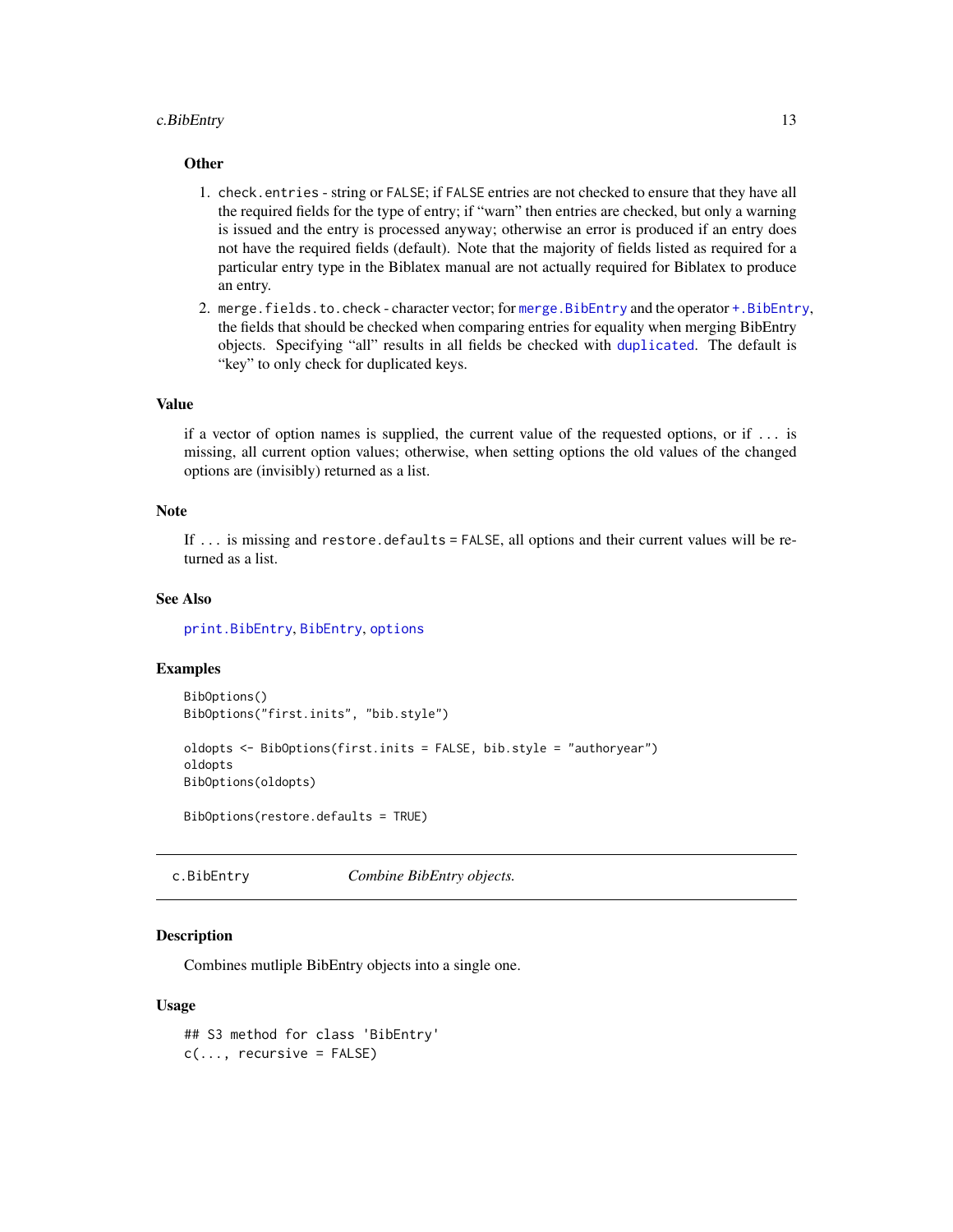### <span id="page-12-0"></span>c.BibEntry 13

### **Other**

- 1. check.entries string or FALSE; if FALSE entries are not checked to ensure that they have all the required fields for the type of entry; if "warn" then entries are checked, but only a warning is issued and the entry is processed anyway; otherwise an error is produced if an entry does not have the required fields (default). Note that the majority of fields listed as required for a particular entry type in the Biblatex manual are not actually required for Biblatex to produce an entry.
- 2. merge.fields.to.check character vector; for [merge.BibEntry](#page-3-1) and the operator [+.BibEntry](#page-3-2), the fields that should be checked when comparing entries for equality when merging BibEntry objects. Specifying "all" results in all fields be checked with [duplicated](#page-0-0). The default is "key" to only check for duplicated keys.

# Value

if a vector of option names is supplied, the current value of the requested options, or if ... is missing, all current option values; otherwise, when setting options the old values of the changed options are (invisibly) returned as a list.

#### Note

If ... is missing and restore.defaults = FALSE, all options and their current values will be returned as a list.

# See Also

[print.BibEntry](#page-24-1), [BibEntry](#page-7-1), [options](#page-0-0)

### Examples

```
BibOptions()
BibOptions("first.inits", "bib.style")
oldopts <- BibOptions(first.inits = FALSE, bib.style = "authoryear")
oldopts
BibOptions(oldopts)
```
BibOptions(restore.defaults = TRUE)

<span id="page-12-1"></span>c.BibEntry *Combine BibEntry objects.*

#### Description

Combines mutliple BibEntry objects into a single one.

#### Usage

## S3 method for class 'BibEntry'  $c(\ldots,$  recursive = FALSE)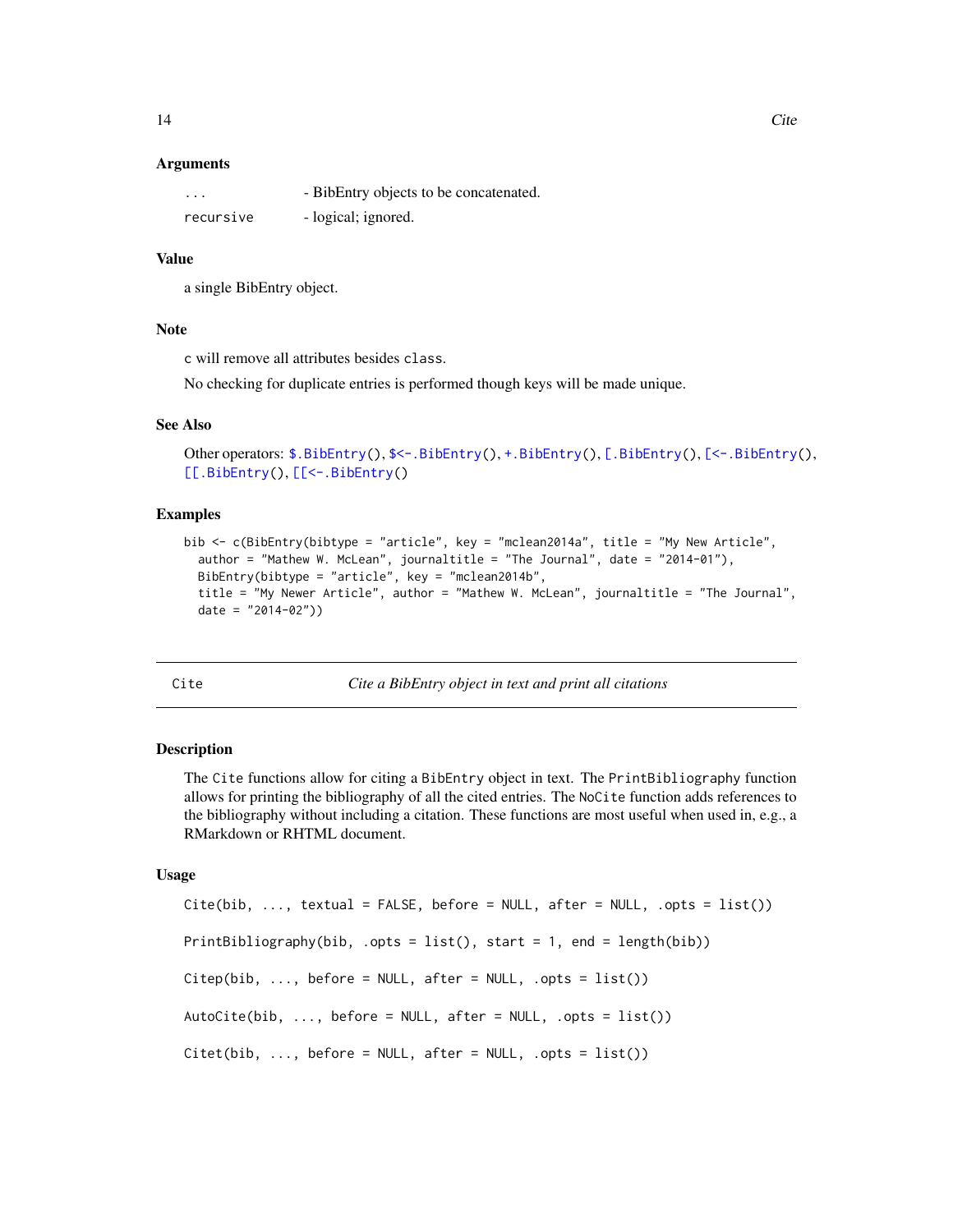### <span id="page-13-0"></span>**Arguments**

| $\cdots$  | - BibEntry objects to be concatenated. |
|-----------|----------------------------------------|
| recursive | - logical; ignored.                    |

### Value

a single BibEntry object.

#### Note

c will remove all attributes besides class.

No checking for duplicate entries is performed though keys will be made unique.

### See Also

```
$.BibEntry($<-.BibEntry(+.BibEntry([.BibEntry([<-.BibEntry(),
[[.BibEntry(), [[<-.BibEntry()
```
### Examples

```
bib <- c(BibEntry(bibtype = "article", key = "mclean2014a", title = "My New Article",
  author = "Mathew W. McLean", journaltitle = "The Journal", date = "2014-01"),
  BibEntry(bibtype = "article", key = "mclean2014b",
  title = "My Newer Article", author = "Mathew W. McLean", journaltitle = "The Journal",
  date = "2014-02")
```
<span id="page-13-1"></span>

#### Cite *Cite a BibEntry object in text and print all citations*

### <span id="page-13-2"></span>Description

The Cite functions allow for citing a BibEntry object in text. The PrintBibliography function allows for printing the bibliography of all the cited entries. The NoCite function adds references to the bibliography without including a citation. These functions are most useful when used in, e.g., a RMarkdown or RHTML document.

### Usage

```
Cite(bib, ..., textual = FALSE, before = NULL, after = NULL, .opts = list())PrintBibliography(bib, .opts = list(), start = 1, end = length(bib))
Citep(bib, ..., before = NULL, after = NULL, .opts = list())AutoCite(bib, \ldots, before = NULL, after = NULL, .opts = list())
Citet(bib, ..., before = NULL, after = NULL, .opts = list())
```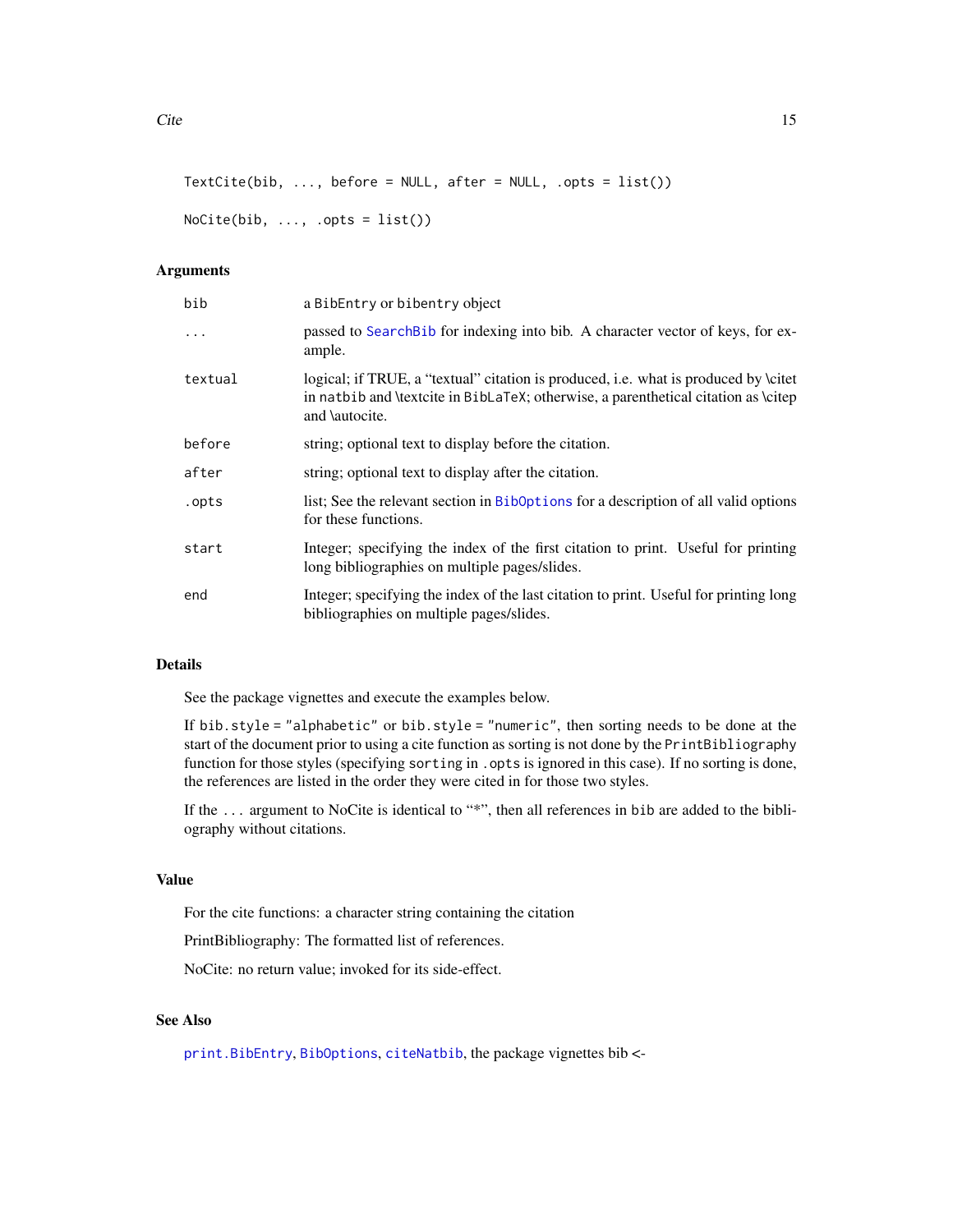```
TextCite(bib, ..., before = NULL, after = NULL, .opts = list())
```

```
NoCite(bib, ..., opts = list())
```
### Arguments

| bib      | a BibEntry or bibentry object                                                                                                                                                               |
|----------|---------------------------------------------------------------------------------------------------------------------------------------------------------------------------------------------|
| $\ddots$ | passed to Search Bib for indexing into bib. A character vector of keys, for ex-<br>ample.                                                                                                   |
| textual  | logical; if TRUE, a "textual" citation is produced, i.e. what is produced by \citet<br>in natbib and \textcite in BibLaTeX; otherwise, a parenthetical citation as \citep<br>and \autocite. |
| before   | string; optional text to display before the citation.                                                                                                                                       |
| after    | string; optional text to display after the citation.                                                                                                                                        |
| .opts    | list; See the relevant section in BibOptions for a description of all valid options<br>for these functions.                                                                                 |
| start    | Integer; specifying the index of the first citation to print. Useful for printing<br>long bibliographies on multiple pages/slides.                                                          |
| end      | Integer; specifying the index of the last citation to print. Useful for printing long<br>bibliographies on multiple pages/slides.                                                           |

#### Details

See the package vignettes and execute the examples below.

If bib.style = "alphabetic" or bib.style = "numeric", then sorting needs to be done at the start of the document prior to using a cite function as sorting is not done by the PrintBibliography function for those styles (specifying sorting in . opts is ignored in this case). If no sorting is done, the references are listed in the order they were cited in for those two styles.

If the ... argument to NoCite is identical to "\*", then all references in bib are added to the bibliography without citations.

# Value

For the cite functions: a character string containing the citation

PrintBibliography: The formatted list of references.

NoCite: no return value; invoked for its side-effect.

# See Also

[print.BibEntry](#page-24-1), [BibOptions](#page-10-1), [citeNatbib](#page-0-0), the package vignettes bib <-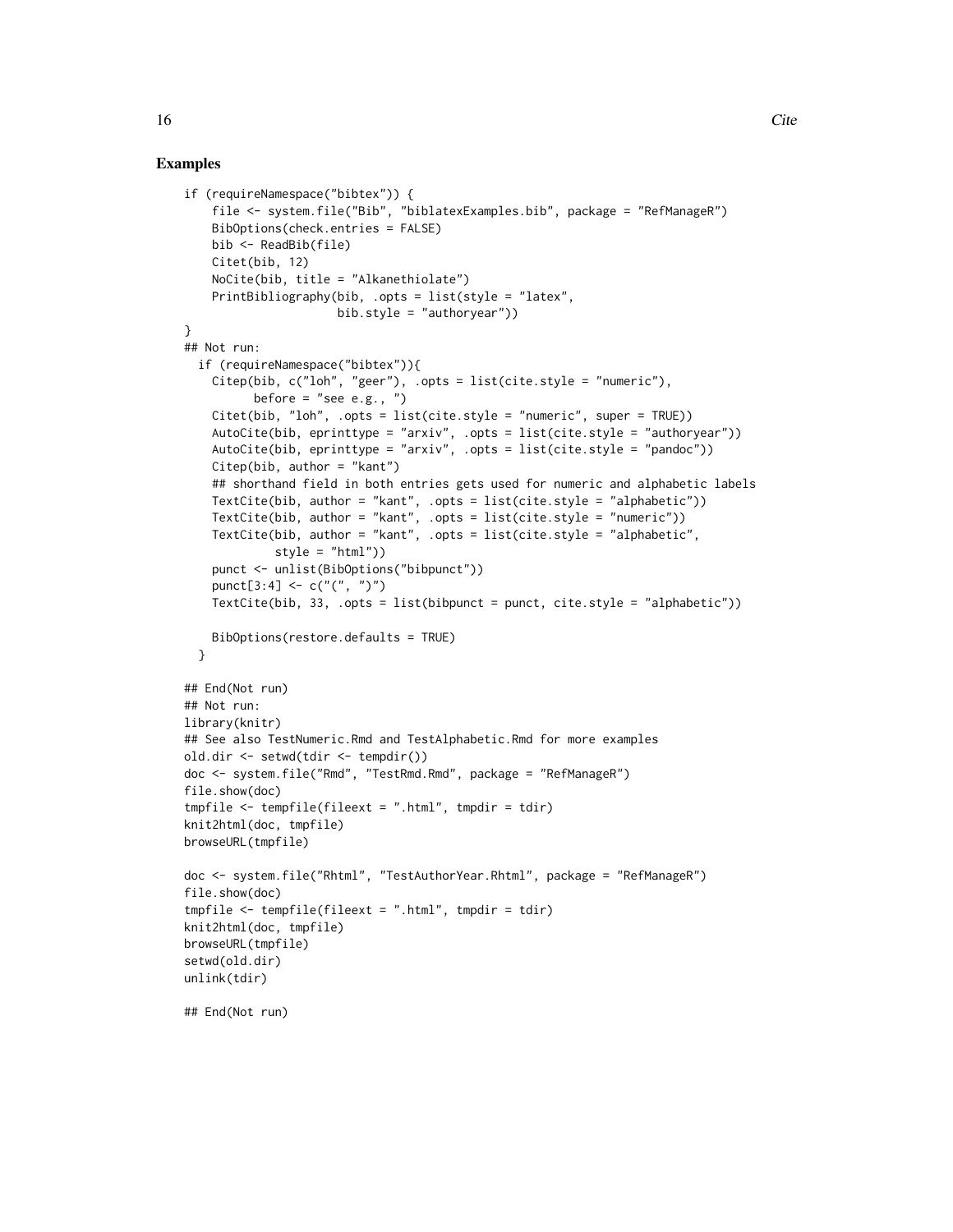```
if (requireNamespace("bibtex")) {
    file <- system.file("Bib", "biblatexExamples.bib", package = "RefManageR")
    BibOptions(check.entries = FALSE)
   bib <- ReadBib(file)
    Citet(bib, 12)
   NoCite(bib, title = "Alkanethiolate")
    PrintBibliography(bib, .opts = list(style = "latex",
                     bib.style = "authoryear"))
}
## Not run:
  if (requireNamespace("bibtex")){
    Citep(bib, c("loh", "geer"), .opts = list(cite-style = "numeric"),before = "see e.g., ")
    Citet(bib, "loh", .opts = list(cite.style = "numeric", super = TRUE))
    AutoCite(bib, eprinttype = "arxiv", .opts = list(cite.style = "authoryear"))
    AutoCite(bib, eprinttype = "arxiv", .opts = list(cite.style = "pandoc"))
    Citep(bib, author = "kant")
    ## shorthand field in both entries gets used for numeric and alphabetic labels
    TextCite(bib, author = "kant", .opts = list(cite.style = "alphabetic"))
    TextCite(bib, author = "kant", .opts = list(cite.style = "numeric"))
    TextCite(bib, author = "kant", .opts = list(cite.style = "alphabetic",
             style = "html"))
    punct <- unlist(BibOptions("bibpunct"))
    punct[3:4] <- c("(", ")")
    TextCite(bib, 33, .opts = list(bibpunct = punct, cite.style = "alphabetic"))
    BibOptions(restore.defaults = TRUE)
  }
## End(Not run)
## Not run:
library(knitr)
## See also TestNumeric.Rmd and TestAlphabetic.Rmd for more examples
old.dir <- setwd(tdir <- tempdir())
doc <- system.file("Rmd", "TestRmd.Rmd", package = "RefManageR")
file.show(doc)
tmpfile <- tempfile(fileext = ".html", tmpdir = tdir)
knit2html(doc, tmpfile)
browseURL(tmpfile)
doc <- system.file("Rhtml", "TestAuthorYear.Rhtml", package = "RefManageR")
file.show(doc)
tmpfile \leftarrow tempfile(fileext = ".html", tmpdir = tdir)knit2html(doc, tmpfile)
browseURL(tmpfile)
setwd(old.dir)
unlink(tdir)
## End(Not run)
```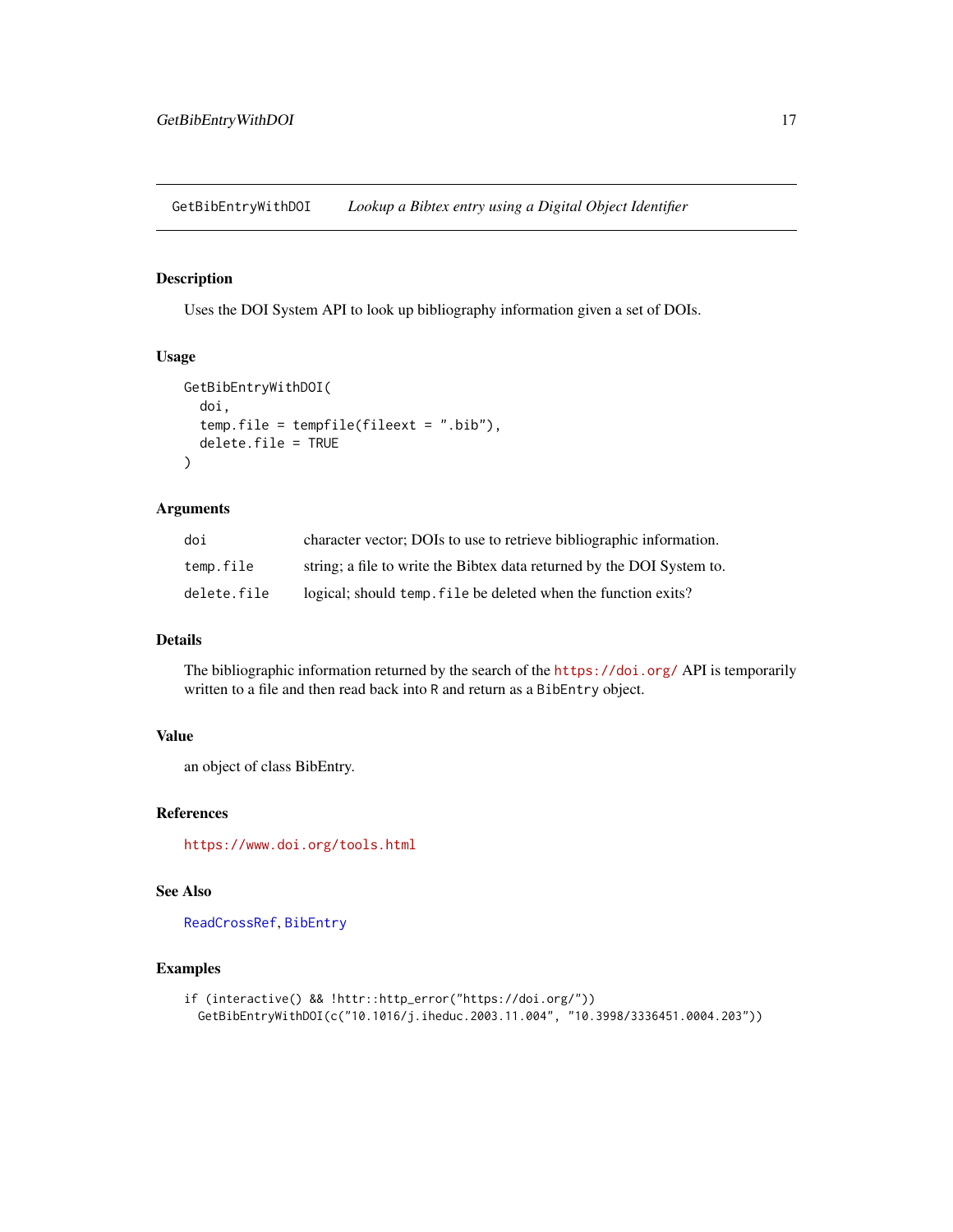<span id="page-16-0"></span>GetBibEntryWithDOI *Lookup a Bibtex entry using a Digital Object Identifier*

# Description

Uses the DOI System API to look up bibliography information given a set of DOIs.

### Usage

```
GetBibEntryWithDOI(
  doi,
  temp.file = tempfile(fileext = ".bib"),
  delete.file = TRUE
\mathcal{L}
```
### Arguments

| doi         | character vector; DOIs to use to retrieve bibliographic information.   |
|-------------|------------------------------------------------------------------------|
| temp.file   | string; a file to write the Bibtex data returned by the DOI System to. |
| delete.file | logical; should temp, file be deleted when the function exits?         |

### Details

The bibliographic information returned by the search of the <https://doi.org/> API is temporarily written to a file and then read back into R and return as a BibEntry object.

# Value

an object of class BibEntry.

### References

<https://www.doi.org/tools.html>

# See Also

[ReadCrossRef](#page-26-1), [BibEntry](#page-7-1)

```
if (interactive() && !httr::http_error("https://doi.org/"))
 GetBibEntryWithDOI(c("10.1016/j.iheduc.2003.11.004", "10.3998/3336451.0004.203"))
```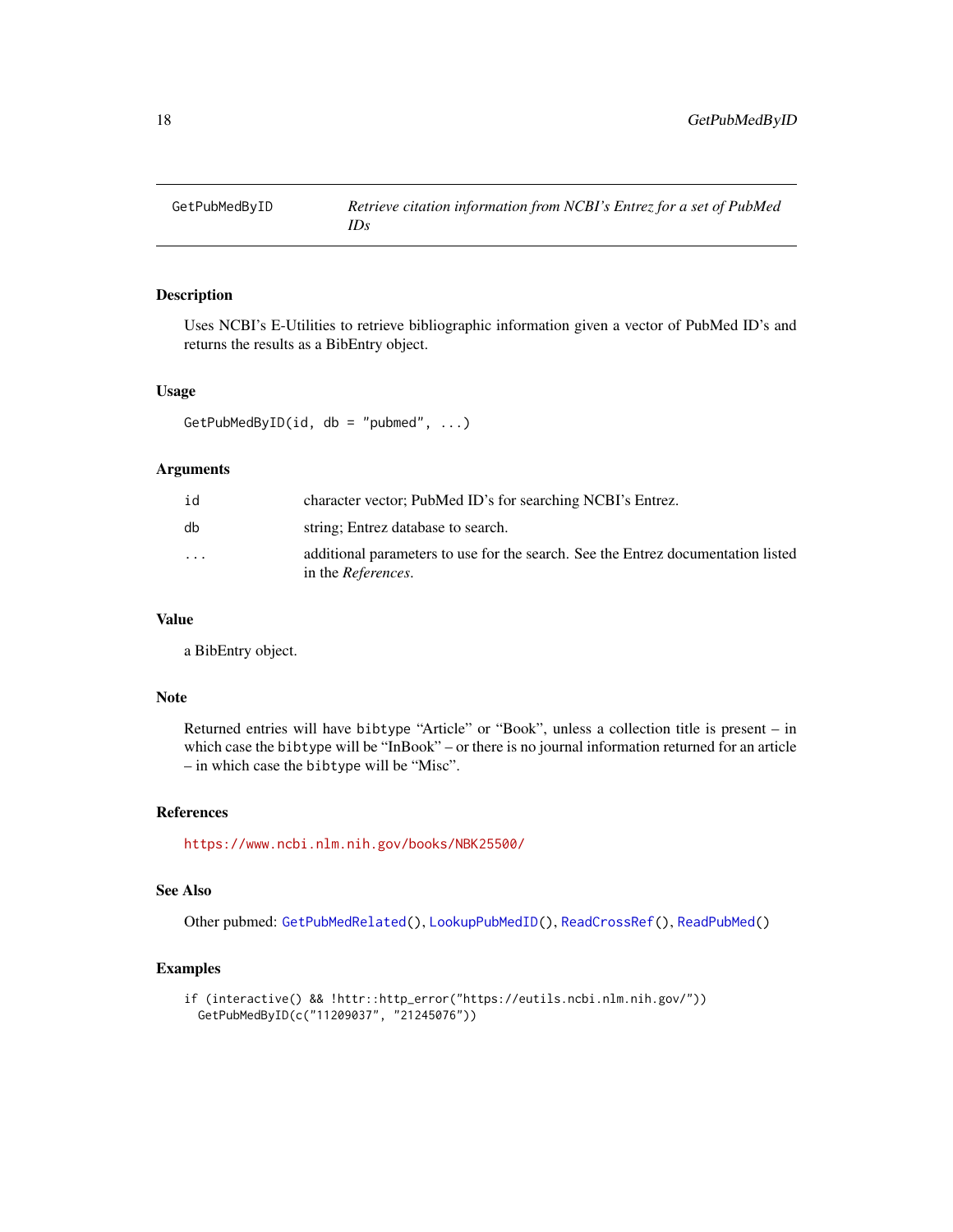<span id="page-17-1"></span><span id="page-17-0"></span>

Uses NCBI's E-Utilities to retrieve bibliographic information given a vector of PubMed ID's and returns the results as a BibEntry object.

### Usage

GetPubMedByID(id, db = "pubmed",  $\ldots$ )

# Arguments

| id                      | character vector; PubMed ID's for searching NCBI's Entrez.                                                     |
|-------------------------|----------------------------------------------------------------------------------------------------------------|
| db                      | string; Entrez database to search.                                                                             |
| $\cdot$ $\cdot$ $\cdot$ | additional parameters to use for the search. See the Entrez documentation listed<br>in the <i>References</i> . |

#### Value

a BibEntry object.

#### Note

Returned entries will have bibtype "Article" or "Book", unless a collection title is present – in which case the bibtype will be "InBook" – or there is no journal information returned for an article – in which case the bibtype will be "Misc".

### References

<https://www.ncbi.nlm.nih.gov/books/NBK25500/>

# See Also

Other pubmed: [GetPubMedRelated\(](#page-18-1)), [LookupPubMedID\(](#page-21-1)), [ReadCrossRef\(](#page-26-1)), [ReadPubMed\(](#page-32-1))

```
if (interactive() && !httr::http_error("https://eutils.ncbi.nlm.nih.gov/"))
 GetPubMedByID(c("11209037", "21245076"))
```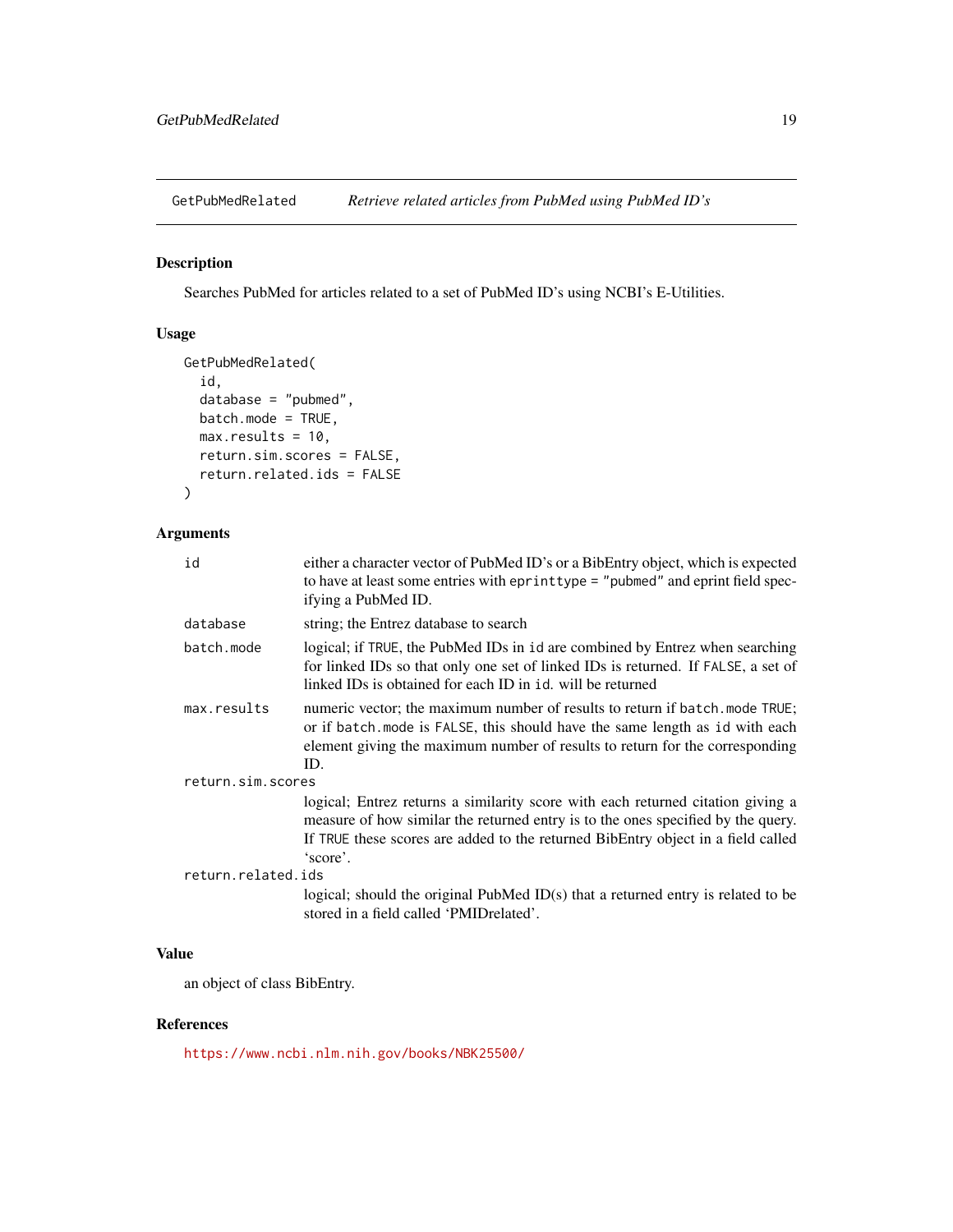<span id="page-18-1"></span><span id="page-18-0"></span>GetPubMedRelated *Retrieve related articles from PubMed using PubMed ID's*

# Description

Searches PubMed for articles related to a set of PubMed ID's using NCBI's E-Utilities.

# Usage

```
GetPubMedRelated(
  id,
  database = "pubmed",
 batch.mode = TRUE,
 max. results = 10,return.sim.scores = FALSE,
  return.related.ids = FALSE
)
```
# Arguments

| id                 | either a character vector of PubMed ID's or a BibEntry object, which is expected<br>to have at least some entries with eprinttype = "pubmed" and eprint field spec-<br>ifying a PubMed ID.                                                                          |  |
|--------------------|---------------------------------------------------------------------------------------------------------------------------------------------------------------------------------------------------------------------------------------------------------------------|--|
| database           | string; the Entrez database to search                                                                                                                                                                                                                               |  |
| batch.mode         | logical; if TRUE, the PubMed IDs in id are combined by Entrez when searching<br>for linked IDs so that only one set of linked IDs is returned. If FALSE, a set of<br>linked IDs is obtained for each ID in id. will be returned                                     |  |
| max.results        | numeric vector; the maximum number of results to return if batch. mode TRUE;<br>or if batch. mode is FALSE, this should have the same length as id with each<br>element giving the maximum number of results to return for the corresponding<br>ID.                 |  |
| return.sim.scores  |                                                                                                                                                                                                                                                                     |  |
|                    | logical; Entrez returns a similarity score with each returned citation giving a<br>measure of how similar the returned entry is to the ones specified by the query.<br>If TRUE these scores are added to the returned BibEntry object in a field called<br>'score'. |  |
| return.related.ids |                                                                                                                                                                                                                                                                     |  |
|                    | logical; should the original PubMed ID(s) that a returned entry is related to be<br>stored in a field called 'PMIDrelated'.                                                                                                                                         |  |
|                    |                                                                                                                                                                                                                                                                     |  |

# Value

an object of class BibEntry.

# References

<https://www.ncbi.nlm.nih.gov/books/NBK25500/>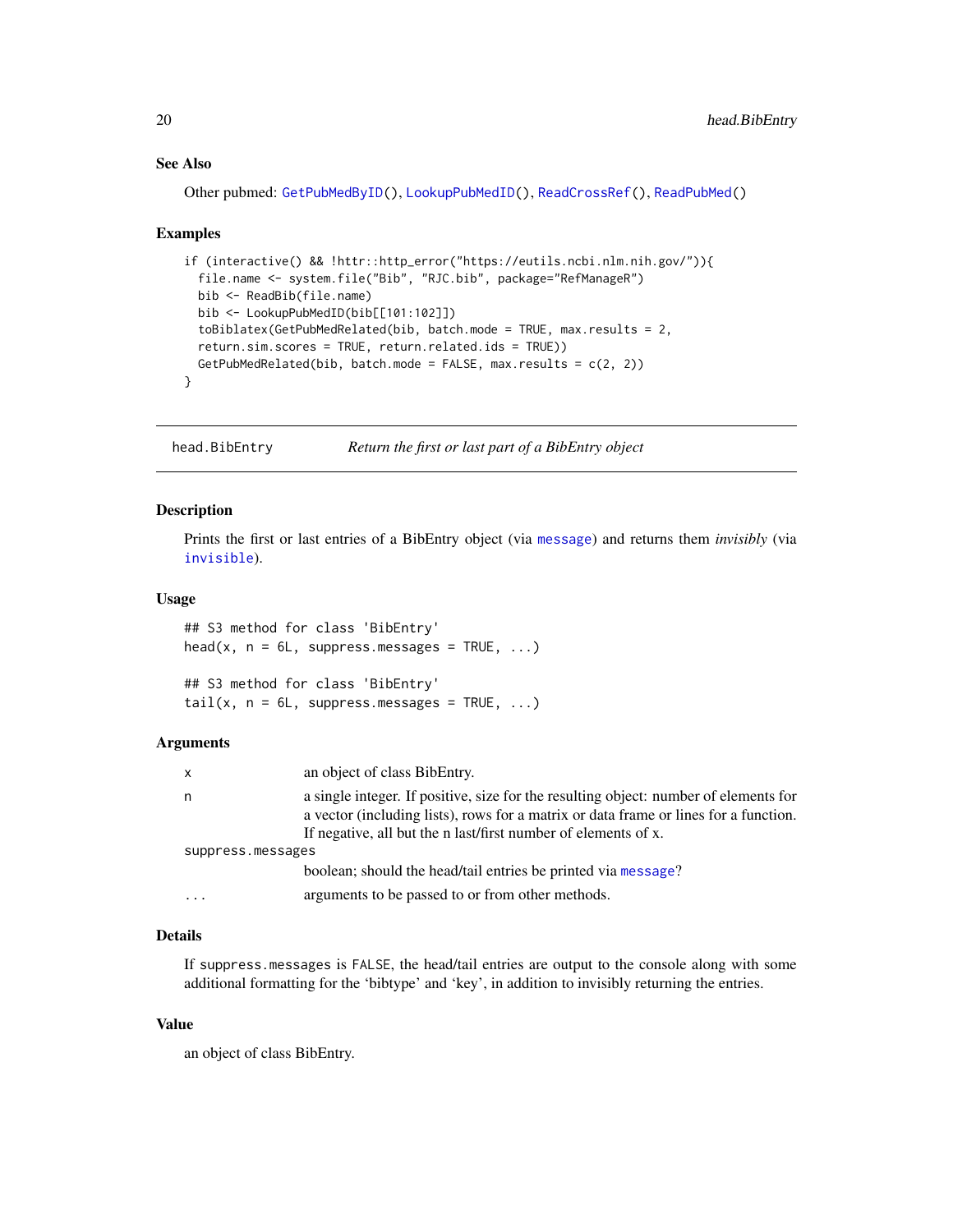# See Also

Other pubmed: [GetPubMedByID\(](#page-17-1)), [LookupPubMedID\(](#page-21-1)), [ReadCrossRef\(](#page-26-1)), [ReadPubMed\(](#page-32-1))

#### Examples

```
if (interactive() && !httr::http_error("https://eutils.ncbi.nlm.nih.gov/")){
 file.name <- system.file("Bib", "RJC.bib", package="RefManageR")
 bib <- ReadBib(file.name)
 bib <- LookupPubMedID(bib[[101:102]])
 toBiblatex(GetPubMedRelated(bib, batch.mode = TRUE, max.results = 2,
 return.sim.scores = TRUE, return.related.ids = TRUE))
 GetPubMedRelated(bib, batch.mode = FALSE, max.results = c(2, 2))
}
```
head.BibEntry *Return the first or last part of a BibEntry object*

### Description

Prints the first or last entries of a BibEntry object (via [message](#page-0-0)) and returns them *invisibly* (via [invisible](#page-0-0)).

### Usage

```
## S3 method for class 'BibEntry'
head(x, n = 6L, suppress.messages = TRUE, ...)
## S3 method for class 'BibEntry'
tail(x, n = 6L, suppress. messages = TRUE, ...)
```
#### Arguments

| x                 | an object of class BibEntry.                                                                                                                                                                                                                   |  |
|-------------------|------------------------------------------------------------------------------------------------------------------------------------------------------------------------------------------------------------------------------------------------|--|
| n                 | a single integer. If positive, size for the resulting object: number of elements for<br>a vector (including lists), rows for a matrix or data frame or lines for a function.<br>If negative, all but the n last/first number of elements of x. |  |
| suppress.messages |                                                                                                                                                                                                                                                |  |
|                   | boolean; should the head/tail entries be printed via message?                                                                                                                                                                                  |  |
| .                 | arguments to be passed to or from other methods.                                                                                                                                                                                               |  |

# Details

If suppress.messages is FALSE, the head/tail entries are output to the console along with some additional formatting for the 'bibtype' and 'key', in addition to invisibly returning the entries.

### Value

an object of class BibEntry.

<span id="page-19-0"></span>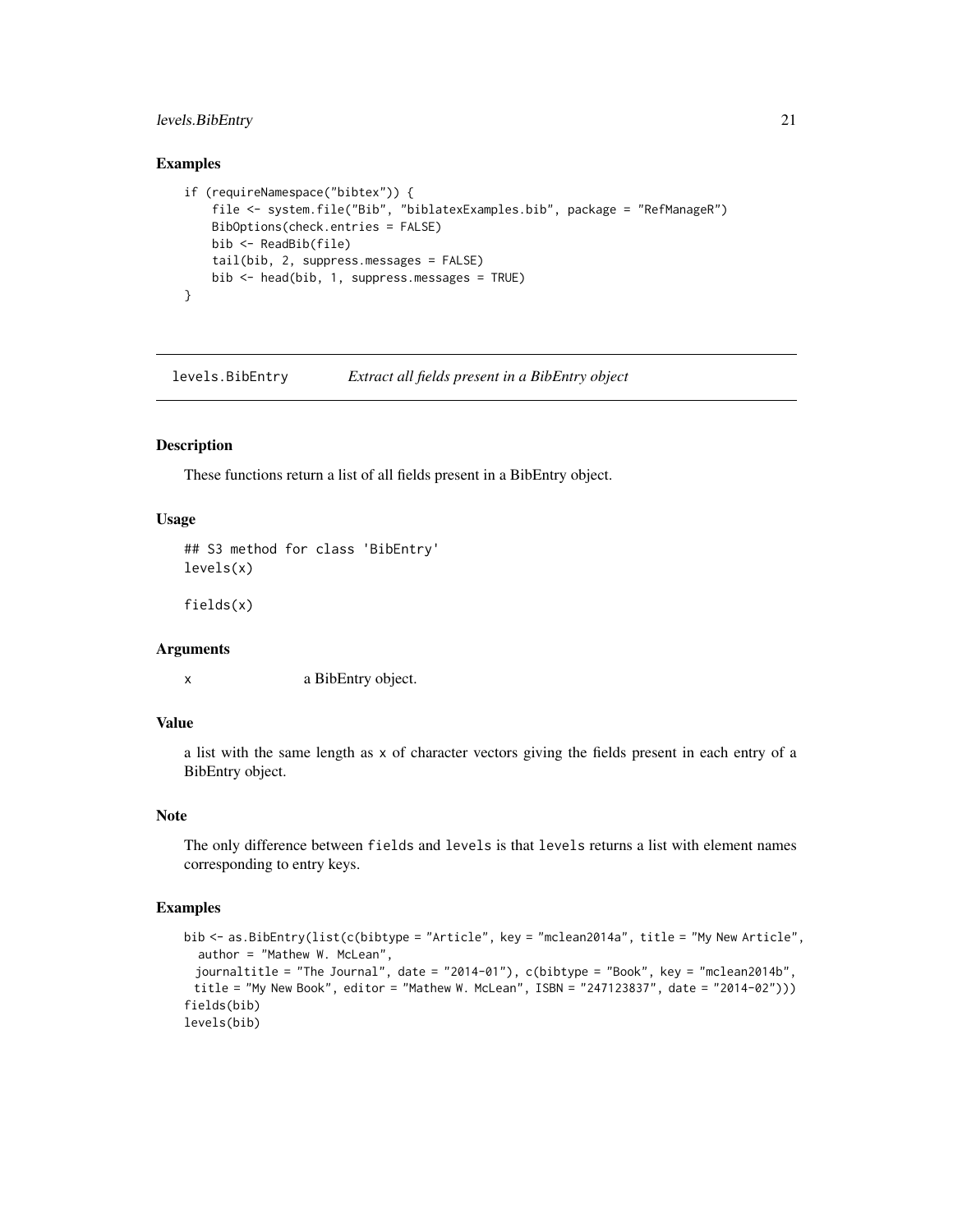# <span id="page-20-0"></span>levels.BibEntry 21

### Examples

```
if (requireNamespace("bibtex")) {
    file <- system.file("Bib", "biblatexExamples.bib", package = "RefManageR")
   BibOptions(check.entries = FALSE)
   bib <- ReadBib(file)
   tail(bib, 2, suppress.messages = FALSE)
   bib <- head(bib, 1, suppress.messages = TRUE)
}
```
levels.BibEntry *Extract all fields present in a BibEntry object*

# Description

These functions return a list of all fields present in a BibEntry object.

### Usage

```
## S3 method for class 'BibEntry'
levels(x)
```
fields(x)

# **Arguments**

x a BibEntry object.

### Value

a list with the same length as x of character vectors giving the fields present in each entry of a BibEntry object.

# Note

The only difference between fields and levels is that levels returns a list with element names corresponding to entry keys.

```
bib <- as.BibEntry(list(c(bibtype = "Article", key = "mclean2014a", title = "My New Article",
  author = "Mathew W. McLean",
 journaltitle = "The Journal", date = "2014-01"), c(bibtype = "Book", key = "mclean2014b",
 title = "My New Book", editor = "Mathew W. McLean", ISBN = "247123837", date = "2014-02")))
fields(bib)
levels(bib)
```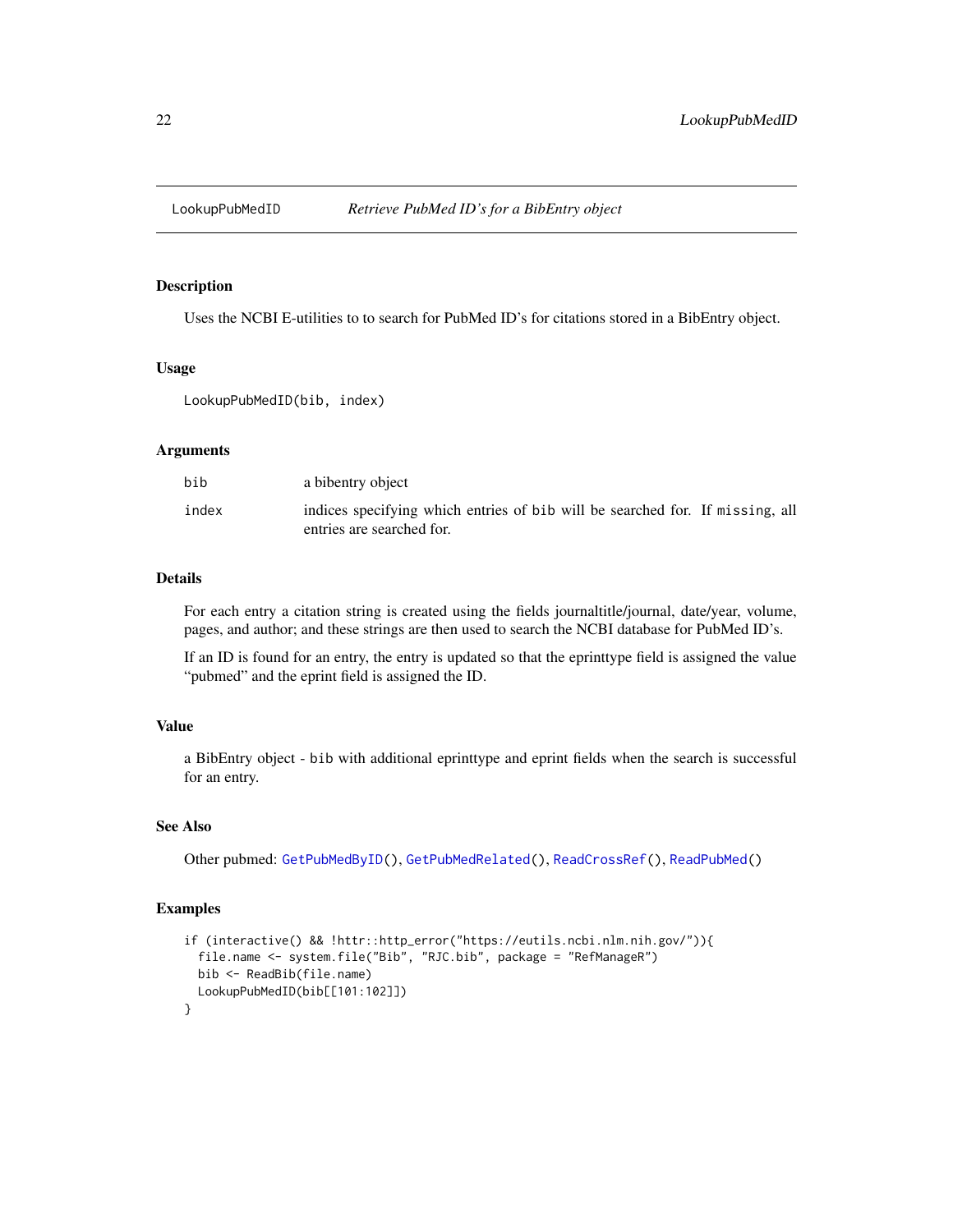<span id="page-21-1"></span><span id="page-21-0"></span>

Uses the NCBI E-utilities to to search for PubMed ID's for citations stored in a BibEntry object.

### Usage

LookupPubMedID(bib, index)

### Arguments

| bib   | a bibentry object                                                                                          |
|-------|------------------------------------------------------------------------------------------------------------|
| index | indices specifying which entries of bib will be searched for. If missing, all<br>entries are searched for. |

### Details

For each entry a citation string is created using the fields journaltitle/journal, date/year, volume, pages, and author; and these strings are then used to search the NCBI database for PubMed ID's.

If an ID is found for an entry, the entry is updated so that the eprinttype field is assigned the value "pubmed" and the eprint field is assigned the ID.

# Value

a BibEntry object - bib with additional eprinttype and eprint fields when the search is successful for an entry.

### See Also

Other pubmed: [GetPubMedByID\(](#page-17-1)), [GetPubMedRelated\(](#page-18-1)), [ReadCrossRef\(](#page-26-1)), [ReadPubMed\(](#page-32-1))

```
if (interactive() && !httr::http_error("https://eutils.ncbi.nlm.nih.gov/")){
 file.name <- system.file("Bib", "RJC.bib", package = "RefManageR")
 bib <- ReadBib(file.name)
 LookupPubMedID(bib[[101:102]])
}
```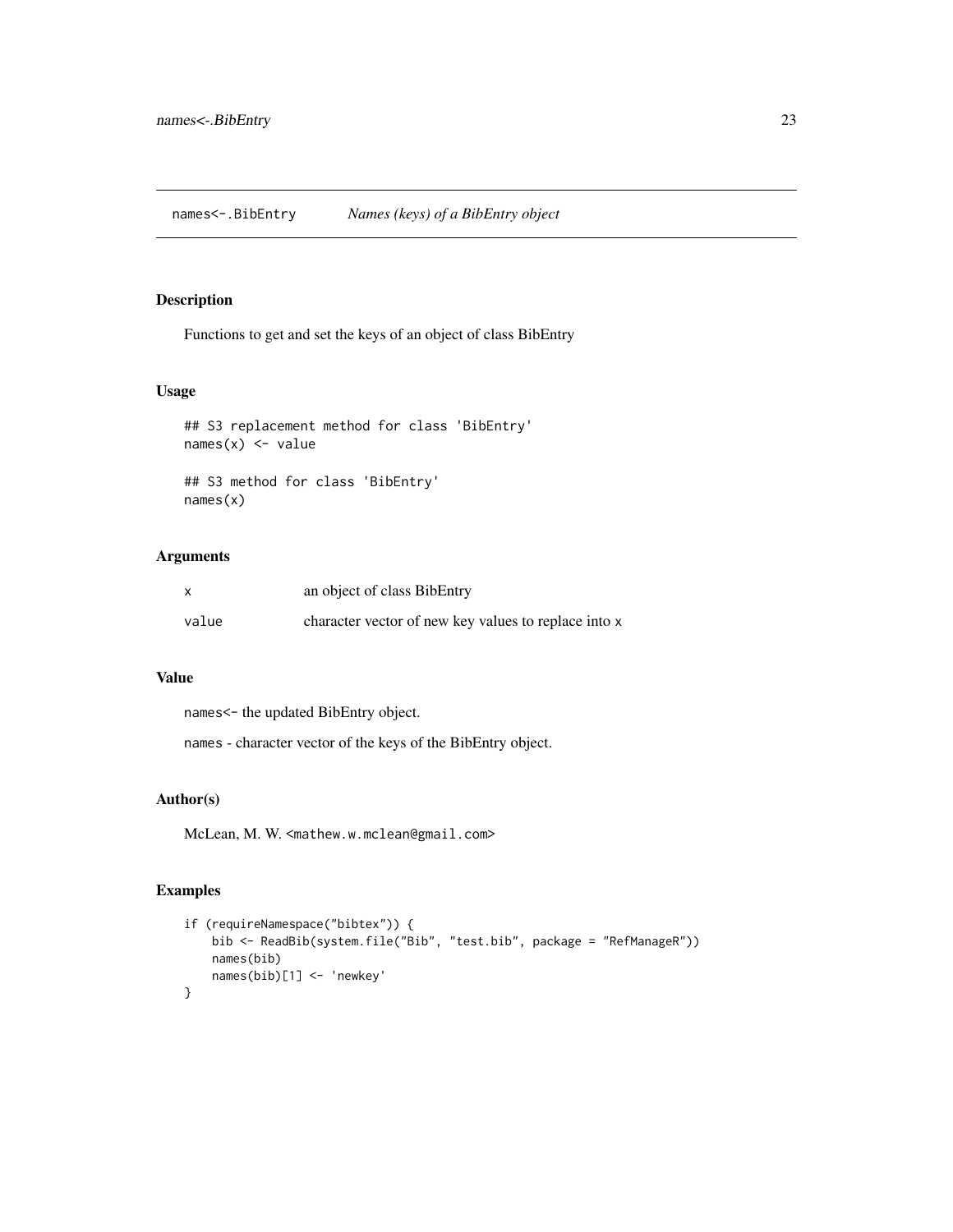<span id="page-22-0"></span>Functions to get and set the keys of an object of class BibEntry

# Usage

```
## S3 replacement method for class 'BibEntry'
names(x) <- value
## S3 method for class 'BibEntry'
names(x)
```
# Arguments

|       | an object of class BibEntry                          |
|-------|------------------------------------------------------|
| value | character vector of new key values to replace into x |

### Value

names<- the updated BibEntry object.

names - character vector of the keys of the BibEntry object.

# Author(s)

McLean, M. W. <mathew.w.mclean@gmail.com>

```
if (requireNamespace("bibtex")) {
   bib <- ReadBib(system.file("Bib", "test.bib", package = "RefManageR"))
   names(bib)
   names(bib)[1] <- 'newkey'
}
```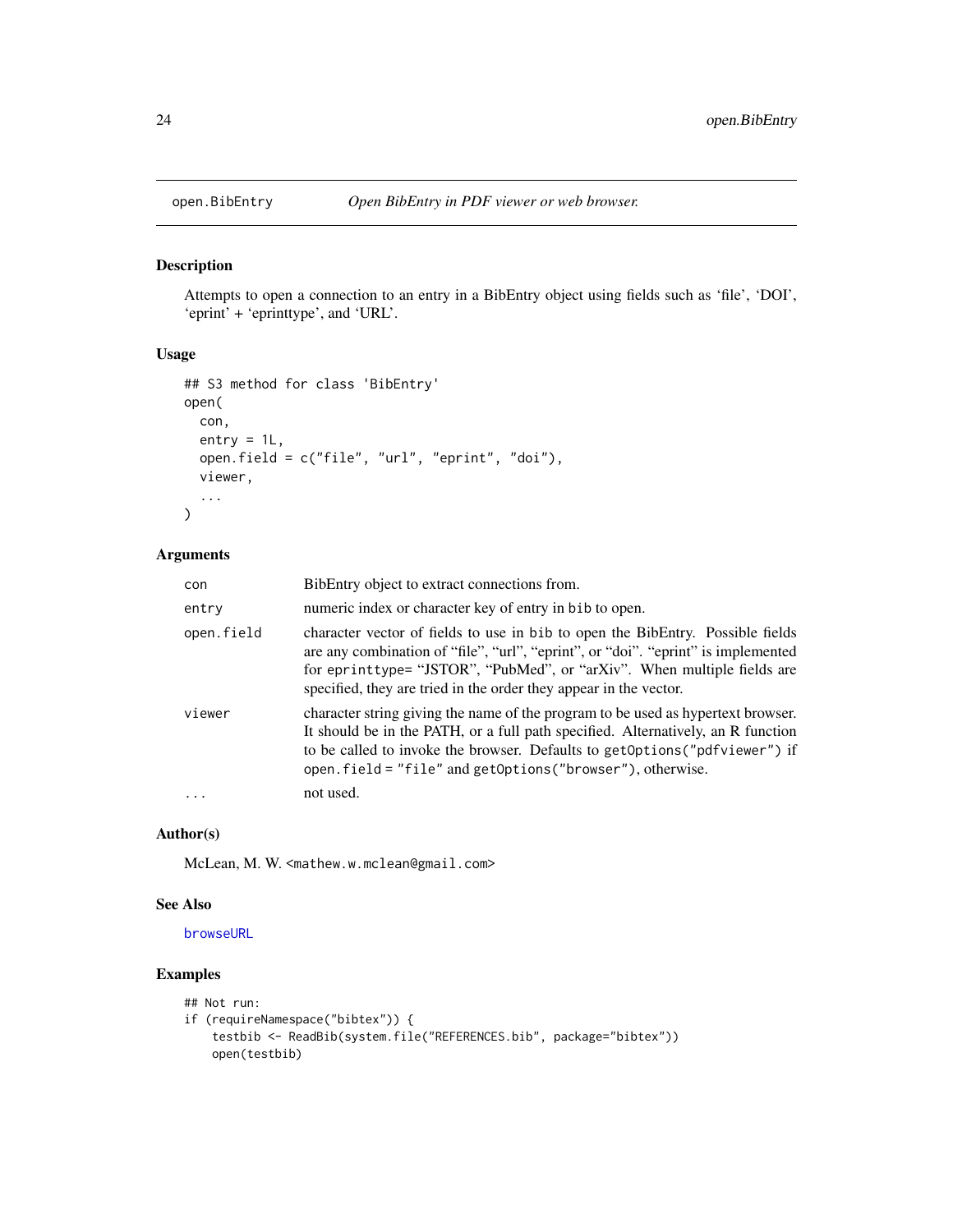<span id="page-23-1"></span><span id="page-23-0"></span>

Attempts to open a connection to an entry in a BibEntry object using fields such as 'file', 'DOI', 'eprint' + 'eprinttype', and 'URL'.

# Usage

```
## S3 method for class 'BibEntry'
open(
  con,
 entry = 1L,
 open.field = c("file", "url", "eprint", "doi"),
  viewer,
  ...
)
```
# Arguments

| con        | BibEntry object to extract connections from.                                                                                                                                                                                                                                                                        |
|------------|---------------------------------------------------------------------------------------------------------------------------------------------------------------------------------------------------------------------------------------------------------------------------------------------------------------------|
| entry      | numeric index or character key of entry in bib to open.                                                                                                                                                                                                                                                             |
| open.field | character vector of fields to use in bib to open the BibEntry. Possible fields<br>are any combination of "file", "url", "eprint", or "doi". "eprint" is implemented<br>for eprinttype= "JSTOR", "PubMed", or "arXiv". When multiple fields are<br>specified, they are tried in the order they appear in the vector. |
| viewer     | character string giving the name of the program to be used as hypertext browser.<br>It should be in the PATH, or a full path specified. Alternatively, an R function<br>to be called to invoke the browser. Defaults to get Options ("pdfviewer") if<br>open.field = "file" and getOptions ("browser"), otherwise.  |
|            | not used.                                                                                                                                                                                                                                                                                                           |

# Author(s)

McLean, M. W. <mathew.w.mclean@gmail.com>

# See Also

[browseURL](#page-0-0)

```
## Not run:
if (requireNamespace("bibtex")) {
   testbib <- ReadBib(system.file("REFERENCES.bib", package="bibtex"))
   open(testbib)
```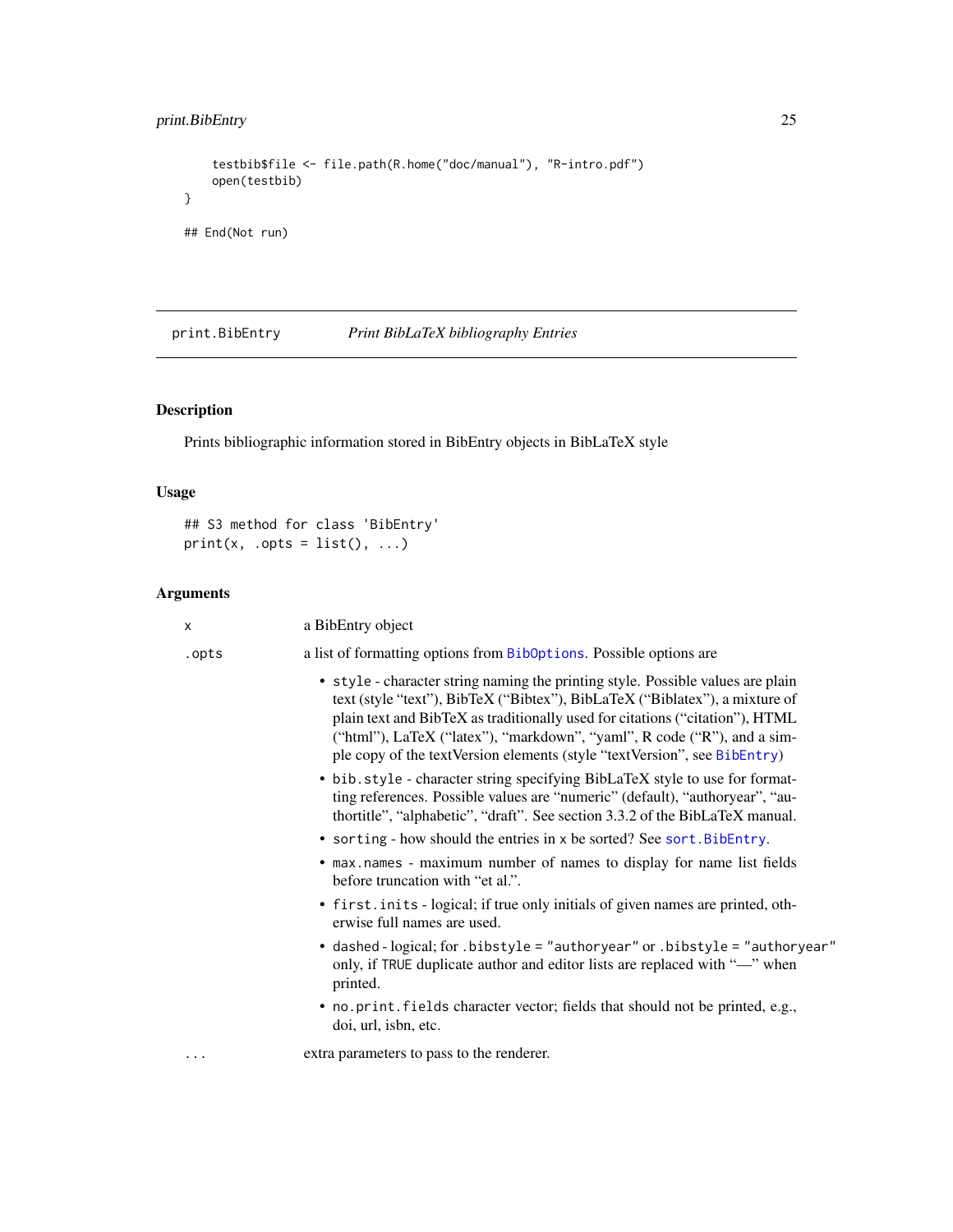```
testbib$file <- file.path(R.home("doc/manual"), "R-intro.pdf")
   open(testbib)
}
## End(Not run)
```
<span id="page-24-1"></span>print.BibEntry *Print BibLaTeX bibliography Entries*

# Description

Prints bibliographic information stored in BibEntry objects in BibLaTeX style

# Usage

## S3 method for class 'BibEntry'  $print(x, .opts = list(), ...)$ 

# Arguments

| X        | a BibEntry object                                                                                                                                                                                                                                                                                                                                                                                     |
|----------|-------------------------------------------------------------------------------------------------------------------------------------------------------------------------------------------------------------------------------------------------------------------------------------------------------------------------------------------------------------------------------------------------------|
| .opts    | a list of formatting options from BibOptions. Possible options are                                                                                                                                                                                                                                                                                                                                    |
|          | • style - character string naming the printing style. Possible values are plain<br>text (style "text"), BibTeX ("Bibtex"), BibLaTeX ("Biblatex"), a mixture of<br>plain text and BibTeX as traditionally used for citations ("citation"), HTML<br>("html"), LaTeX ("latex"), "markdown", "yaml", R code ("R"), and a sim-<br>ple copy of the textVersion elements (style "textVersion", see BibEntry) |
|          | • bib.style - character string specifying BibLaTeX style to use for format-<br>ting references. Possible values are "numeric" (default), "authoryear", "au-<br>thortitle", "alphabetic", "draft". See section 3.3.2 of the BibLaTeX manual.                                                                                                                                                           |
|          | • sorting - how should the entries in x be sorted? See sort. BibEntry.                                                                                                                                                                                                                                                                                                                                |
|          | • max.names - maximum number of names to display for name list fields<br>before truncation with "et al.".                                                                                                                                                                                                                                                                                             |
|          | • first. inits - logical; if true only initials of given names are printed, oth-<br>erwise full names are used.                                                                                                                                                                                                                                                                                       |
|          | • dashed - logical; for .bibstyle = "authoryear" or .bibstyle = "authoryear"<br>only, if TRUE duplicate author and editor lists are replaced with "-" when<br>printed.                                                                                                                                                                                                                                |
|          | • no. print. fields character vector; fields that should not be printed, e.g.,<br>doi, url, isbn, etc.                                                                                                                                                                                                                                                                                                |
| $\cdots$ | extra parameters to pass to the renderer.                                                                                                                                                                                                                                                                                                                                                             |
|          |                                                                                                                                                                                                                                                                                                                                                                                                       |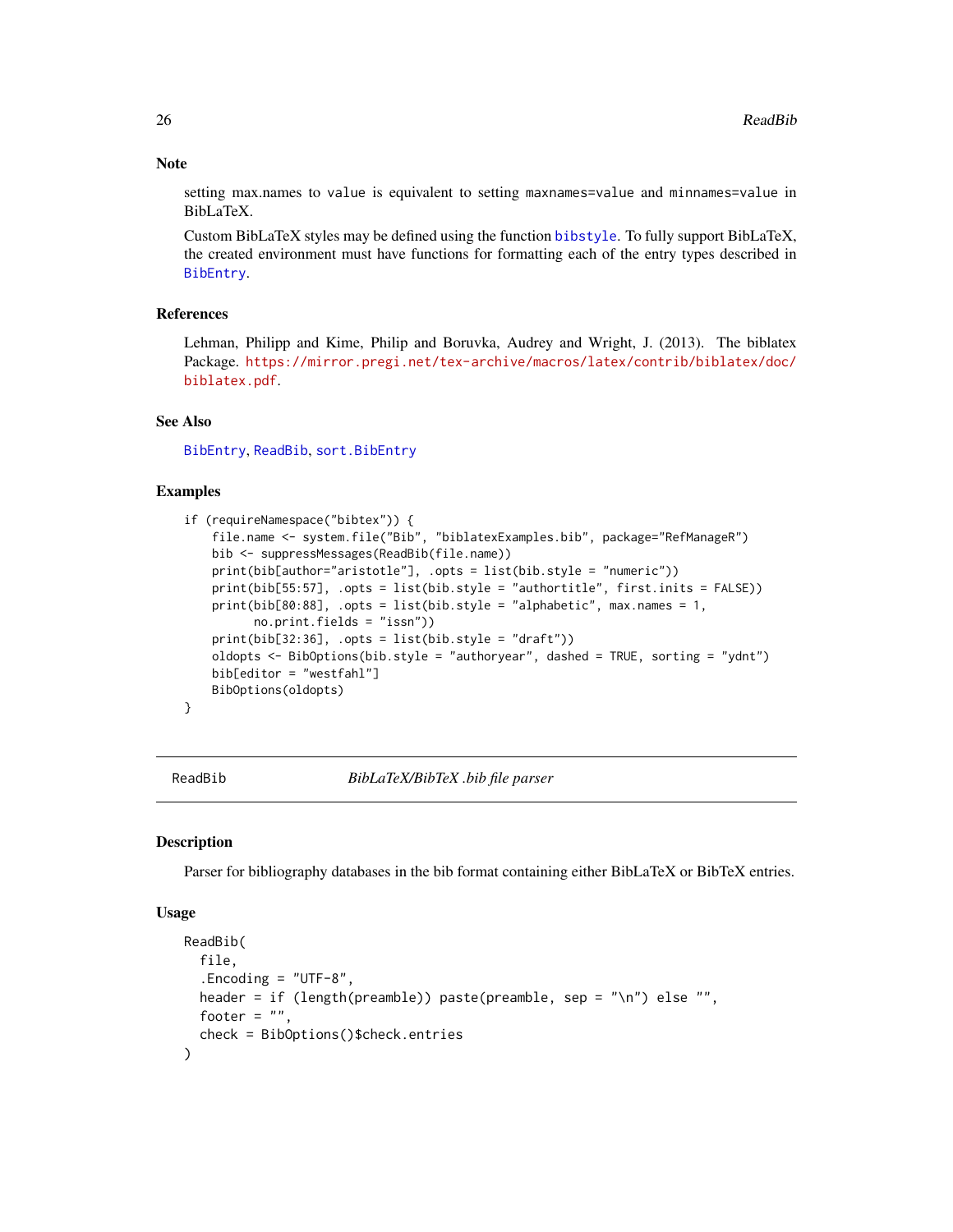### **Note**

setting max.names to value is equivalent to setting maxnames=value and minnames=value in BibLaTeX.

Custom BibLaTeX styles may be defined using the function [bibstyle](#page-0-0). To fully support BibLaTeX, the created environment must have functions for formatting each of the entry types described in [BibEntry](#page-7-1).

# References

Lehman, Philipp and Kime, Philip and Boruvka, Audrey and Wright, J. (2013). The biblatex Package. [https://mirror.pregi.net/tex-archive/macros/latex/contrib/biblatex/doc/](https://mirror.pregi.net/tex-archive/macros/latex/contrib/biblatex/doc/biblatex.pdf) [biblatex.pdf](https://mirror.pregi.net/tex-archive/macros/latex/contrib/biblatex/doc/biblatex.pdf).

### See Also

[BibEntry](#page-7-1), [ReadBib](#page-25-1), [sort.BibEntry](#page-36-1)

### Examples

```
if (requireNamespace("bibtex")) {
   file.name <- system.file("Bib", "biblatexExamples.bib", package="RefManageR")
   bib <- suppressMessages(ReadBib(file.name))
   print(bib[author="aristotle"], .opts = list(bib.style = "numeric"))
   print(bib[55:57], .opts = list(bib.style = "authortitle", first.inits = FALSE))
   print(bib[80:88], .opts = list(bib.style = "alphabetic", max.names = 1,
          no.print.fields = "issn"))
    print(bib[32:36], .opts = list(bib.style = "draft"))
   oldopts <- BibOptions(bib.style = "authoryear", dashed = TRUE, sorting = "ydnt")
   bib[editor = "westfahl"]
   BibOptions(oldopts)
}
```
<span id="page-25-1"></span>

ReadBib *BibLaTeX/BibTeX .bib file parser*

### **Description**

Parser for bibliography databases in the bib format containing either BibLaTeX or BibTeX entries.

### Usage

```
ReadBib(
  file,
  . Encoding = "UTF-8",
 header = if (length(preamble)) paste(preamble, sep = "\n") else "",
 footer = ",
  check = BibOptions()$check.entries
)
```
<span id="page-25-0"></span>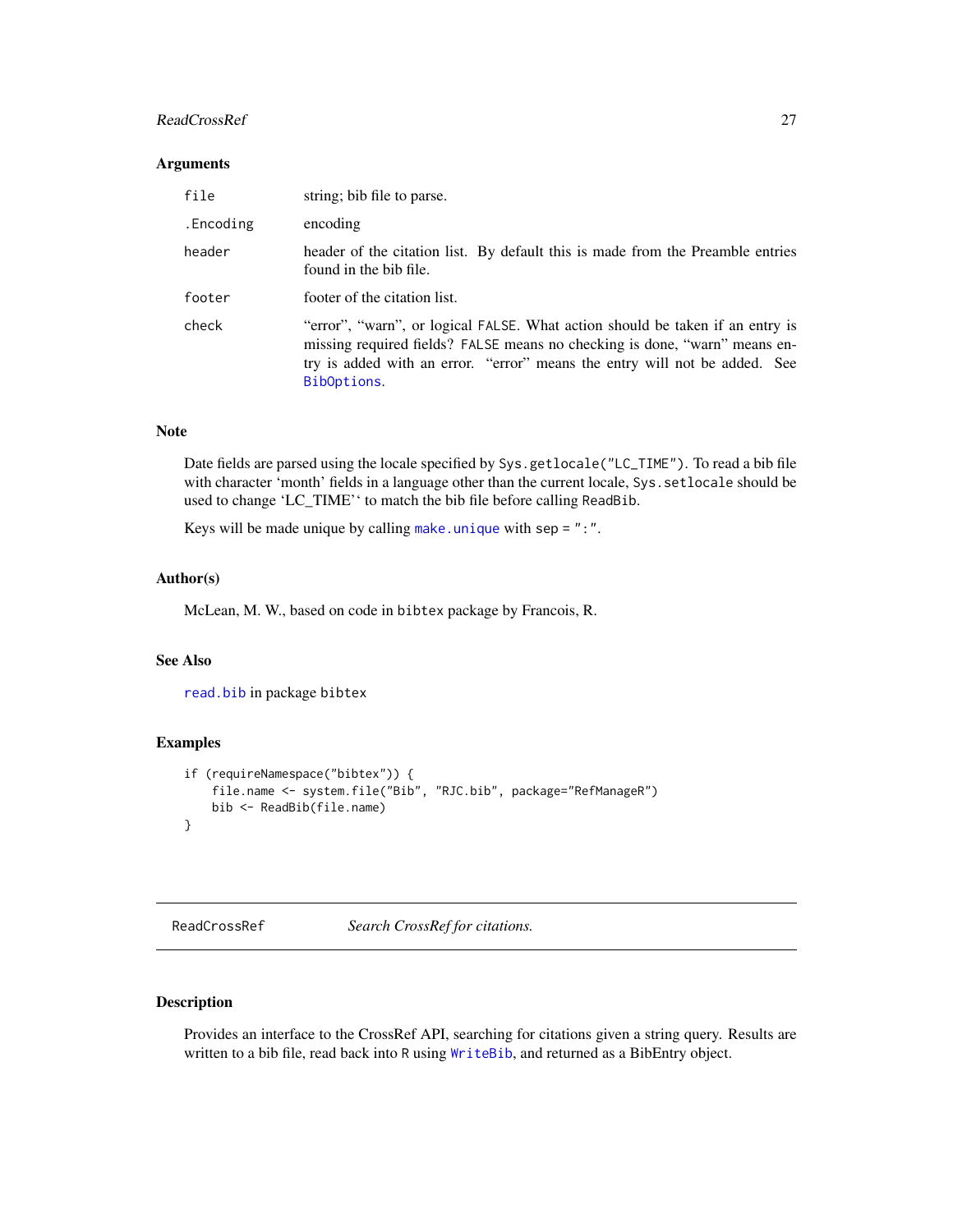# <span id="page-26-0"></span>ReadCrossRef 27

### Arguments

| file      | string; bib file to parse.                                                                                                                                                                                                                               |
|-----------|----------------------------------------------------------------------------------------------------------------------------------------------------------------------------------------------------------------------------------------------------------|
| .Encoding | encoding                                                                                                                                                                                                                                                 |
| header    | header of the citation list. By default this is made from the Preamble entries<br>found in the bib file.                                                                                                                                                 |
| footer    | footer of the citation list.                                                                                                                                                                                                                             |
| check     | "error", "warn", or logical FALSE. What action should be taken if an entry is<br>missing required fields? FALSE means no checking is done, "warn" means en-<br>try is added with an error. "error" means the entry will not be added. See<br>BibOptions. |

#### Note

Date fields are parsed using the locale specified by Sys.getlocale("LC\_TIME"). To read a bib file with character 'month' fields in a language other than the current locale, Sys.setlocale should be used to change 'LC\_TIME'' to match the bib file before calling ReadBib.

Keys will be made unique by calling [make.unique](#page-0-0) with sep = ":".

### Author(s)

McLean, M. W., based on code in bibtex package by Francois, R.

### See Also

[read.bib](#page-0-0) in package bibtex

# Examples

```
if (requireNamespace("bibtex")) {
   file.name <- system.file("Bib", "RJC.bib", package="RefManageR")
   bib <- ReadBib(file.name)
}
```
<span id="page-26-1"></span>ReadCrossRef *Search CrossRef for citations.*

# Description

Provides an interface to the CrossRef API, searching for citations given a string query. Results are written to a bib file, read back into R using [WriteBib](#page-40-1), and returned as a BibEntry object.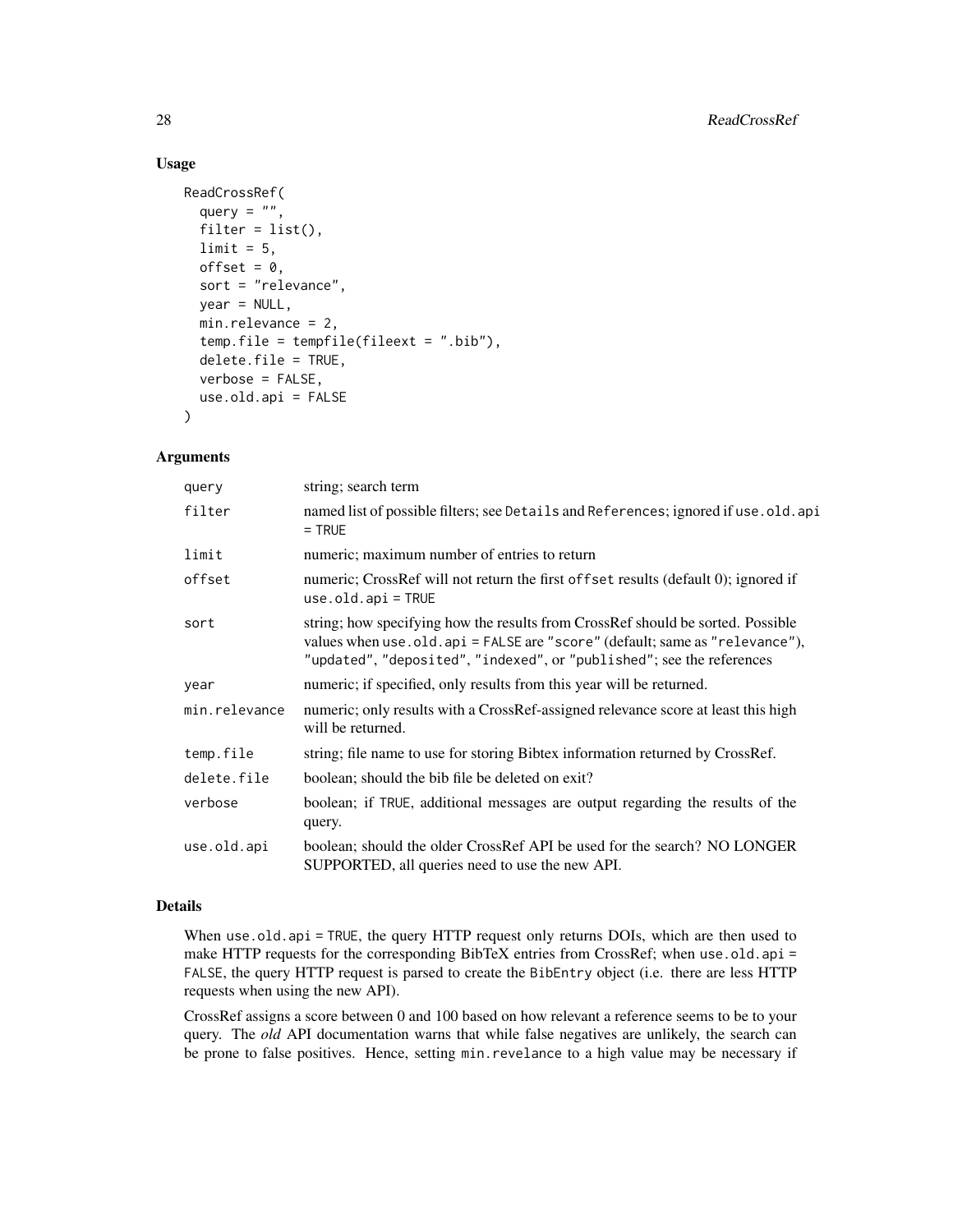# Usage

```
ReadCrossRef(
 query = ",
 filter = list(),limit = 5,offset = 0,
 sort = "relevance",
 year = NULL,
 min.relevance = 2,
  temp.file = tempfile(fileext = ".bib"),
 delete.file = TRUE,
 verbose = FALSE,
 use.old.api = FALSE
)
```
# Arguments

| query         | string; search term                                                                                                                                                                                                                      |
|---------------|------------------------------------------------------------------------------------------------------------------------------------------------------------------------------------------------------------------------------------------|
| filter        | named list of possible filters; see Details and References; ignored if use . old. api<br>$=$ TRUE                                                                                                                                        |
| limit         | numeric; maximum number of entries to return                                                                                                                                                                                             |
| offset        | numeric; CrossRef will not return the first of fset results (default 0); ignored if<br>$use. old.$ api = TRUE                                                                                                                            |
| sort          | string; how specifying how the results from CrossRef should be sorted. Possible<br>values when use odd. api = FALSE are "score" (default; same as "relevance"),<br>"updated", "deposited", "indexed", or "published"; see the references |
| year          | numeric; if specified, only results from this year will be returned.                                                                                                                                                                     |
| min.relevance | numeric; only results with a CrossRef-assigned relevance score at least this high<br>will be returned.                                                                                                                                   |
| temp.file     | string; file name to use for storing Bibtex information returned by CrossRef.                                                                                                                                                            |
| delete.file   | boolean; should the bib file be deleted on exit?                                                                                                                                                                                         |
| verbose       | boolean; if TRUE, additional messages are output regarding the results of the<br>query.                                                                                                                                                  |
| use.old.api   | boolean; should the older CrossRef API be used for the search? NO LONGER<br>SUPPORTED, all queries need to use the new API.                                                                                                              |

# Details

When use.old.api = TRUE, the query HTTP request only returns DOIs, which are then used to make HTTP requests for the corresponding BibTeX entries from CrossRef; when use.old.api = FALSE, the query HTTP request is parsed to create the BibEntry object (i.e. there are less HTTP requests when using the new API).

CrossRef assigns a score between 0 and 100 based on how relevant a reference seems to be to your query. The *old* API documentation warns that while false negatives are unlikely, the search can be prone to false positives. Hence, setting min.revelance to a high value may be necessary if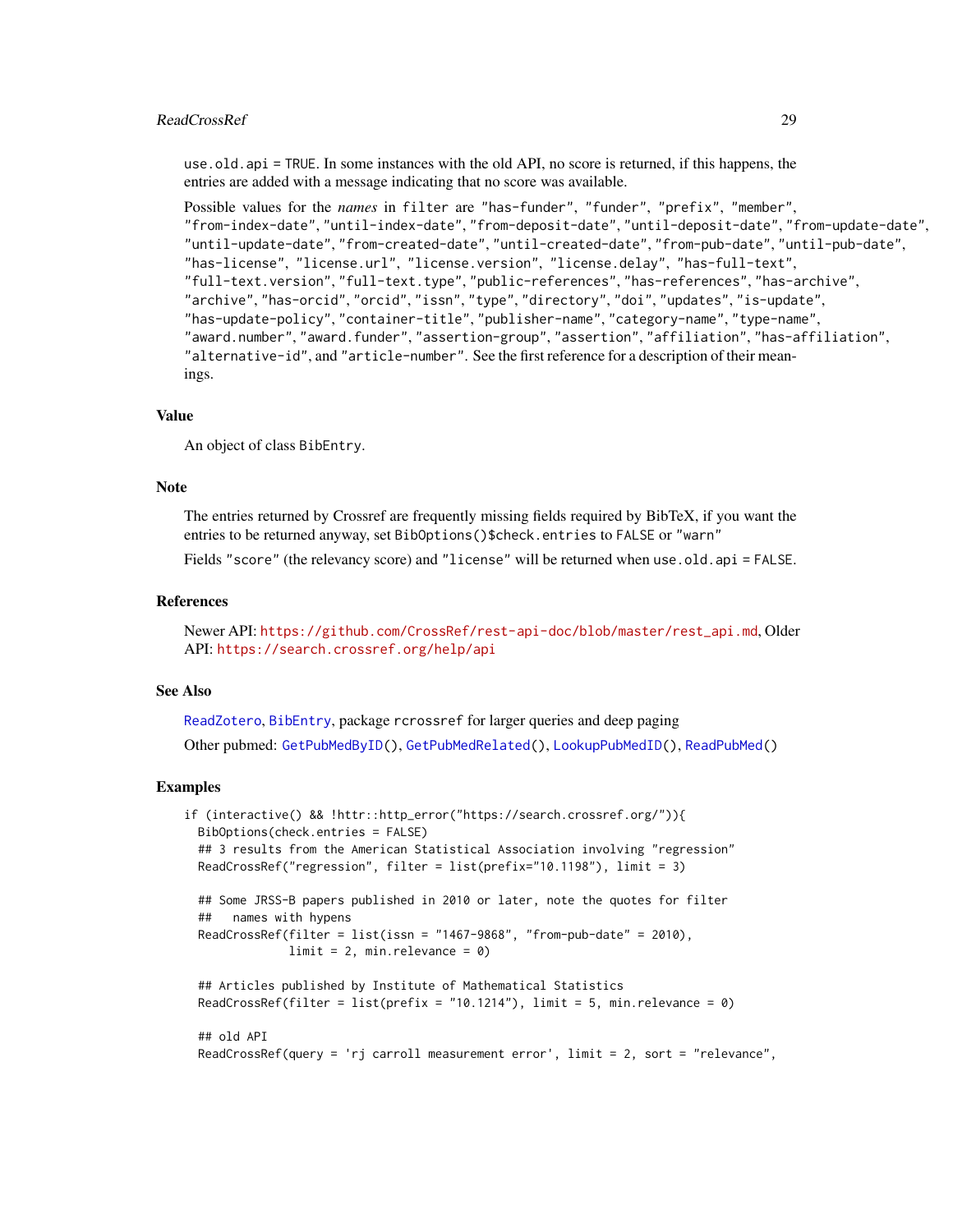### <span id="page-28-0"></span>ReadCrossRef 29

use.old.api = TRUE. In some instances with the old API, no score is returned, if this happens, the entries are added with a message indicating that no score was available.

```
Possible values for the names in filter are "has-funder", "funder", "prefix", "member",
"from-index-date", "until-index-date", "from-deposit-date", "until-deposit-date", "from-update-date",
"until-update-date", "from-created-date", "until-created-date", "from-pub-date", "until-pub-date",
"has-license", "license.url", "license.version", "license.delay", "has-full-text",
"full-text.version", "full-text.type", "public-references", "has-references", "has-archive",
"archive", "has-orcid", "orcid", "issn", "type", "directory", "doi", "updates", "is-update",
"has-update-policy", "container-title", "publisher-name", "category-name", "type-name",
"award.number", "award.funder", "assertion-group", "assertion", "affiliation", "has-affiliation",
"alternative-id", and "article-number". See the first reference for a description of their mean-
ings.
```
### Value

An object of class BibEntry.

### Note

The entries returned by Crossref are frequently missing fields required by BibTeX, if you want the entries to be returned anyway, set BibOptions()\$check.entries to FALSE or "warn"

Fields "score" (the relevancy score) and "license" will be returned when use old. api = FALSE.

# References

Newer API: [https://github.com/CrossRef/rest-api-doc/blob/master/rest\\_api.md](https://github.com/CrossRef/rest-api-doc/blob/master/rest_api.md), Older API: <https://search.crossref.org/help/api>

# See Also

[ReadZotero](#page-33-1), [BibEntry](#page-7-1), package rcrossref for larger queries and deep paging Other pubmed: [GetPubMedByID\(](#page-17-1)), [GetPubMedRelated\(](#page-18-1)), [LookupPubMedID\(](#page-21-1)), [ReadPubMed\(](#page-32-1))

```
if (interactive() && !httr::http_error("https://search.crossref.org/")){
 BibOptions(check.entries = FALSE)
 ## 3 results from the American Statistical Association involving "regression"
 ReadCrossRef("regression", filter = list(prefix="10.1198"), limit = 3)
 ## Some JRSS-B papers published in 2010 or later, note the quotes for filter
 ## names with hypens
 ReadCrossRef(filter = list(issn = "1467-9868", "from-pub-date" = 2010),
              limit = 2, min.relevance = 0)
 ## Articles published by Institute of Mathematical Statistics
 ReadCrossRef(filter = list(prefix = "10.1214"), limit = 5, min.relevance = \emptyset)
 ## old API
 ReadCrossRef(query = 'rj carroll measurement error', limit = 2, sort = "relevance",
```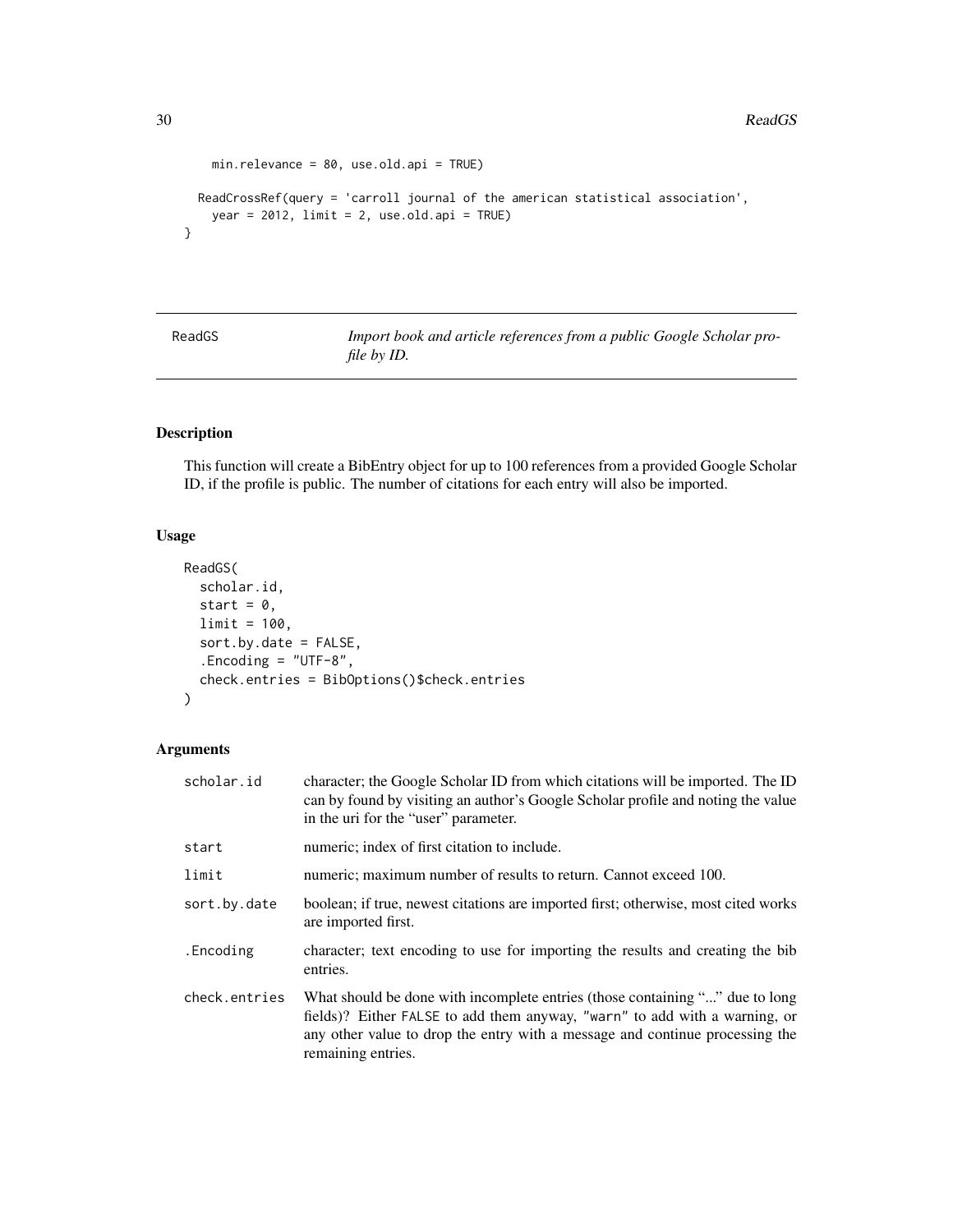```
min.relevance = 80, use.old.api = TRUE)
ReadCrossRef(query = 'carroll journal of the american statistical association',
 year = 2012, limit = 2, use-old.api = TRUE)
```
}

<span id="page-29-1"></span>ReadGS *Import book and article references from a public Google Scholar profile by ID.*

# Description

This function will create a BibEntry object for up to 100 references from a provided Google Scholar ID, if the profile is public. The number of citations for each entry will also be imported.

# Usage

```
ReadGS(
  scholar.id,
  start = 0,
  limit = 100,
  sort.by.date = FALSE,
  .Encoding = "UTF-8",
  check.entries = BibOptions()$check.entries
)
```
# Arguments

| scholar.id    | character; the Google Scholar ID from which citations will be imported. The ID<br>can by found by visiting an author's Google Scholar profile and noting the value<br>in the uri for the "user" parameter.                                                       |
|---------------|------------------------------------------------------------------------------------------------------------------------------------------------------------------------------------------------------------------------------------------------------------------|
| start         | numeric; index of first citation to include.                                                                                                                                                                                                                     |
| limit         | numeric; maximum number of results to return. Cannot exceed 100.                                                                                                                                                                                                 |
| sort.by.date  | boolean; if true, newest citations are imported first; otherwise, most cited works<br>are imported first.                                                                                                                                                        |
| .Encoding     | character; text encoding to use for importing the results and creating the bib<br>entries.                                                                                                                                                                       |
| check.entries | What should be done with incomplete entries (those containing "" due to long<br>fields)? Either FALSE to add them anyway, "warn" to add with a warning, or<br>any other value to drop the entry with a message and continue processing the<br>remaining entries. |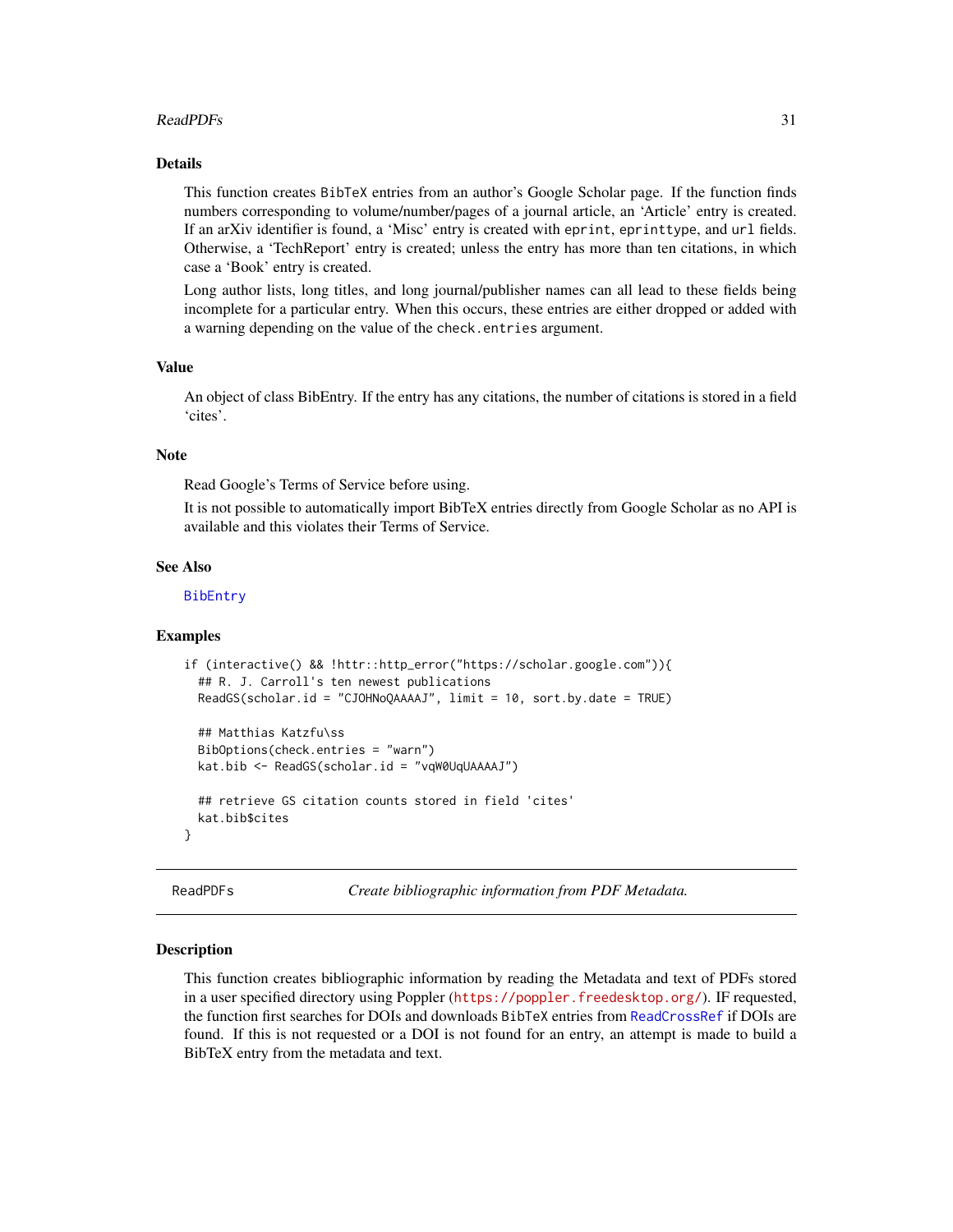### <span id="page-30-0"></span>ReadPDFs 31

# Details

This function creates BibTeX entries from an author's Google Scholar page. If the function finds numbers corresponding to volume/number/pages of a journal article, an 'Article' entry is created. If an arXiv identifier is found, a 'Misc' entry is created with eprint, eprinttype, and url fields. Otherwise, a 'TechReport' entry is created; unless the entry has more than ten citations, in which case a 'Book' entry is created.

Long author lists, long titles, and long journal/publisher names can all lead to these fields being incomplete for a particular entry. When this occurs, these entries are either dropped or added with a warning depending on the value of the check.entries argument.

#### Value

An object of class BibEntry. If the entry has any citations, the number of citations is stored in a field 'cites'.

### Note

Read Google's Terms of Service before using.

It is not possible to automatically import BibTeX entries directly from Google Scholar as no API is available and this violates their Terms of Service.

### See Also

[BibEntry](#page-7-1)

#### Examples

```
if (interactive() && !httr::http_error("https://scholar.google.com")){
  ## R. J. Carroll's ten newest publications
 ReadGS(scholar.id = "CJOHNoQAAAAJ", limit = 10, sort.by.date = TRUE)
 ## Matthias Katzfu\ss
 BibOptions(check.entries = "warn")
 kat.bib <- ReadGS(scholar.id = "vqW0UqUAAAAJ")
 ## retrieve GS citation counts stored in field 'cites'
 kat.bib$cites
}
```
<span id="page-30-1"></span>ReadPDFs *Create bibliographic information from PDF Metadata.*

#### Description

This function creates bibliographic information by reading the Metadata and text of PDFs stored in a user specified directory using Poppler (<https://poppler.freedesktop.org/>). IF requested, the function first searches for DOIs and downloads BibTeX entries from [ReadCrossRef](#page-26-1) if DOIs are found. If this is not requested or a DOI is not found for an entry, an attempt is made to build a BibTeX entry from the metadata and text.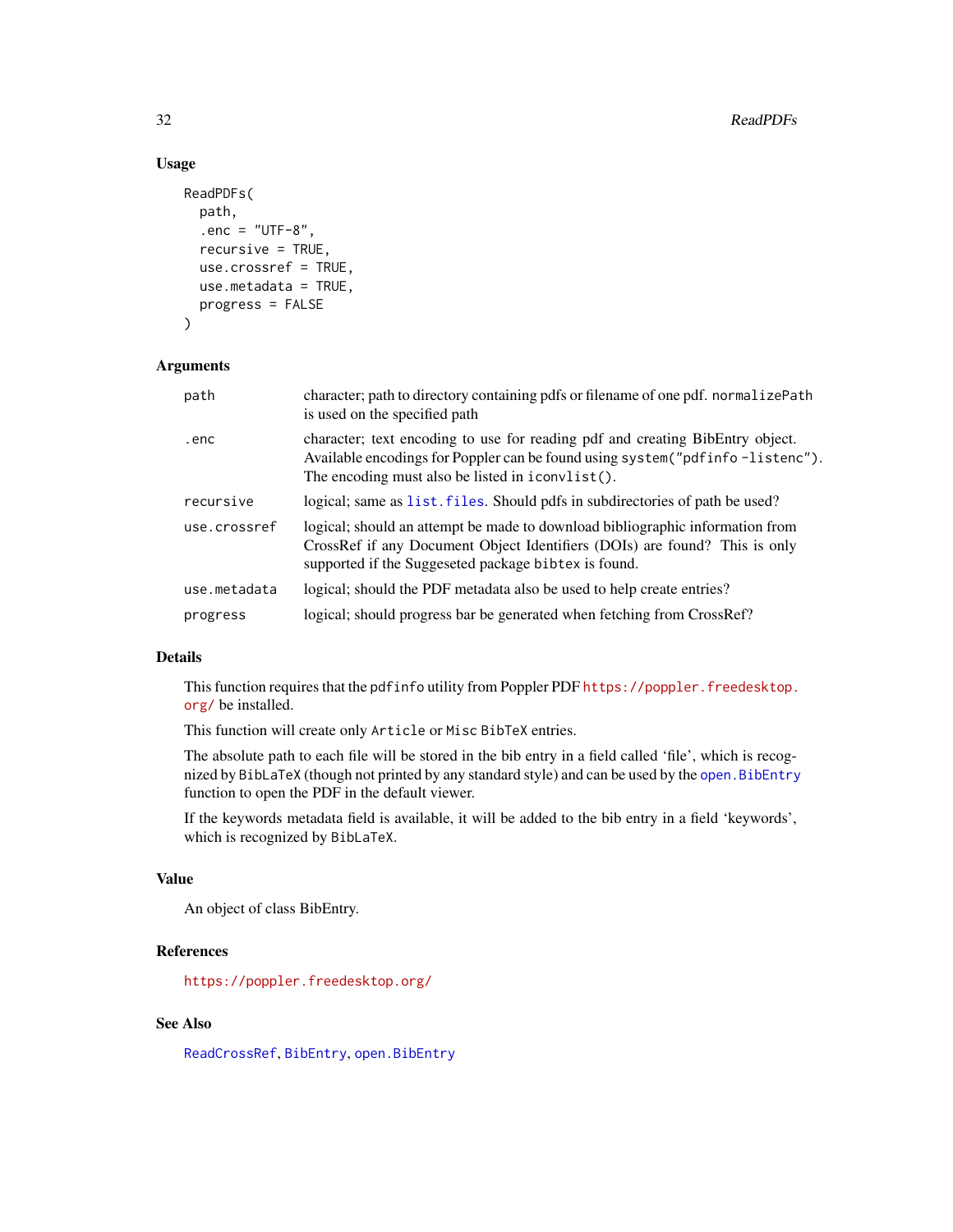### Usage

```
ReadPDFs(
 path,
  . enc = "UTF-8",
  recursive = TRUE,
  use.crossref = TRUE,
 use.metadata = TRUE,
 progress = FALSE
)
```
### Arguments

| path         | character; path to directory containing pdfs or filename of one pdf. normalizePath<br>is used on the specified path                                                                                                 |
|--------------|---------------------------------------------------------------------------------------------------------------------------------------------------------------------------------------------------------------------|
| .enc         | character; text encoding to use for reading pdf and creating BibEntry object.<br>Available encodings for Poppler can be found using system ("pdfinfo-listenc").<br>The encoding must also be listed in iconvlist(). |
| recursive    | logical; same as list, files. Should pdfs in subdirectories of path be used?                                                                                                                                        |
| use.crossref | logical; should an attempt be made to download bibliographic information from<br>CrossRef if any Document Object Identifiers (DOIs) are found? This is only<br>supported if the Suggeseted package bibtex is found. |
| use.metadata | logical; should the PDF metadata also be used to help create entries?                                                                                                                                               |
| progress     | logical; should progress bar be generated when fetching from CrossRef?                                                                                                                                              |

# Details

This function requires that the pdfinfo utility from Poppler PDF [https://poppler.freedesktop.](https://poppler.freedesktop.org/) [org/](https://poppler.freedesktop.org/) be installed.

This function will create only Article or Misc BibTeX entries.

The absolute path to each file will be stored in the bib entry in a field called 'file', which is recognized by BibLaTeX (though not printed by any standard style) and can be used by the [open.BibEntry](#page-23-1) function to open the PDF in the default viewer.

If the keywords metadata field is available, it will be added to the bib entry in a field 'keywords', which is recognized by BibLaTeX.

### Value

An object of class BibEntry.

# References

<https://poppler.freedesktop.org/>

# See Also

[ReadCrossRef](#page-26-1), [BibEntry](#page-7-1), [open.BibEntry](#page-23-1)

<span id="page-31-0"></span>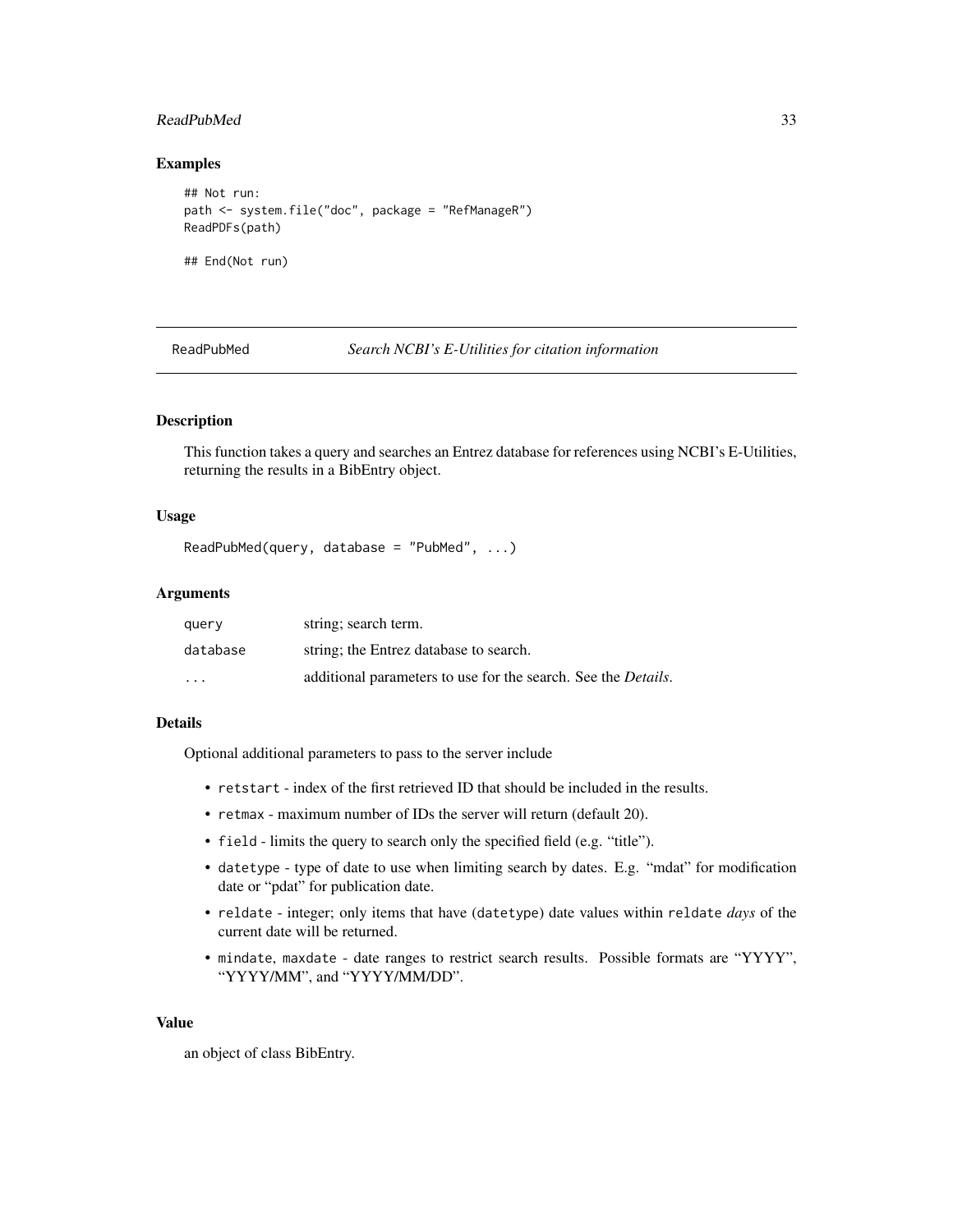# <span id="page-32-0"></span>ReadPubMed 33

### Examples

```
## Not run:
path <- system.file("doc", package = "RefManageR")
ReadPDFs(path)
```
## End(Not run)

<span id="page-32-1"></span>ReadPubMed *Search NCBI's E-Utilities for citation information*

# Description

This function takes a query and searches an Entrez database for references using NCBI's E-Utilities, returning the results in a BibEntry object.

### Usage

```
ReadPubMed(query, database = "PubMed", ...)
```
### Arguments

| query                   | string; search term.                                                  |
|-------------------------|-----------------------------------------------------------------------|
| database                | string; the Entrez database to search.                                |
| $\cdot$ $\cdot$ $\cdot$ | additional parameters to use for the search. See the <i>Details</i> . |

#### Details

Optional additional parameters to pass to the server include

- retstart index of the first retrieved ID that should be included in the results.
- retmax maximum number of IDs the server will return (default 20).
- field limits the query to search only the specified field (e.g. "title").
- datetype type of date to use when limiting search by dates. E.g. "mdat" for modification date or "pdat" for publication date.
- reldate integer; only items that have (datetype) date values within reldate *days* of the current date will be returned.
- mindate, maxdate date ranges to restrict search results. Possible formats are "YYYY", "YYYY/MM", and "YYYY/MM/DD".

#### Value

an object of class BibEntry.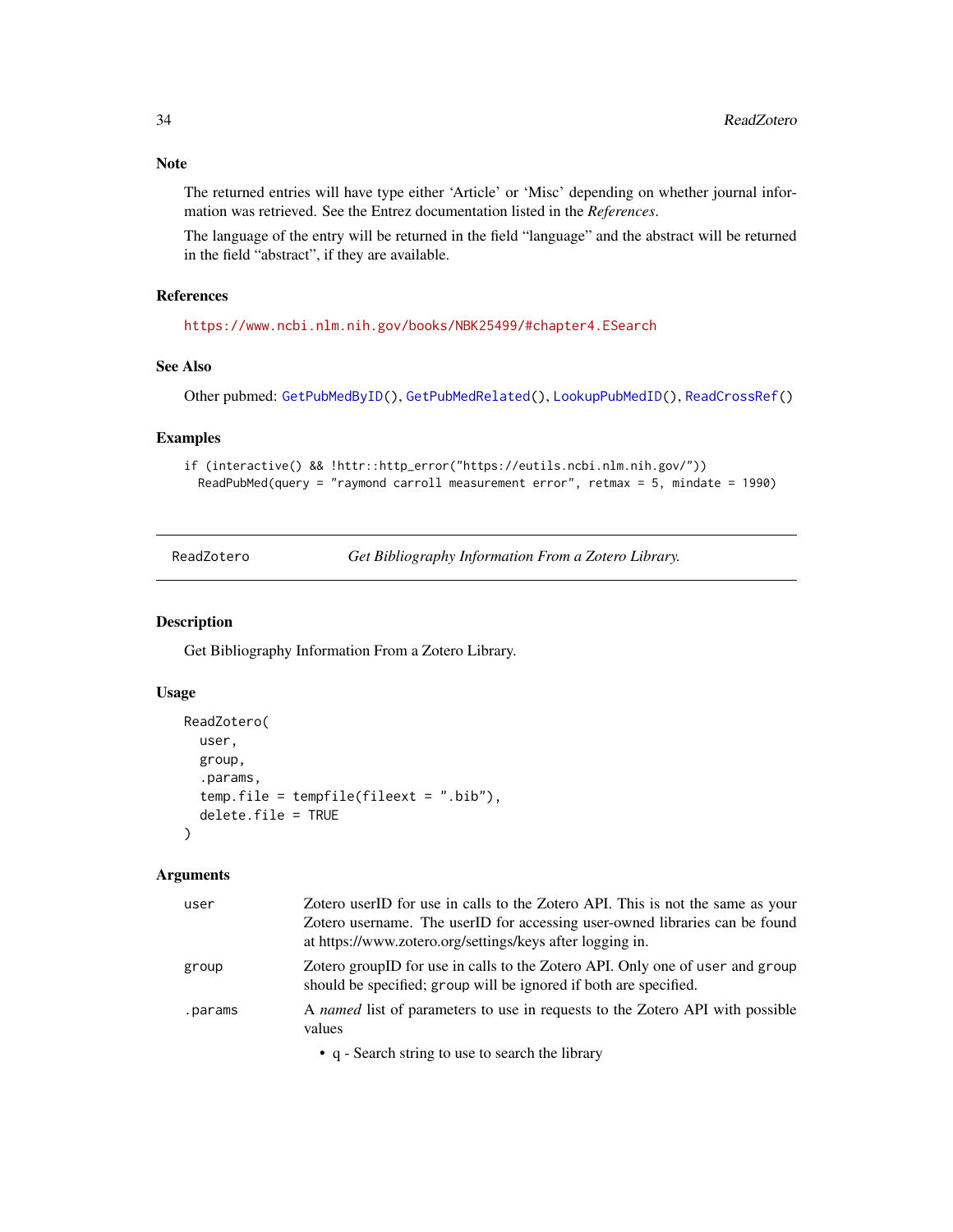# <span id="page-33-0"></span>Note

The returned entries will have type either 'Article' or 'Misc' depending on whether journal information was retrieved. See the Entrez documentation listed in the *References*.

The language of the entry will be returned in the field "language" and the abstract will be returned in the field "abstract", if they are available.

# References

<https://www.ncbi.nlm.nih.gov/books/NBK25499/#chapter4.ESearch>

# See Also

Other pubmed: [GetPubMedByID\(](#page-17-1)), [GetPubMedRelated\(](#page-18-1)), [LookupPubMedID\(](#page-21-1)), [ReadCrossRef\(](#page-26-1))

# Examples

```
if (interactive() && !httr::http_error("https://eutils.ncbi.nlm.nih.gov/"))
 ReadPubMed(query = "raymond carroll measurement error", retmax = 5, mindate = 1990)
```
<span id="page-33-1"></span>ReadZotero *Get Bibliography Information From a Zotero Library.*

### Description

Get Bibliography Information From a Zotero Library.

# Usage

```
ReadZotero(
 user,
 group,
  .params,
  temp.file = tempfile(fileext = ".bib"),
 delete.file = TRUE
)
```
### Arguments

| user    | Zotero userID for use in calls to the Zotero API. This is not the same as your<br>Zotero username. The userID for accessing user-owned libraries can be found<br>at https://www.zotero.org/settings/keys after logging in. |
|---------|----------------------------------------------------------------------------------------------------------------------------------------------------------------------------------------------------------------------------|
| group   | Zotero groupID for use in calls to the Zotero API. Only one of user and group<br>should be specified; group will be ignored if both are specified.                                                                         |
| .params | A named list of parameters to use in requests to the Zotero API with possible<br>values                                                                                                                                    |

• q - Search string to use to search the library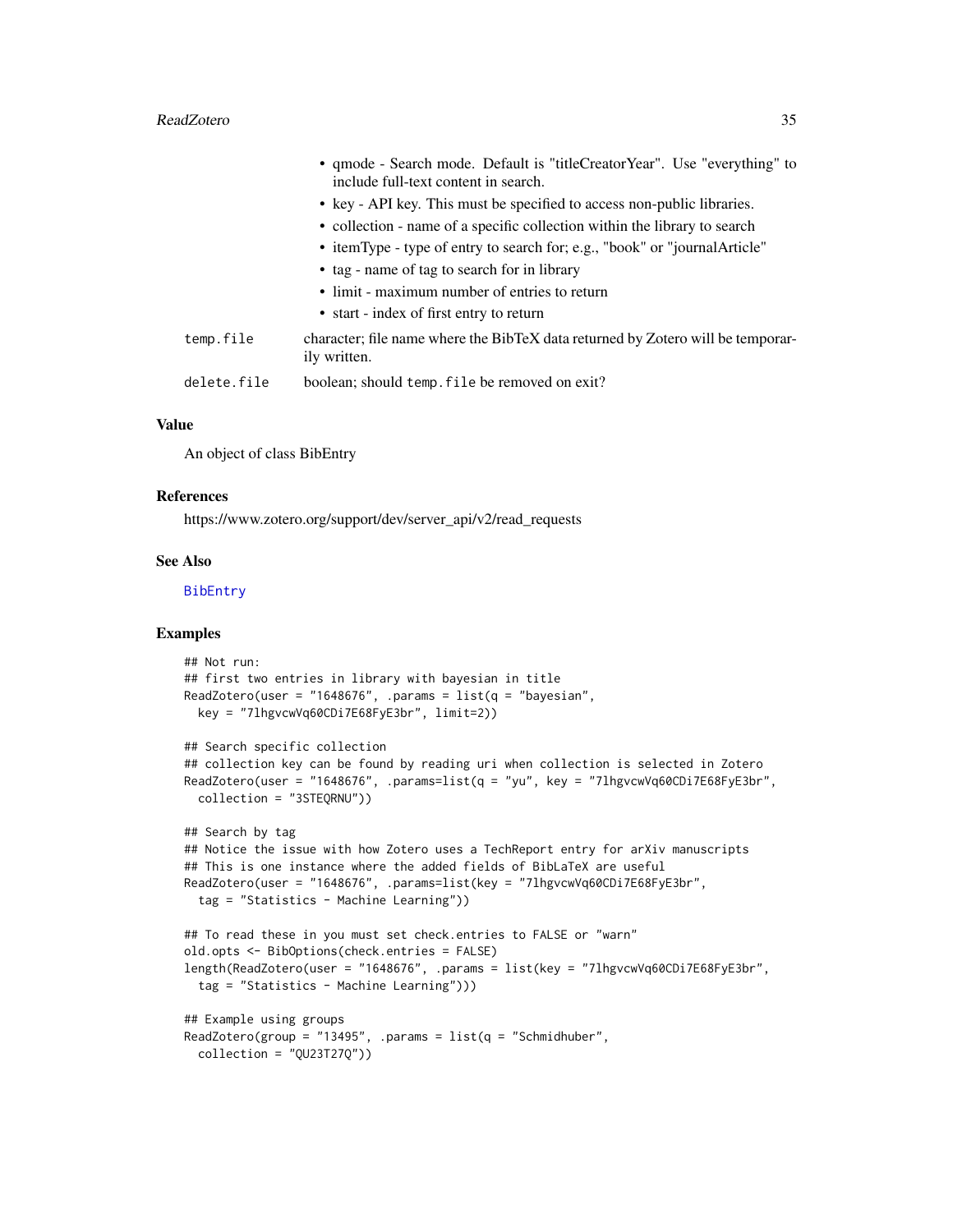#### <span id="page-34-0"></span>ReadZotero 35

|             | • qmode - Search mode. Default is "titleCreatorYear". Use "everything" to                       |
|-------------|-------------------------------------------------------------------------------------------------|
|             | include full-text content in search.                                                            |
|             | • key - API key. This must be specified to access non-public libraries.                         |
|             | • collection - name of a specific collection within the library to search                       |
|             | • itemType - type of entry to search for; e.g., "book" or "journalArticle"                      |
|             | • tag - name of tag to search for in library                                                    |
|             | • limit - maximum number of entries to return                                                   |
|             | • start - index of first entry to return                                                        |
| temp.file   | character; file name where the BibTeX data returned by Zotero will be temporar-<br>ily written. |
| delete.file | boolean; should temp. file be removed on exit?                                                  |

### Value

An object of class BibEntry

### References

https://www.zotero.org/support/dev/server\_api/v2/read\_requests

### See Also

### [BibEntry](#page-7-1)

```
## Not run:
## first two entries in library with bayesian in title
ReadZotero(user = "1648676", .params = list(q = "bayesian",key = "7lhgvcwVq60CDi7E68FyE3br", limit=2))
## Search specific collection
## collection key can be found by reading uri when collection is selected in Zotero
ReadZotero(user = "1648676", .params=list(q = "yu", key = "7lhgvcwVq60CDi7E68FyE3br",
  collection = "3STEQRNU"))
## Search by tag
## Notice the issue with how Zotero uses a TechReport entry for arXiv manuscripts
## This is one instance where the added fields of BibLaTeX are useful
ReadZotero(user = "1648676", .params=list(key = "7lhgvcwVq60CDi7E68FyE3br",
  tag = "Statistics - Machine Learning"))
## To read these in you must set check.entries to FALSE or "warn"
old.opts <- BibOptions(check.entries = FALSE)
length(ReadZotero(user = "1648676", .params = list(key = "7lhgvcwVq60CDi7E68FyE3br",
  tag = "Statistics - Machine Learning")))
## Example using groups
ReadZotero(group = "13495", .params = list(q = "Schmidt)uber",
  collection = "QU23T27Q"))
```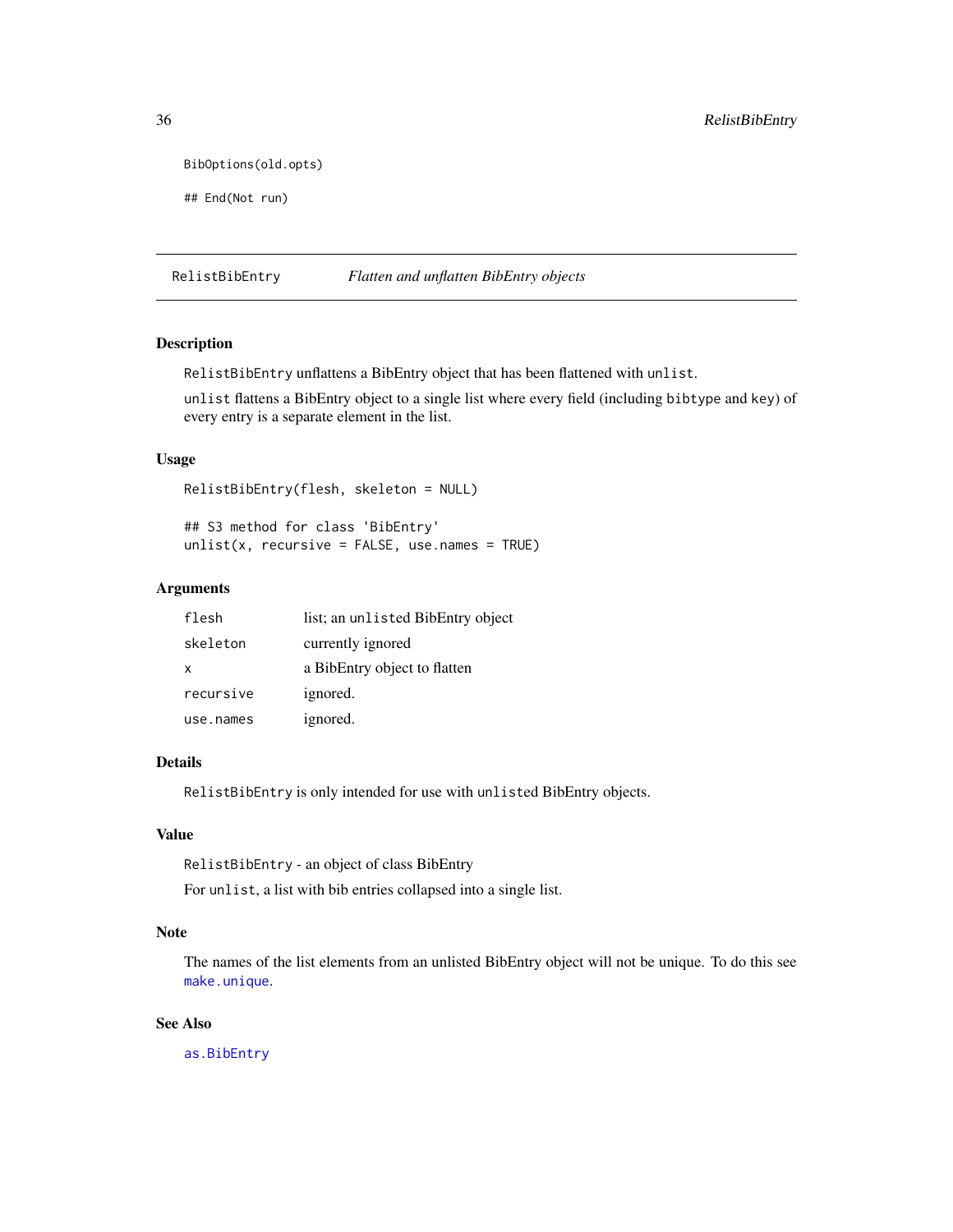```
BibOptions(old.opts)
```
## End(Not run)

RelistBibEntry *Flatten and unflatten BibEntry objects*

# Description

RelistBibEntry unflattens a BibEntry object that has been flattened with unlist.

unlist flattens a BibEntry object to a single list where every field (including bibtype and key) of every entry is a separate element in the list.

### Usage

RelistBibEntry(flesh, skeleton = NULL)

## S3 method for class 'BibEntry'  $unlist(x, recursive = FALSE, use.name = TRUE)$ 

### Arguments

| flesh        | list; an unlisted BibEntry object |
|--------------|-----------------------------------|
| skeleton     | currently ignored                 |
| $\mathsf{x}$ | a BibEntry object to flatten      |
| recursive    | ignored.                          |
| use.names    | ignored.                          |

# Details

RelistBibEntry is only intended for use with unlisted BibEntry objects.

### Value

RelistBibEntry - an object of class BibEntry

For unlist, a list with bib entries collapsed into a single list.

# Note

The names of the list elements from an unlisted BibEntry object will not be unique. To do this see [make.unique](#page-0-0).

# See Also

[as.BibEntry](#page-5-1)

<span id="page-35-0"></span>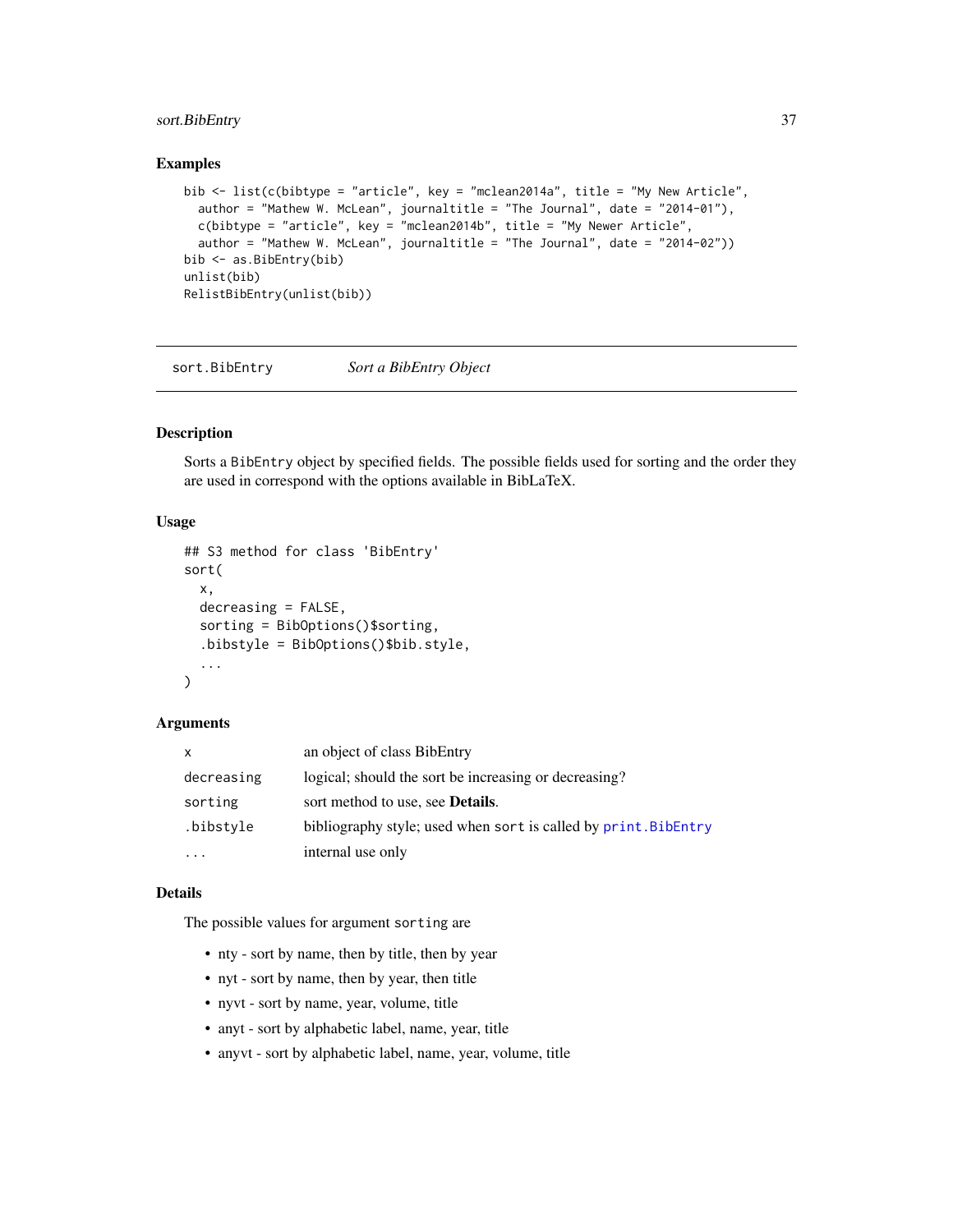# <span id="page-36-0"></span>sort.BibEntry 37

### Examples

```
bib <- list(c(bibtype = "article", key = "mclean2014a", title = "My New Article",
  author = "Mathew W. McLean", journaltitle = "The Journal", date = "2014-01"),
  c(bibtype = "article", key = "mclean2014b", title = "My Newer Article",
  author = "Mathew W. McLean", journaltitle = "The Journal", date = "2014-02"))
bib <- as.BibEntry(bib)
unlist(bib)
RelistBibEntry(unlist(bib))
```
<span id="page-36-1"></span>sort.BibEntry *Sort a BibEntry Object*

### Description

Sorts a BibEntry object by specified fields. The possible fields used for sorting and the order they are used in correspond with the options available in BibLaTeX.

# Usage

```
## S3 method for class 'BibEntry'
sort(
 x,
 decreasing = FALSE,
  sorting = BibOptions()$sorting,
  .bibstyle = BibOptions()$bib.style,
  ...
\lambda
```
#### Arguments

| x          | an object of class BibEntry                                     |
|------------|-----------------------------------------------------------------|
| decreasing | logical; should the sort be increasing or decreasing?           |
| sorting    | sort method to use, see <b>Details</b> .                        |
| .bibstyle  | bibliography style; used when sort is called by print. BibEntry |
| $\cdots$   | internal use only                                               |

### Details

The possible values for argument sorting are

- nty sort by name, then by title, then by year
- nyt sort by name, then by year, then title
- nyvt sort by name, year, volume, title
- anyt sort by alphabetic label, name, year, title
- anyvt sort by alphabetic label, name, year, volume, title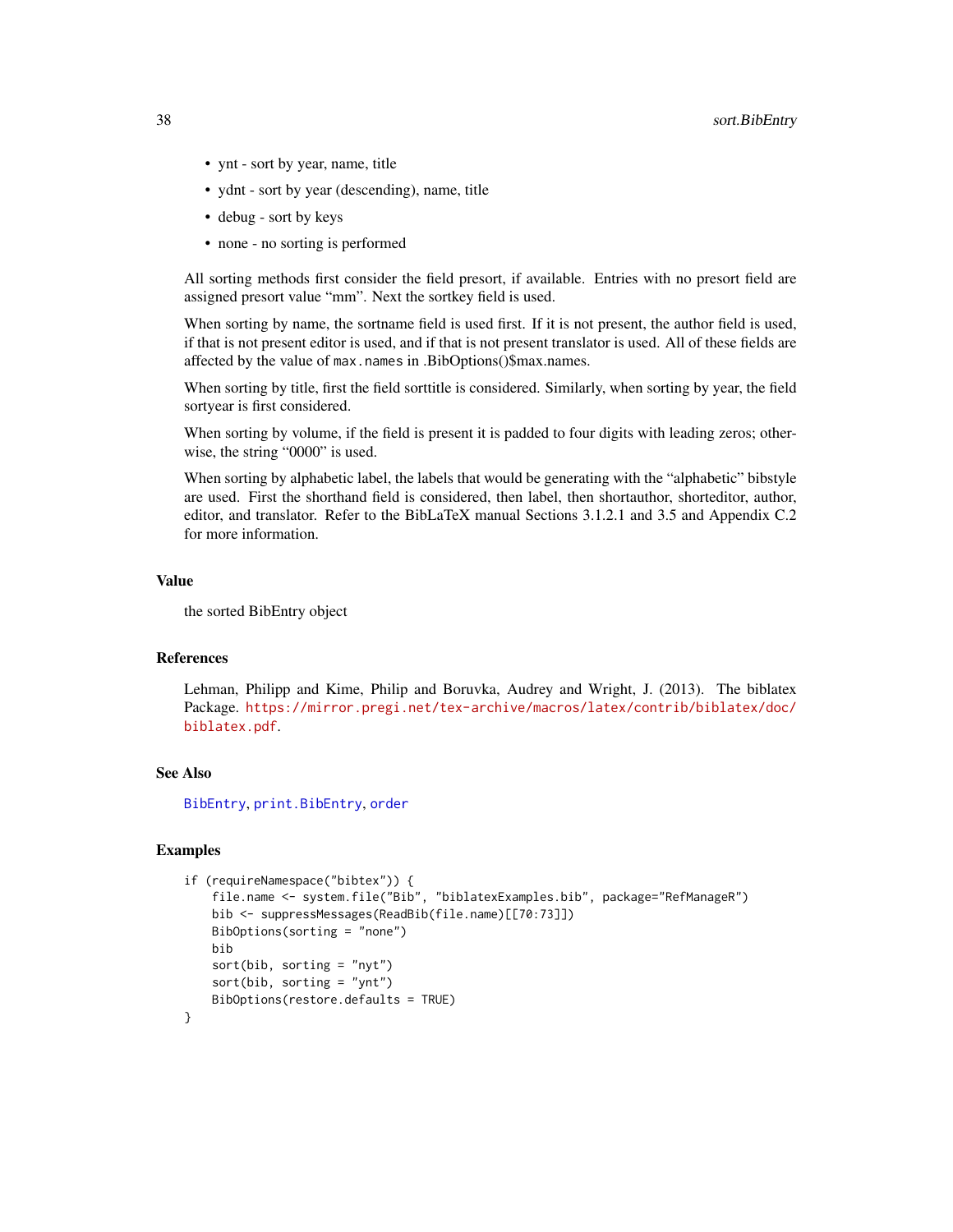- <span id="page-37-0"></span>• ynt - sort by year, name, title
- ydnt sort by year (descending), name, title
- debug sort by keys
- none no sorting is performed

All sorting methods first consider the field presort, if available. Entries with no presort field are assigned presort value "mm". Next the sortkey field is used.

When sorting by name, the sortname field is used first. If it is not present, the author field is used, if that is not present editor is used, and if that is not present translator is used. All of these fields are affected by the value of max.names in .BibOptions()\$max.names.

When sorting by title, first the field sorttitle is considered. Similarly, when sorting by year, the field sortyear is first considered.

When sorting by volume, if the field is present it is padded to four digits with leading zeros; otherwise, the string "0000" is used.

When sorting by alphabetic label, the labels that would be generating with the "alphabetic" bibstyle are used. First the shorthand field is considered, then label, then shortauthor, shorteditor, author, editor, and translator. Refer to the BibLaTeX manual Sections 3.1.2.1 and 3.5 and Appendix C.2 for more information.

### Value

the sorted BibEntry object

# References

Lehman, Philipp and Kime, Philip and Boruvka, Audrey and Wright, J. (2013). The biblatex Package. [https://mirror.pregi.net/tex-archive/macros/latex/contrib/biblatex/doc/](https://mirror.pregi.net/tex-archive/macros/latex/contrib/biblatex/doc/biblatex.pdf) [biblatex.pdf](https://mirror.pregi.net/tex-archive/macros/latex/contrib/biblatex/doc/biblatex.pdf).

### See Also

[BibEntry](#page-7-1), [print.BibEntry](#page-24-1), [order](#page-0-0)

```
if (requireNamespace("bibtex")) {
    file.name <- system.file("Bib", "biblatexExamples.bib", package="RefManageR")
    bib <- suppressMessages(ReadBib(file.name)[[70:73]])
   BibOptions(sorting = "none")
   bib
    sort(bib, sorting = "nyt")sort(bib, sorting = "ynt")
   BibOptions(restore.defaults = TRUE)
}
```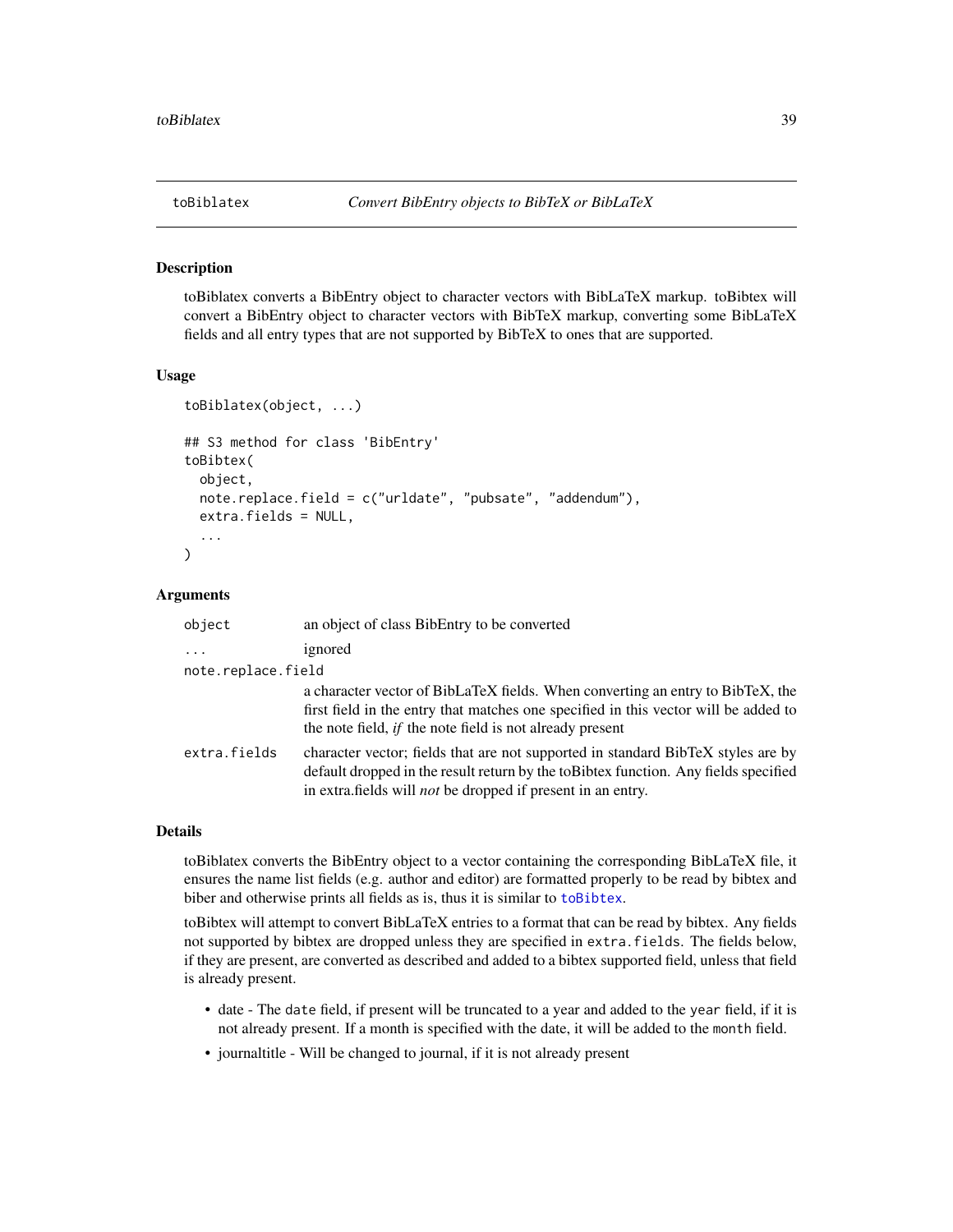<span id="page-38-2"></span><span id="page-38-1"></span><span id="page-38-0"></span>

toBiblatex converts a BibEntry object to character vectors with BibLaTeX markup. toBibtex will convert a BibEntry object to character vectors with BibTeX markup, converting some BibLaTeX fields and all entry types that are not supported by BibTeX to ones that are supported.

### Usage

```
toBiblatex(object, ...)
## S3 method for class 'BibEntry'
toBibtex(
  object,
  note.replace.field = c("urldate", "pubsate", "addendum"),
  extra.fields = NULL,
  ...
)
```
#### Arguments

| object             | an object of class BibEntry to be converted                                                                                                                                                                                                    |
|--------------------|------------------------------------------------------------------------------------------------------------------------------------------------------------------------------------------------------------------------------------------------|
| $\ddots$           | ignored                                                                                                                                                                                                                                        |
| note.replace.field |                                                                                                                                                                                                                                                |
|                    | a character vector of BibLaTeX fields. When converting an entry to BibTeX, the<br>first field in the entry that matches one specified in this vector will be added to<br>the note field, <i>if</i> the note field is not already present       |
| extra.fields       | character vector; fields that are not supported in standard BibTeX styles are by<br>default dropped in the result return by the to Bibtex function. Any fields specified<br>in extra.fields will <i>not</i> be dropped if present in an entry. |

### Details

toBiblatex converts the BibEntry object to a vector containing the corresponding BibLaTeX file, it ensures the name list fields (e.g. author and editor) are formatted properly to be read by bibtex and biber and otherwise prints all fields as is, thus it is similar to [toBibtex](#page-38-1).

toBibtex will attempt to convert BibLaTeX entries to a format that can be read by bibtex. Any fields not supported by bibtex are dropped unless they are specified in extra.fields. The fields below, if they are present, are converted as described and added to a bibtex supported field, unless that field is already present.

- date The date field, if present will be truncated to a year and added to the year field, if it is not already present. If a month is specified with the date, it will be added to the month field.
- journaltitle Will be changed to journal, if it is not already present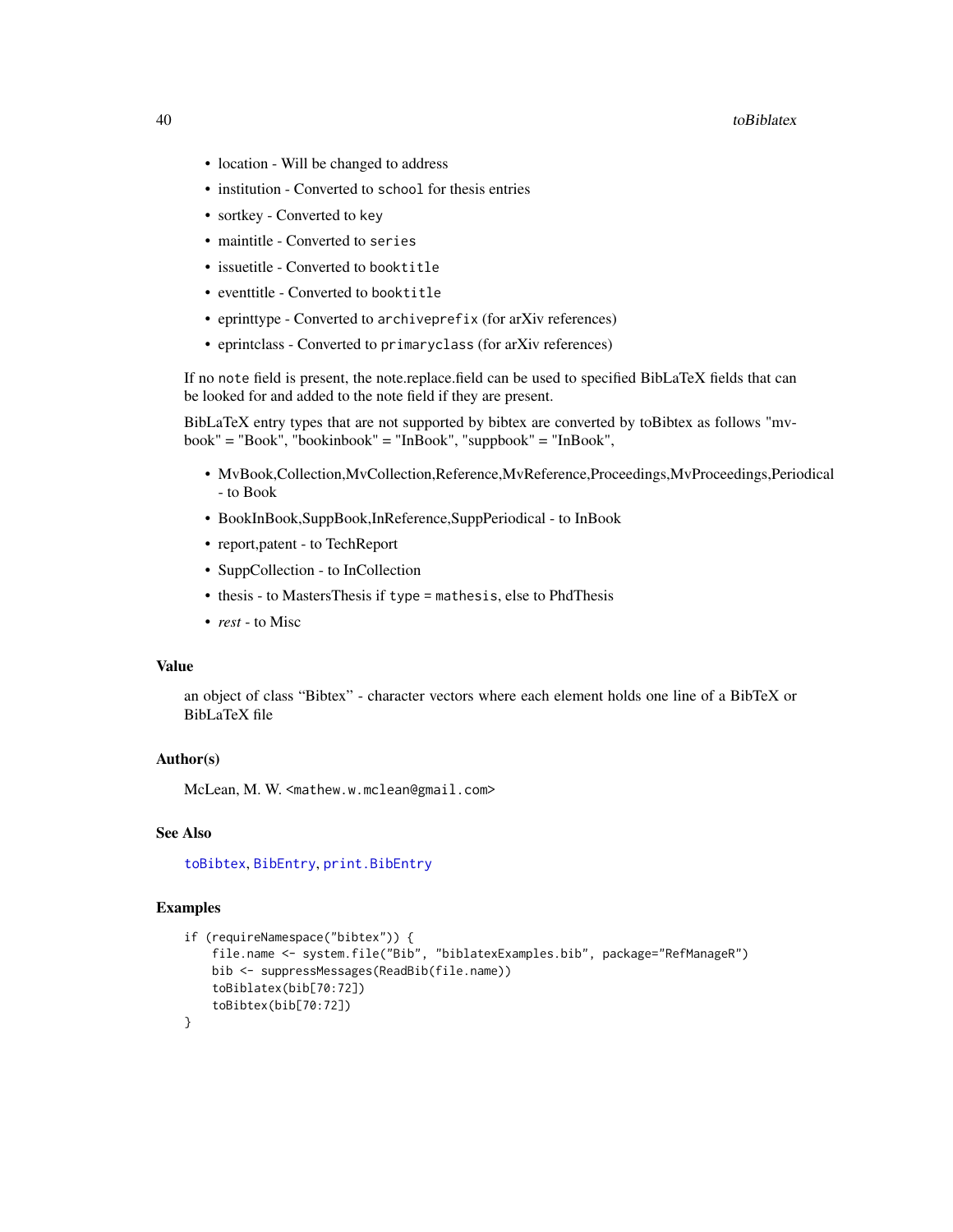#### <span id="page-39-0"></span>40 toBiblatex and the contract of the contract of the contract of the contract of the contract of the contract of the contract of the contract of the contract of the contract of the contract of the contract of the contract

- location Will be changed to address
- institution Converted to school for thesis entries
- sortkey Converted to key
- maintitle Converted to series
- issuetitle Converted to booktitle
- eventtitle Converted to booktitle
- eprinttype Converted to archiveprefix (for arXiv references)
- eprintclass Converted to primaryclass (for arXiv references)

If no note field is present, the note.replace.field can be used to specified BibLaTeX fields that can be looked for and added to the note field if they are present.

BibLaTeX entry types that are not supported by bibtex are converted by toBibtex as follows "mvbook" = "Book", "bookinbook" = "InBook", "suppbook" = "InBook",

- MvBook,Collection,MvCollection,Reference,MvReference,Proceedings,MvProceedings,Periodical - to Book
- BookInBook,SuppBook,InReference,SuppPeriodical to InBook
- report,patent to TechReport
- SuppCollection to InCollection
- thesis to MastersThesis if type = mathesis, else to PhdThesis
- *rest* to Misc

# Value

an object of class "Bibtex" - character vectors where each element holds one line of a BibTeX or BibLaTeX file

### Author(s)

McLean, M. W. <mathew.w.mclean@gmail.com>

### See Also

[toBibtex](#page-38-1), [BibEntry](#page-7-1), [print.BibEntry](#page-24-1)

```
if (requireNamespace("bibtex")) {
    file.name <- system.file("Bib", "biblatexExamples.bib", package="RefManageR")
   bib <- suppressMessages(ReadBib(file.name))
    toBiblatex(bib[70:72])
    toBibtex(bib[70:72])
}
```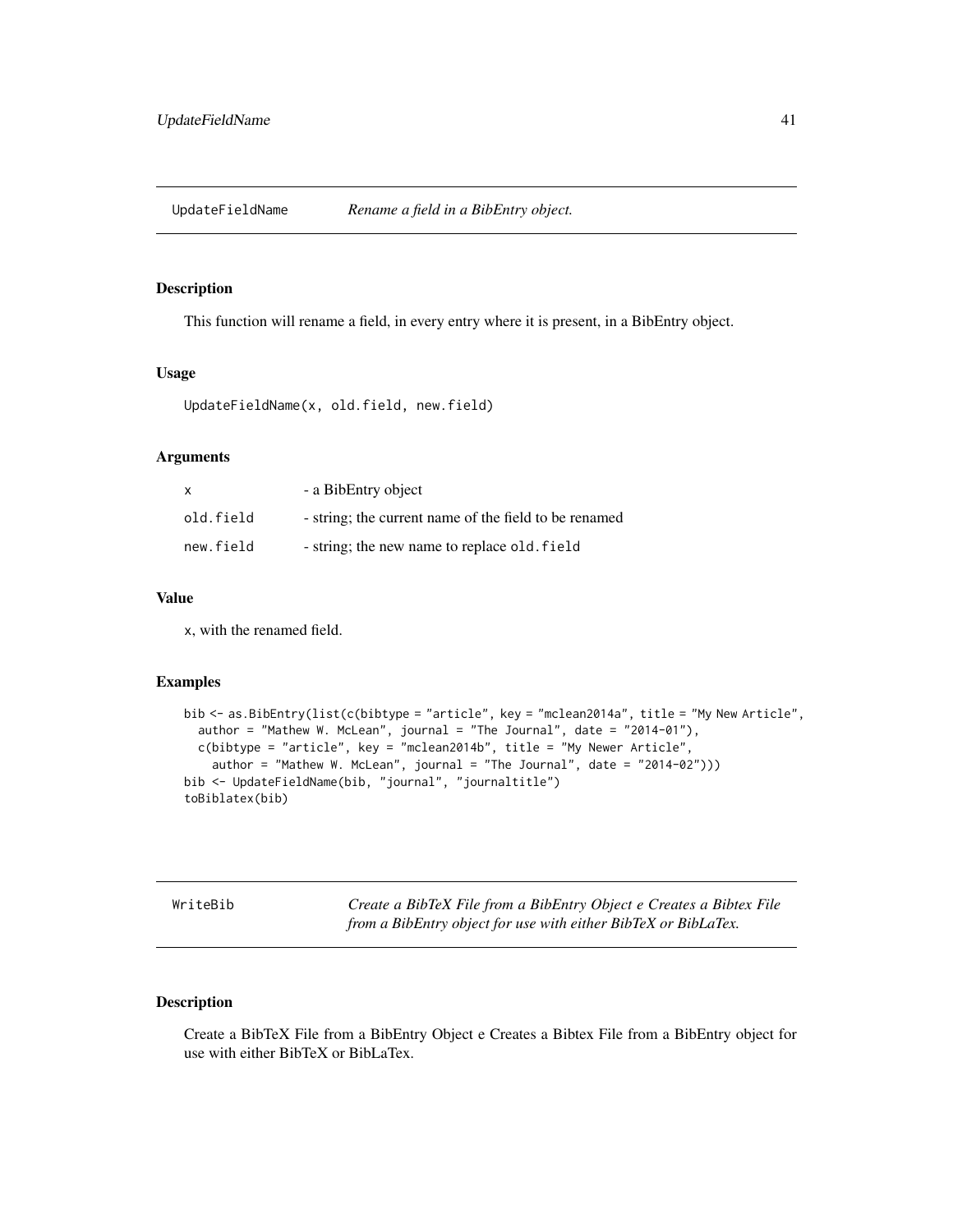<span id="page-40-0"></span>UpdateFieldName *Rename a field in a BibEntry object.*

# Description

This function will rename a field, in every entry where it is present, in a BibEntry object.

### Usage

```
UpdateFieldName(x, old.field, new.field)
```
# Arguments

| x         | - a BibEntry object                                   |
|-----------|-------------------------------------------------------|
| old.field | - string; the current name of the field to be renamed |
| new.field | - string; the new name to replace old. field          |

# Value

x, with the renamed field.

#### Examples

```
bib <- as.BibEntry(list(c(bibtype = "article", key = "mclean2014a", title = "My New Article",
  author = "Mathew W. McLean", journal = "The Journal", date = "2014-01"),
  c(bibtype = "article", key = "mclean2014b", title = "My Newer Article",
    author = "Mathew W. McLean", journal = "The Journal", date = "2014-02")))
bib <- UpdateFieldName(bib, "journal", "journaltitle")
toBiblatex(bib)
```
<span id="page-40-1"></span>WriteBib *Create a BibTeX File from a BibEntry Object e Creates a Bibtex File from a BibEntry object for use with either BibTeX or BibLaTex.*

# Description

Create a BibTeX File from a BibEntry Object e Creates a Bibtex File from a BibEntry object for use with either BibTeX or BibLaTex.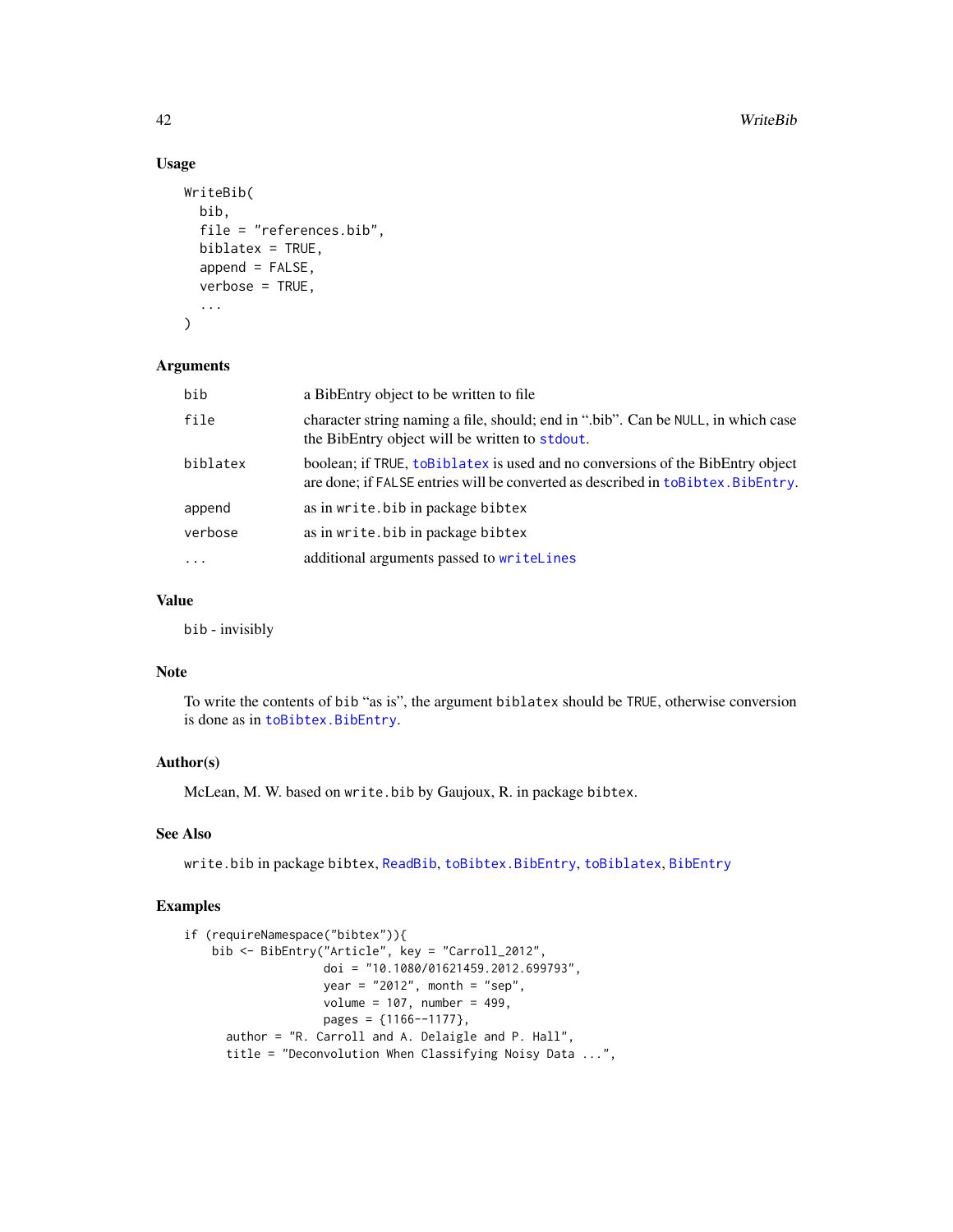# Usage

```
WriteBib(
  bib,
  file = "references.bib",
  biblatex = TRUE,
  append = FALSE,
  verbose = TRUE,
  ...
\mathcal{L}
```
### Arguments

| bib      | a BibEntry object to be written to file.                                                                                                                             |
|----------|----------------------------------------------------------------------------------------------------------------------------------------------------------------------|
| file     | character string naming a file, should; end in ".bib". Can be NULL, in which case<br>the BibEntry object will be written to stdout.                                  |
| biblatex | boolean; if TRUE, to Biblatex is used and no conversions of the BibEntry object<br>are done; if FALSE entries will be converted as described in to Bibtex. BibEntry. |
| append   | as in write. bib in package bibtex                                                                                                                                   |
| verbose  | as in write, bib in package bibtex                                                                                                                                   |
| $\cdot$  | additional arguments passed to writelines                                                                                                                            |

# Value

bib - invisibly

# Note

To write the contents of bib "as is", the argument biblatex should be TRUE, otherwise conversion is done as in [toBibtex.BibEntry](#page-38-1).

### Author(s)

McLean, M. W. based on write.bib by Gaujoux, R. in package bibtex.

### See Also

write.bib in package bibtex, [ReadBib](#page-25-1), [toBibtex.BibEntry](#page-38-1), [toBiblatex](#page-38-2), [BibEntry](#page-7-1)

```
if (requireNamespace("bibtex")){
   bib <- BibEntry("Article", key = "Carroll_2012",
                   doi = "10.1080/01621459.2012.699793",
                    year = "2012", month = "sep",
                   volume = 107, number = 499,
                   pages = {1166--1177},
     author = "R. Carroll and A. Delaigle and P. Hall",
     title = "Deconvolution When Classifying Noisy Data ...",
```
<span id="page-41-0"></span>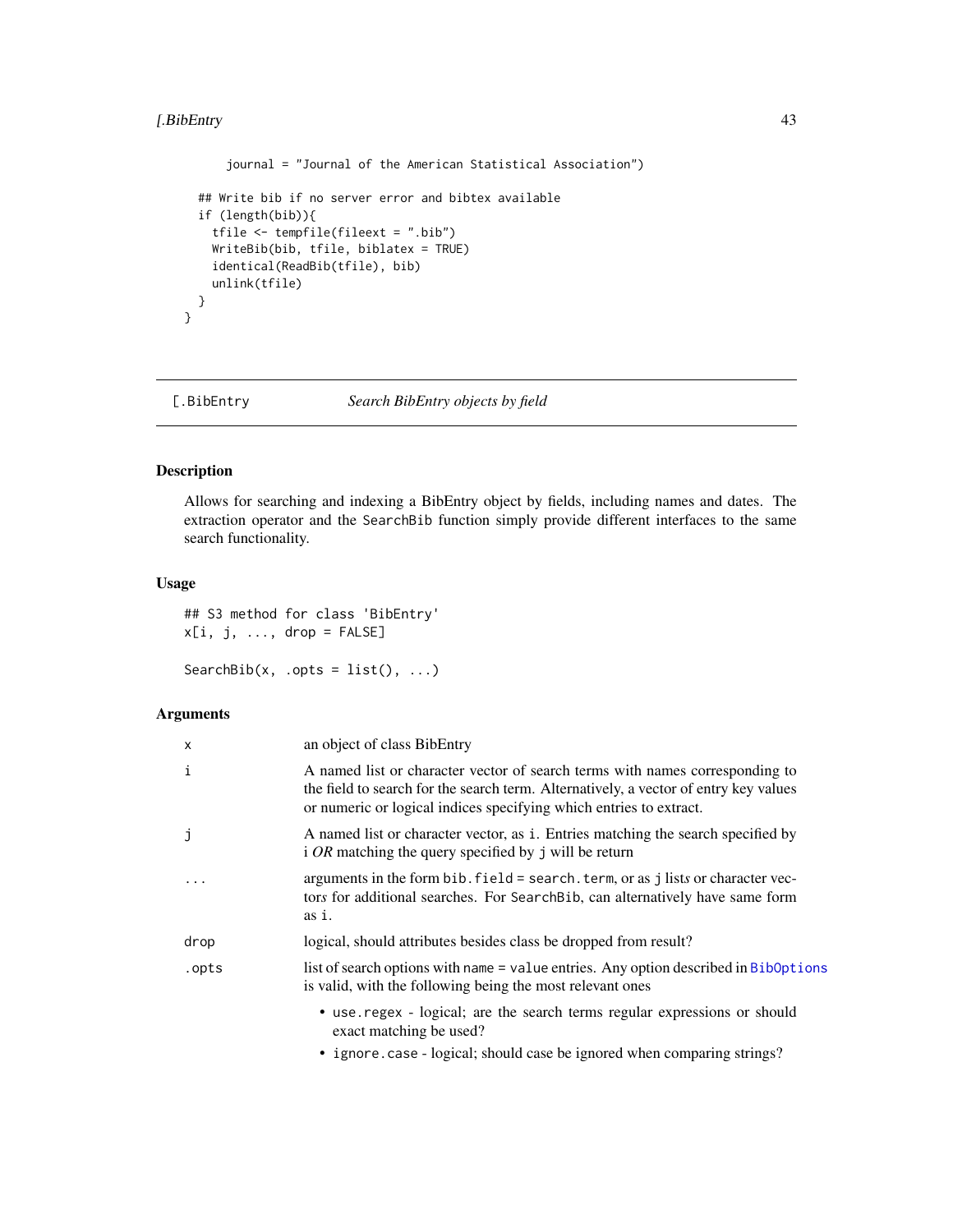# <span id="page-42-0"></span>[.BibEntry 43

```
journal = "Journal of the American Statistical Association")
## Write bib if no server error and bibtex available
if (length(bib)){
  tfile <- tempfile(fileext = ".bib")
 WriteBib(bib, tfile, biblatex = TRUE)
 identical(ReadBib(tfile), bib)
  unlink(tfile)
}
```
<span id="page-42-1"></span>

# [.BibEntry *Search BibEntry objects by field*

# <span id="page-42-2"></span>Description

}

Allows for searching and indexing a BibEntry object by fields, including names and dates. The extraction operator and the SearchBib function simply provide different interfaces to the same search functionality.

#### Usage

```
## S3 method for class 'BibEntry'
x[i, j, ..., drop = FALSE]
```

```
SearchBib(x, .opts = list(), ...)
```
### Arguments

| X        | an object of class BibEntry                                                                                                                                                                                                                |
|----------|--------------------------------------------------------------------------------------------------------------------------------------------------------------------------------------------------------------------------------------------|
| i        | A named list or character vector of search terms with names corresponding to<br>the field to search for the search term. Alternatively, a vector of entry key values<br>or numeric or logical indices specifying which entries to extract. |
| j        | A named list or character vector, as i. Entries matching the search specified by<br>i OR matching the query specified by j will be return                                                                                                  |
| $\ddots$ | arguments in the form bib. field = search. term, or as j lists or character vec-<br>tors for additional searches. For Search Bib, can alternatively have same form<br>as i.                                                                |
| drop     | logical, should attributes besides class be dropped from result?                                                                                                                                                                           |
| .opts    | list of search options with name = value entries. Any option described in Biboptions<br>is valid, with the following being the most relevant ones                                                                                          |
|          | • use regex - logical; are the search terms regular expressions or should<br>exact matching be used?                                                                                                                                       |
|          | • ignore case - logical; should case be ignored when comparing strings?                                                                                                                                                                    |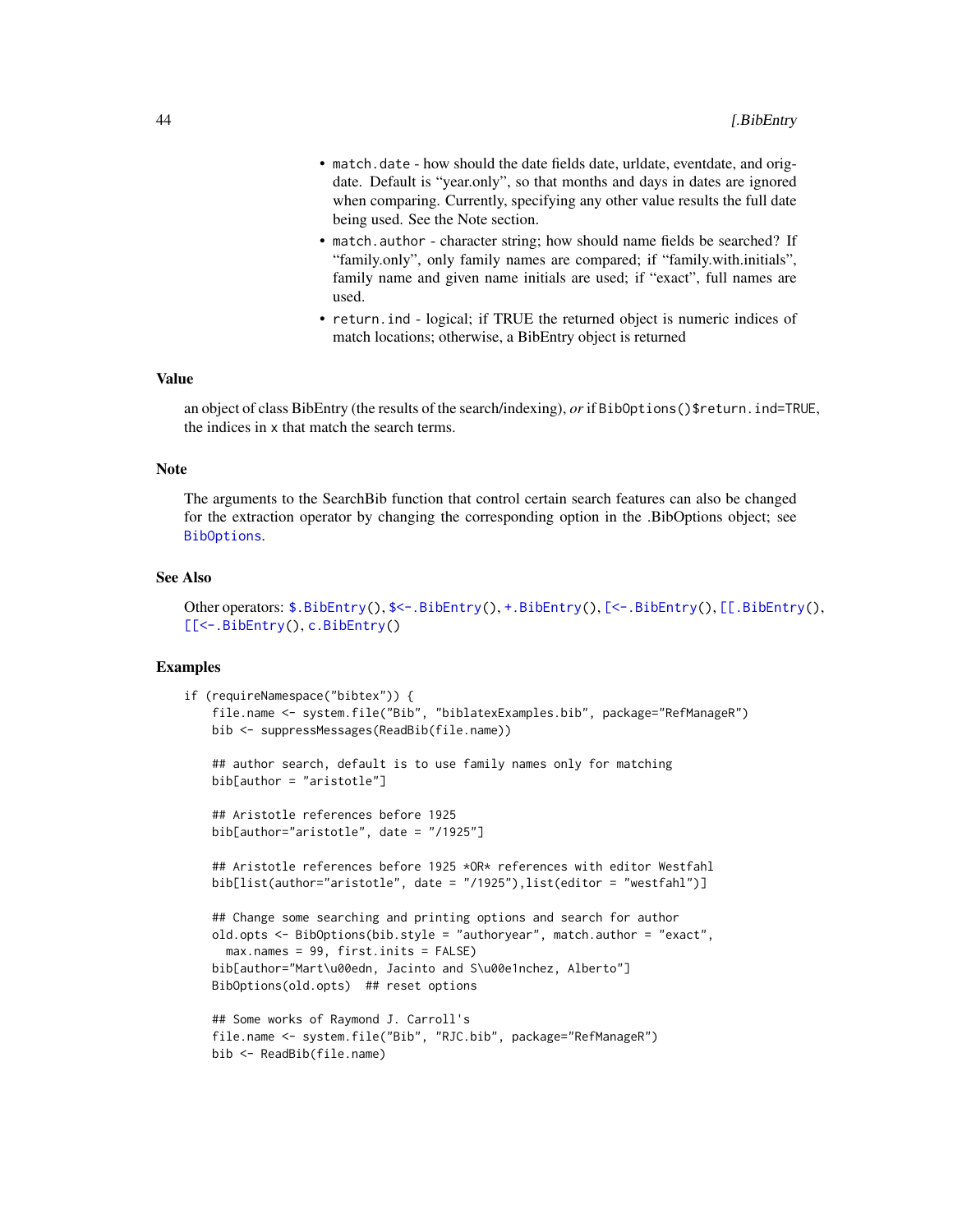- <span id="page-43-0"></span>• match.date - how should the date fields date, urldate, eventdate, and origdate. Default is "year.only", so that months and days in dates are ignored when comparing. Currently, specifying any other value results the full date being used. See the Note section.
- match.author character string; how should name fields be searched? If "family.only", only family names are compared; if "family.with.initials", family name and given name initials are used; if "exact", full names are used.
- return.ind logical; if TRUE the returned object is numeric indices of match locations; otherwise, a BibEntry object is returned

# Value

an object of class BibEntry (the results of the search/indexing), *or* if BibOptions()\$return.ind=TRUE, the indices in x that match the search terms.

#### Note

The arguments to the SearchBib function that control certain search features can also be changed for the extraction operator by changing the corresponding option in the .BibOptions object; see [BibOptions](#page-10-1).

#### See Also

```
$.BibEntry($<-.BibEntry(+.BibEntry([<-.BibEntry([[.BibEntry(),
[[<-.BibEntry(), c.BibEntry()
```

```
if (requireNamespace("bibtex")) {
   file.name <- system.file("Bib", "biblatexExamples.bib", package="RefManageR")
   bib <- suppressMessages(ReadBib(file.name))
   ## author search, default is to use family names only for matching
   bib[author = "aristotle"]
   ## Aristotle references before 1925
   bib[author="aristotle", date = "/1925"]
   ## Aristotle references before 1925 *OR* references with editor Westfahl
   bib[list(author="aristotle", date = "/1925"),list(editor = "westfahl")]
   ## Change some searching and printing options and search for author
   old.opts <- BibOptions(bib.style = "authoryear", match.author = "exact",
     max.names = 99, first.inits = FALSE)
   bib[author="Mart\u00edn, Jacinto and S\u00e1nchez, Alberto"]
   BibOptions(old.opts) ## reset options
   ## Some works of Raymond J. Carroll's
   file.name <- system.file("Bib", "RJC.bib", package="RefManageR")
   bib <- ReadBib(file.name)
```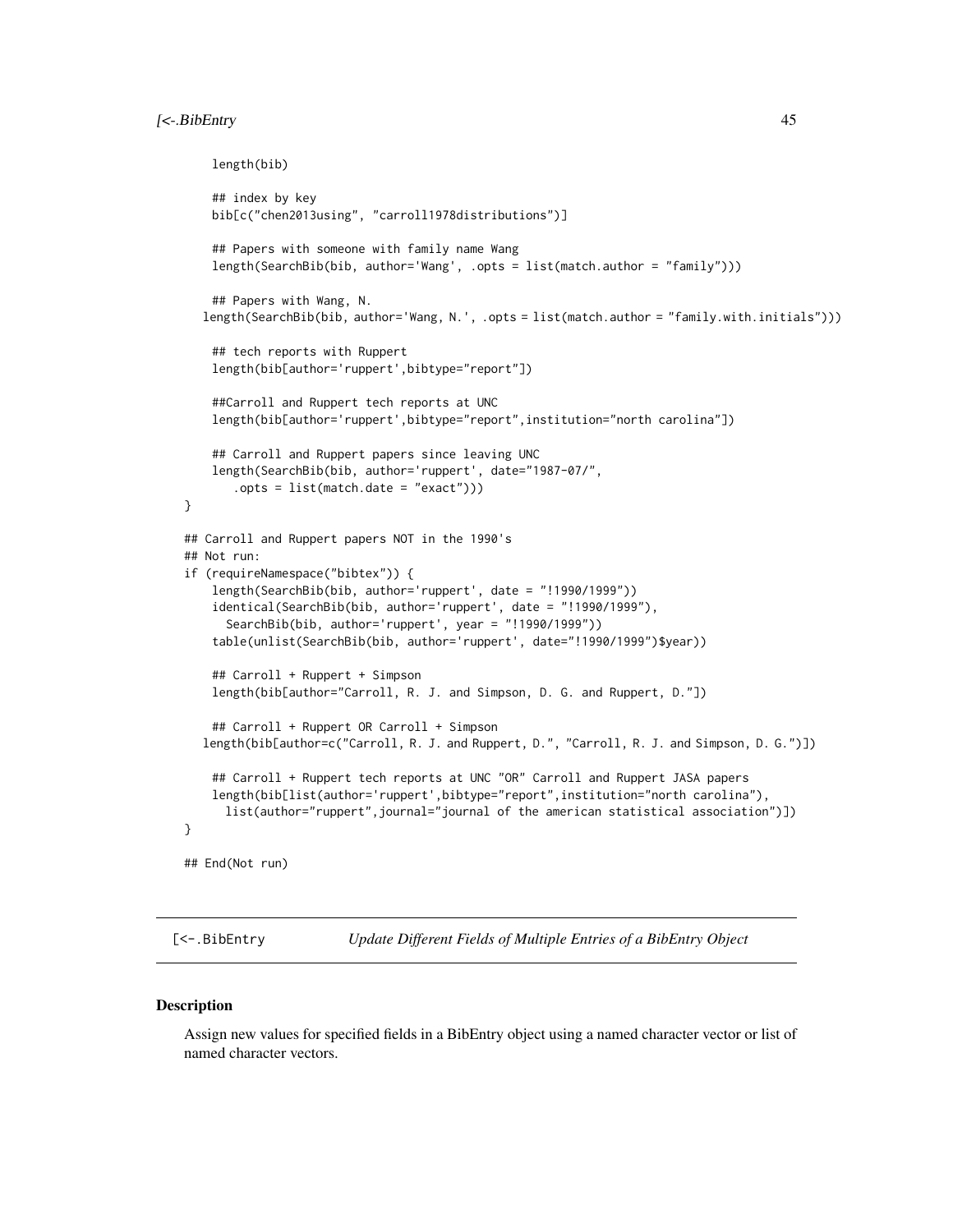# <span id="page-44-0"></span>[<-.BibEntry 45

```
length(bib)
    ## index by key
    bib[c("chen2013using", "carroll1978distributions")]
    ## Papers with someone with family name Wang
    length(SearchBib(bib, author='Wang', .opts = list(match.author = "family")))
    ## Papers with Wang, N.
  length(SearchBib(bib, author='Wang, N.', .opts = list(match.author = "family.with.initials")))
    ## tech reports with Ruppert
    length(bib[author='ruppert',bibtype="report"])
    ##Carroll and Ruppert tech reports at UNC
    length(bib[author='ruppert',bibtype="report",institution="north carolina"])
    ## Carroll and Ruppert papers since leaving UNC
    length(SearchBib(bib, author='ruppert', date="1987-07/",
       .opts = list(match.date = "exact")))
}
## Carroll and Ruppert papers NOT in the 1990's
## Not run:
if (requireNamespace("bibtex")) {
    length(SearchBib(bib, author='ruppert', date = "!1990/1999"))
    identical(SearchBib(bib, author='ruppert', date = "!1990/1999"),
     SearchBib(bib, author='ruppert', year = "!1990/1999"))
    table(unlist(SearchBib(bib, author='ruppert', date="!1990/1999")$year))
    ## Carroll + Ruppert + Simpson
    length(bib[author="Carroll, R. J. and Simpson, D. G. and Ruppert, D."])
    ## Carroll + Ruppert OR Carroll + Simpson
  length(bib[author=c("Carroll, R. J. and Ruppert, D.", "Carroll, R. J. and Simpson, D. G.")])
    ## Carroll + Ruppert tech reports at UNC "OR" Carroll and Ruppert JASA papers
   length(bib[list(author='ruppert',bibtype="report",institution="north carolina"),
     list(author="ruppert",journal="journal of the american statistical association")])
}
## End(Not run)
```
<span id="page-44-1"></span>[<-.BibEntry *Update Different Fields of Multiple Entries of a BibEntry Object*

#### **Description**

Assign new values for specified fields in a BibEntry object using a named character vector or list of named character vectors.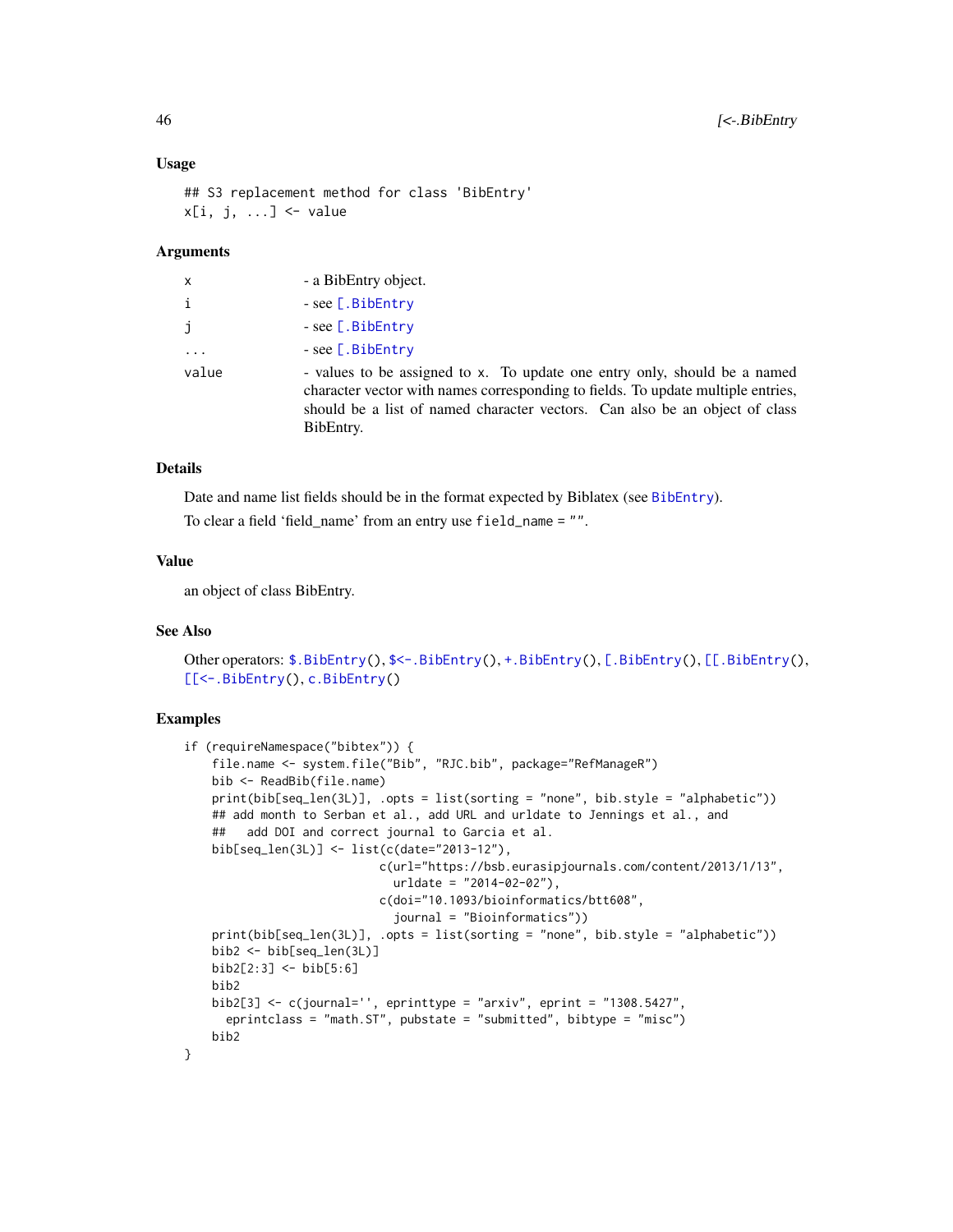#### <span id="page-45-0"></span>Usage

```
## S3 replacement method for class 'BibEntry'
x[i, j, ...] <- value
```
### Arguments

| X.       | - a BibEntry object.                                                                                                                                                                                                                                      |
|----------|-----------------------------------------------------------------------------------------------------------------------------------------------------------------------------------------------------------------------------------------------------------|
| i        | $-$ see [.BibEntry                                                                                                                                                                                                                                        |
| j        | $-$ see [.BibEntry                                                                                                                                                                                                                                        |
| $\cdots$ | $-$ see [.BibEntry                                                                                                                                                                                                                                        |
| value    | - values to be assigned to x. To update one entry only, should be a named<br>character vector with names corresponding to fields. To update multiple entries,<br>should be a list of named character vectors. Can also be an object of class<br>BibEntry. |

### Details

Date and name list fields should be in the format expected by Biblatex (see [BibEntry](#page-7-1)).

To clear a field 'field\_name' from an entry use field\_name = "".

### Value

an object of class BibEntry.

### See Also

```
$.BibEntry($<-.BibEntry(+.BibEntry([.BibEntry([[.BibEntry(),
[[<-.BibEntry(), c.BibEntry()
```

```
if (requireNamespace("bibtex")) {
    file.name <- system.file("Bib", "RJC.bib", package="RefManageR")
   bib <- ReadBib(file.name)
   print(bib[seq_len(3L)], .opts = list(sorting = "none", bib.style = "alphabetic"))
   ## add month to Serban et al., add URL and urldate to Jennings et al., and
   ## add DOI and correct journal to Garcia et al.
   bib[seq_len(3L)] <- list(c(date="2013-12"),
                            c(url="https://bsb.eurasipjournals.com/content/2013/1/13",
                             urldate = "2014-02-02"),
                            c(doi="10.1093/bioinformatics/btt608",
                             journal = "Bioinformatics"))
    print(bib[seq_len(3L)], .opts = list(sorting = "none", bib.style = "alphabetic"))
   bib2 <- bib[seq_len(3L)]
   bib2[2:3] <- bib[5:6]
   bib2
   bib2[3] \leq c(journal='', eprinttype = "arxiv", eprint = "1308.5427",
     eprintclass = "math.ST", pubstate = "submitted", bibtype = "misc")
   bib2
}
```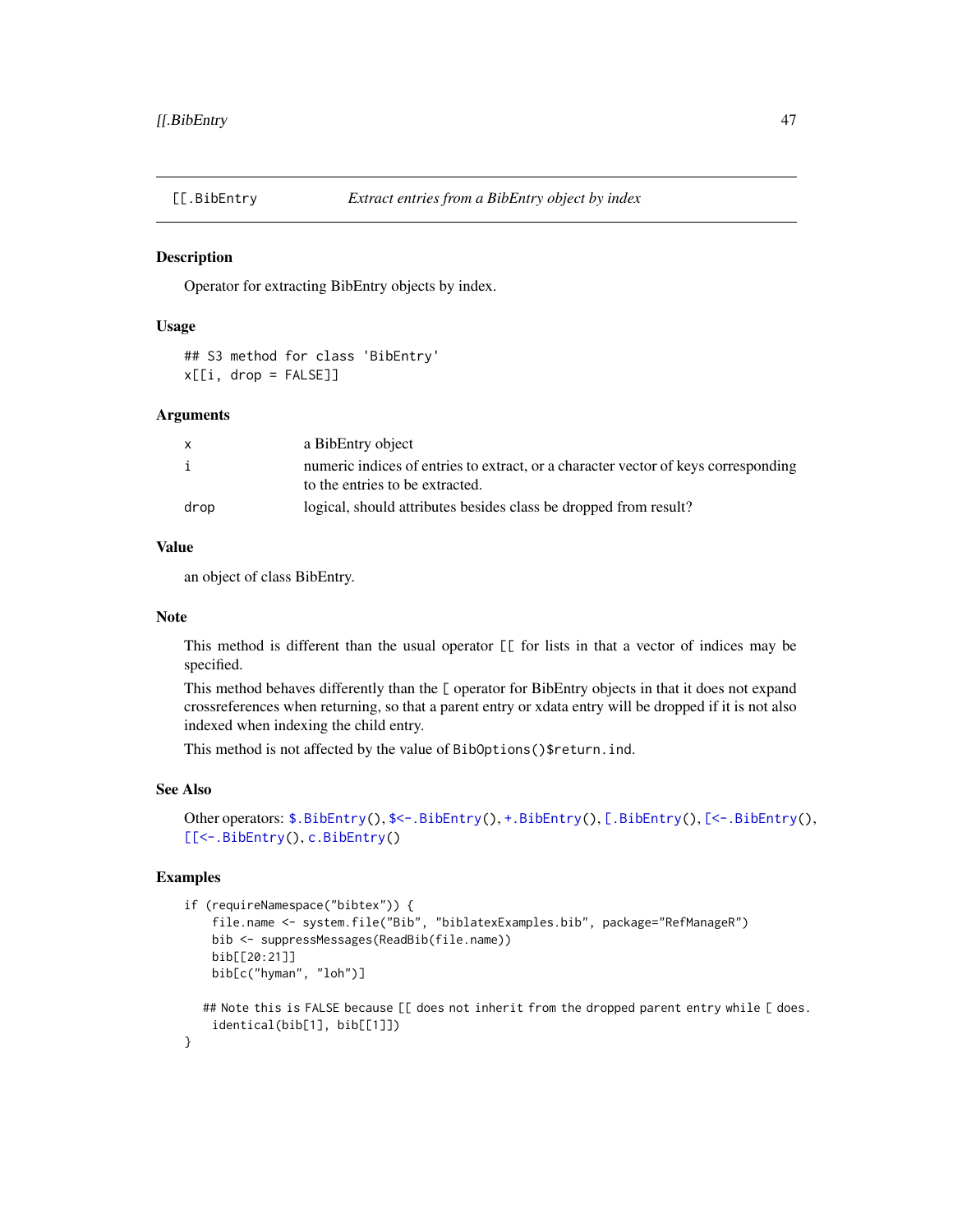<span id="page-46-1"></span><span id="page-46-0"></span>

Operator for extracting BibEntry objects by index.

# Usage

## S3 method for class 'BibEntry'  $x[[i, drop = FALSE]]$ 

### Arguments

| X            | a BibEntry object                                                                  |
|--------------|------------------------------------------------------------------------------------|
| $\mathbf{i}$ | numeric indices of entries to extract, or a character vector of keys corresponding |
|              | to the entries to be extracted.                                                    |
| drop         | logical, should attributes besides class be dropped from result?                   |

# Value

an object of class BibEntry.

# Note

This method is different than the usual operator [[ for lists in that a vector of indices may be specified.

This method behaves differently than the [ operator for BibEntry objects in that it does not expand crossreferences when returning, so that a parent entry or xdata entry will be dropped if it is not also indexed when indexing the child entry.

This method is not affected by the value of BibOptions()\$return.ind.

# See Also

```
$.BibEntry($<-.BibEntry(+.BibEntry([.BibEntry([<-.BibEntry(),
[[<-.BibEntry(), c.BibEntry()
```

```
if (requireNamespace("bibtex")) {
    file.name <- system.file("Bib", "biblatexExamples.bib", package="RefManageR")
   bib <- suppressMessages(ReadBib(file.name))
   bib[[20:21]]
   bib[c("hyman", "loh")]
  ## Note this is FALSE because [[ does not inherit from the dropped parent entry while [ does.
    identical(bib[1], bib[[1]])
```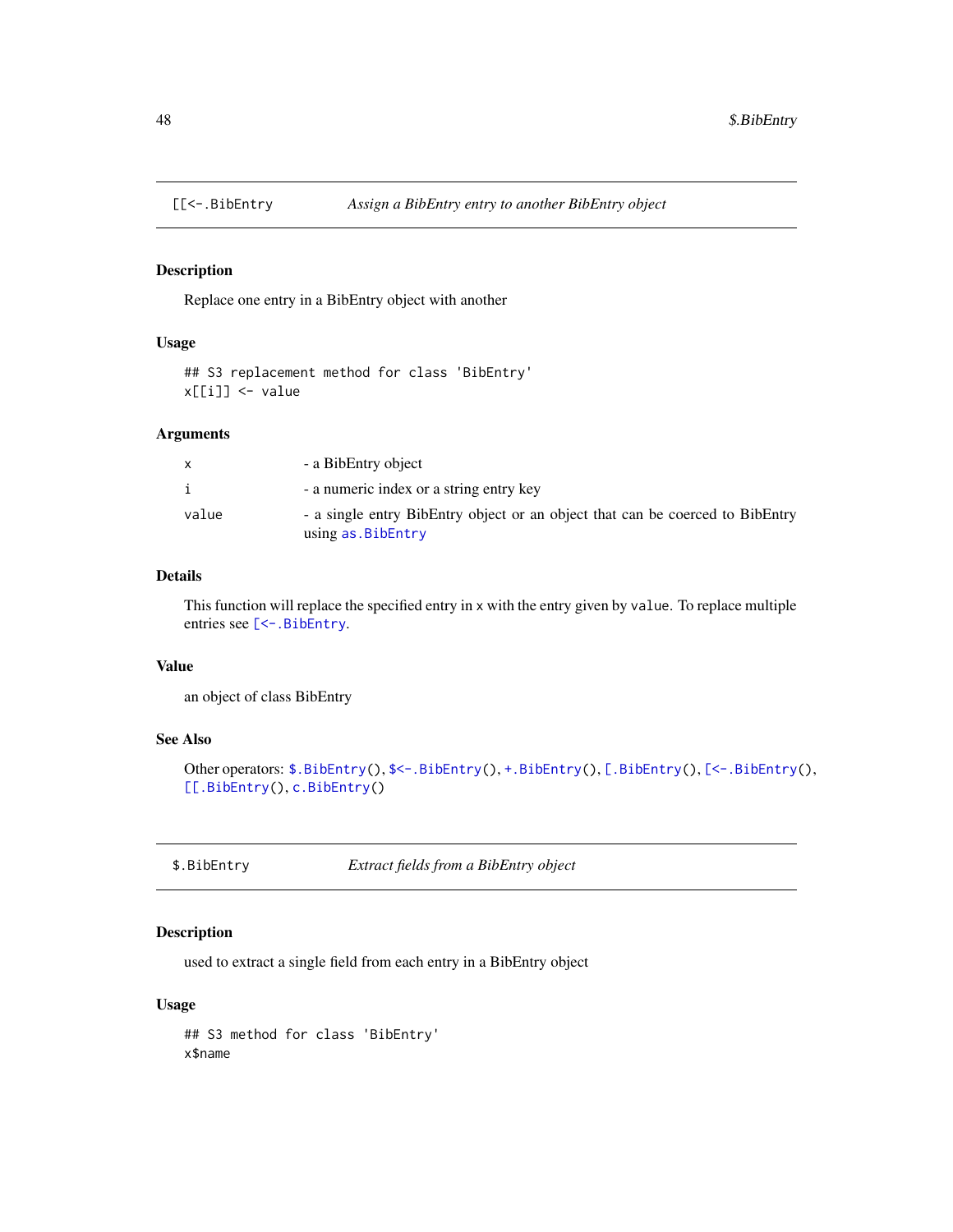<span id="page-47-2"></span><span id="page-47-0"></span>

Replace one entry in a BibEntry object with another

# Usage

```
## S3 replacement method for class 'BibEntry'
x[[i]] <- value
```
#### Arguments

|       | - a BibEntry object                                                                                |
|-------|----------------------------------------------------------------------------------------------------|
|       | - a numeric index or a string entry key                                                            |
| value | - a single entry BibEntry object or an object that can be coerced to BibEntry<br>using as.BibEntry |

# Details

This function will replace the specified entry in x with the entry given by value. To replace multiple entries see [\[<-.BibEntry](#page-44-1).

# Value

an object of class BibEntry

# See Also

```
$.BibEntry($<-.BibEntry(+.BibEntry([.BibEntry([<-.BibEntry(),
[[.BibEntry(), c.BibEntry()
```
<span id="page-47-1"></span>\$.BibEntry *Extract fields from a BibEntry object*

# Description

used to extract a single field from each entry in a BibEntry object

### Usage

## S3 method for class 'BibEntry' x\$name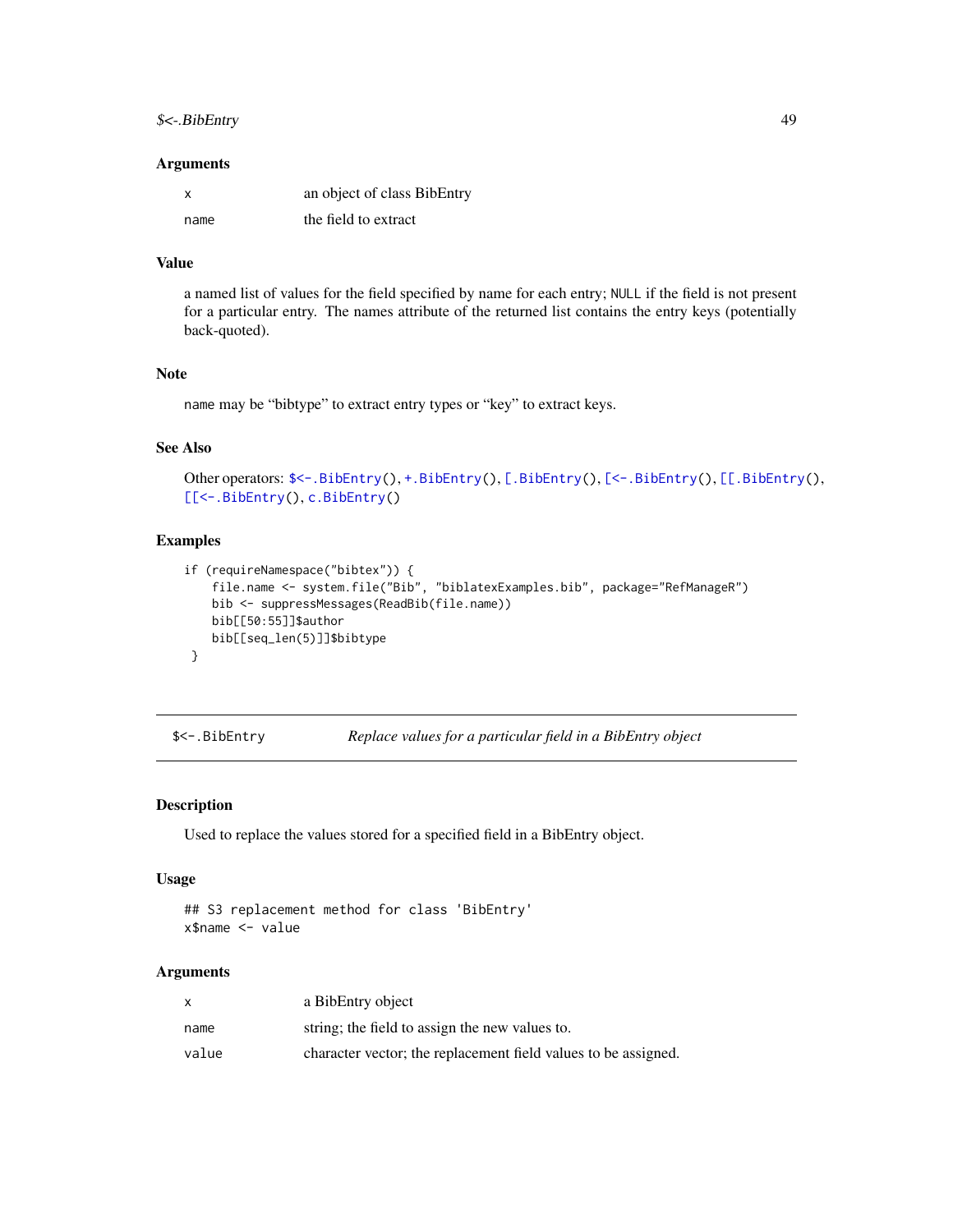### <span id="page-48-0"></span> $\frac{1}{2}$   $\left\{\frac{1}{2} \right\}$  49

### Arguments

| X    | an object of class BibEntry |
|------|-----------------------------|
| name | the field to extract        |

### Value

a named list of values for the field specified by name for each entry; NULL if the field is not present for a particular entry. The names attribute of the returned list contains the entry keys (potentially back-quoted).

#### Note

name may be "bibtype" to extract entry types or "key" to extract keys.

# See Also

```
$<-.BibEntry(+.BibEntry([.BibEntry([<-.BibEntry([[.BibEntry(),
[[<-.BibEntry(), c.BibEntry()
```
# Examples

```
if (requireNamespace("bibtex")) {
   file.name <- system.file("Bib", "biblatexExamples.bib", package="RefManageR")
   bib <- suppressMessages(ReadBib(file.name))
   bib[[50:55]]$author
   bib[[seq_len(5)]]$bibtype
}
```
<span id="page-48-1"></span>\$<-.BibEntry *Replace values for a particular field in a BibEntry object*

# Description

Used to replace the values stored for a specified field in a BibEntry object.

### Usage

```
## S3 replacement method for class 'BibEntry'
x$name <- value
```
### Arguments

|       | a BibEntry object                                              |
|-------|----------------------------------------------------------------|
| name  | string; the field to assign the new values to.                 |
| value | character vector; the replacement field values to be assigned. |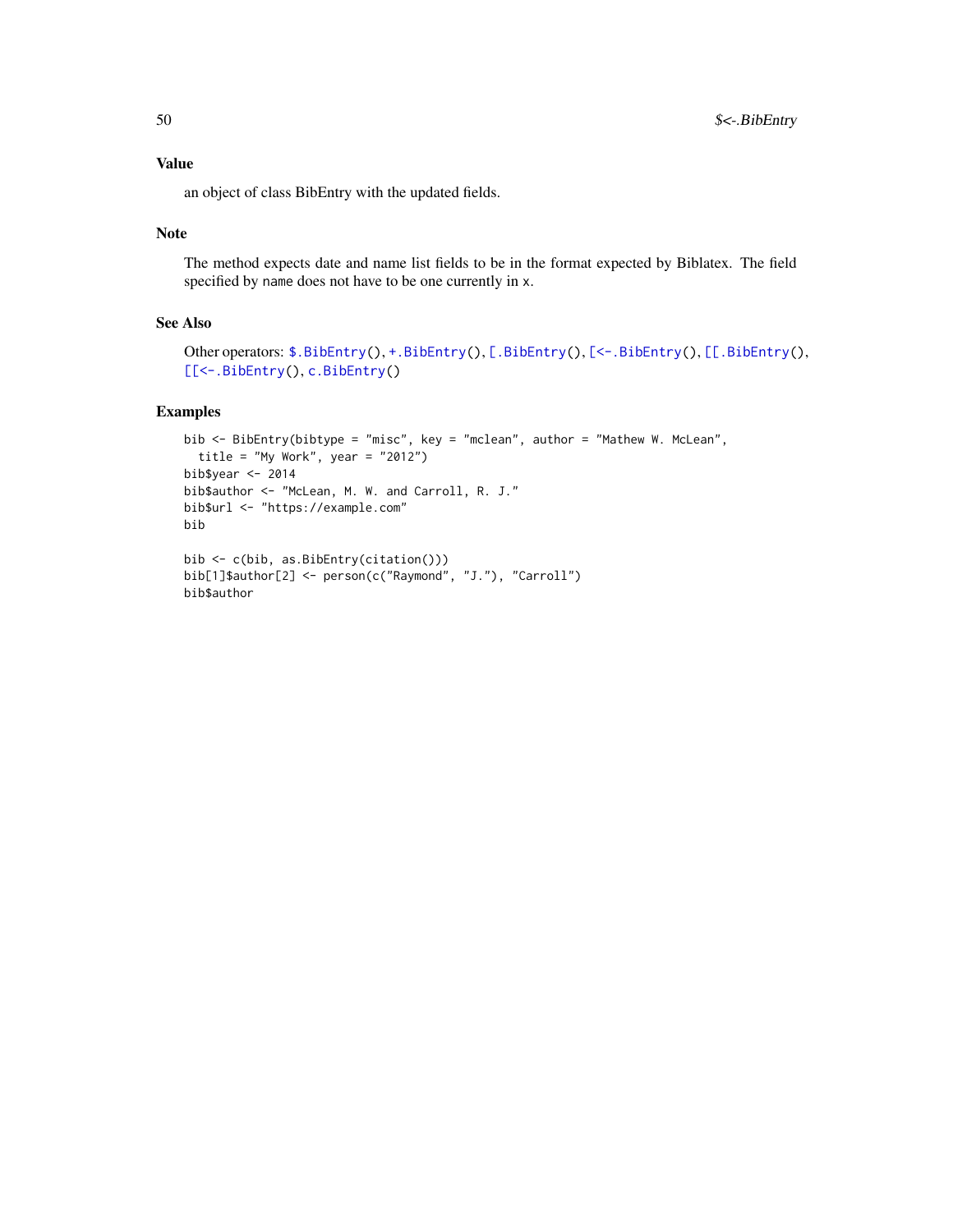# <span id="page-49-0"></span>Value

an object of class BibEntry with the updated fields.

### Note

The method expects date and name list fields to be in the format expected by Biblatex. The field specified by name does not have to be one currently in x.

# See Also

```
$.BibEntry(+.BibEntry([.BibEntry([<-.BibEntry([[.BibEntry(),
[[<-.BibEntry(), c.BibEntry()
```

```
bib <- BibEntry(bibtype = "misc", key = "mclean", author = "Mathew W. McLean",
  title = "My Work", year = "2012")
bib$year <- 2014
bib$author <- "McLean, M. W. and Carroll, R. J."
bib$url <- "https://example.com"
bib
bib <- c(bib, as.BibEntry(citation()))
bib[1]$author[2] <- person(c("Raymond", "J."), "Carroll")
bib$author
```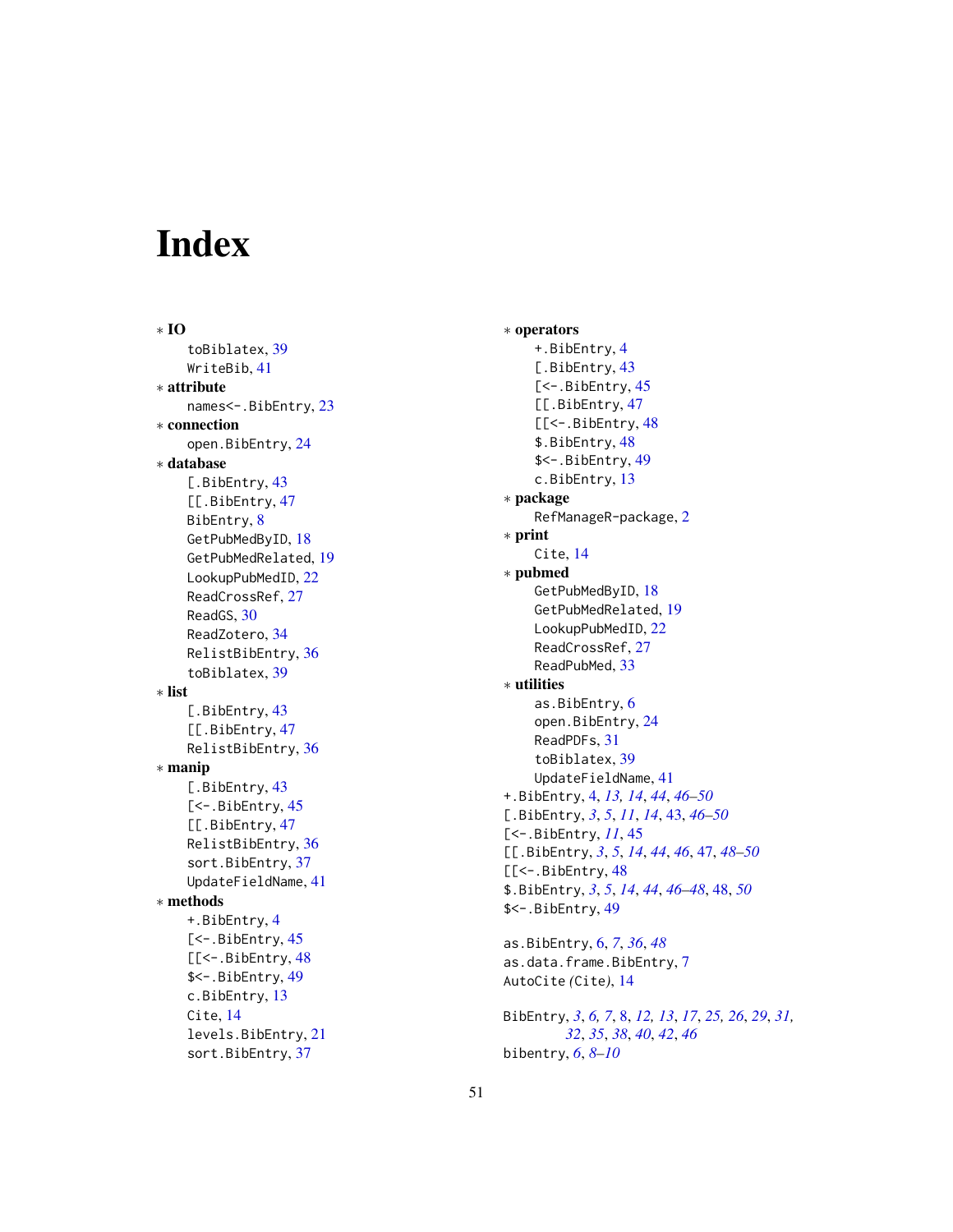# <span id="page-50-0"></span>Index

∗ IO toBiblatex , [39](#page-38-0) WriteBib , [41](#page-40-0) ∗ attribute names<-.BibEntry , [23](#page-22-0) ∗ connection open.BibEntry, [24](#page-23-0) ∗ database [.BibEntry, [43](#page-42-0) [[.BibEntry, [47](#page-46-0) BibEntry, [8](#page-7-0) GetPubMedByID, [18](#page-17-0) GetPubMedRelated , [19](#page-18-0) LookupPubMedID, [22](#page-21-0) ReadCrossRef , [27](#page-26-0) ReadGS, [30](#page-29-0) ReadZotero , [34](#page-33-0) RelistBibEntry , [36](#page-35-0) toBiblatex , [39](#page-38-0) ∗ list [.BibEntry, [43](#page-42-0) [[.BibEntry, [47](#page-46-0) RelistBibEntry , [36](#page-35-0) ∗ manip [.BibEntry, [43](#page-42-0) [<-. BibEntry, [45](#page-44-0) [[.BibEntry, [47](#page-46-0) RelistBibEntry , [36](#page-35-0) sort.BibEntry, [37](#page-36-0) UpdateFieldName , [41](#page-40-0) ∗ methods +.BibEntry , [4](#page-3-0) [<-. BibEntry, [45](#page-44-0) [[<-. BibEntry, [48](#page-47-0) \$<-.BibEntry , [49](#page-48-0) c.BibEntry , [13](#page-12-0) Cite , [14](#page-13-0) levels.BibEntry , [21](#page-20-0) sort.BibEntry, [37](#page-36-0)

∗ operators +.BibEntry , [4](#page-3-0) [.BibEntry, [43](#page-42-0) [<-. BibEntry, [45](#page-44-0) [[.BibEntry, [47](#page-46-0) [[<-. BibEntry, [48](#page-47-0) \$.BibEntry , [48](#page-47-0) \$<-.BibEntry , [49](#page-48-0) c.BibEntry , [13](#page-12-0) ∗ package RefManageR-package , [2](#page-1-0) ∗ print Cite , [14](#page-13-0) ∗ pubmed GetPubMedByID , [18](#page-17-0) GetPubMedRelated , [19](#page-18-0) LookupPubMedID, [22](#page-21-0) ReadCrossRef , [27](#page-26-0) ReadPubMed , [33](#page-32-0) ∗ utilities as.BibEntry, <mark>[6](#page-5-0)</mark> open.BibEntry, [24](#page-23-0) ReadPDFs , [31](#page-30-0) toBiblatex , [39](#page-38-0) UpdateFieldName , [41](#page-40-0) +.BibEntry , [4](#page-3-0) , *[13](#page-12-0) , [14](#page-13-0)* , *[44](#page-43-0)* , *[46](#page-45-0)[–50](#page-49-0)* [.BibEntry , *[3](#page-2-0)* , *[5](#page-4-0)* , *[11](#page-10-0)* , *[14](#page-13-0)* , [43](#page-42-0) , *[46](#page-45-0)[–50](#page-49-0)* [<-. BibEntry, [11](#page-10-0), [45](#page-44-0) [[.BibEntry , *[3](#page-2-0)* , *[5](#page-4-0)* , *[14](#page-13-0)* , *[44](#page-43-0)* , *[46](#page-45-0)* , [47](#page-46-0) , *[48](#page-47-0) [–50](#page-49-0)* [[<-. BibEntry, [48](#page-47-0) \$.BibEntry , *[3](#page-2-0)* , *[5](#page-4-0)* , *[14](#page-13-0)* , *[44](#page-43-0)* , *[46](#page-45-0)[–48](#page-47-0)* , [48](#page-47-0) , *[50](#page-49-0)* \$<-.BibEntry , [49](#page-48-0) as.BibEntry , [6](#page-5-0) , *[7](#page-6-0)* , *[36](#page-35-0)* , *[48](#page-47-0)*

as.data.frame.BibEntry , [7](#page-6-0) AutoCite *(*Cite *)* , [14](#page-13-0)

BibEntry, [3](#page-2-0), [6,](#page-5-0) [7](#page-6-0), [8](#page-7-0), [12](#page-11-0), [13](#page-12-0), [17](#page-16-0), [25](#page-24-0), [26](#page-25-0), [29](#page-28-0), [31](#page-30-0), *[32](#page-31-0)* , *[35](#page-34-0)* , *[38](#page-37-0)* , *[40](#page-39-0)* , *[42](#page-41-0)* , *[46](#page-45-0)* bibentry , *[6](#page-5-0)* , *[8](#page-7-0) [–10](#page-9-0)*